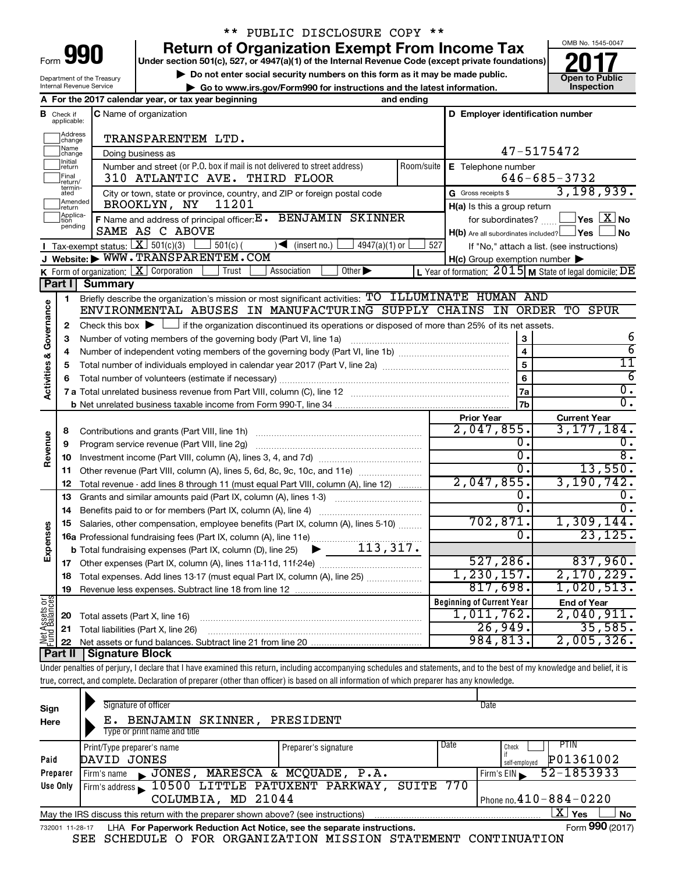| Form |  |
|------|--|

### \*\* PUBLIC DISCLOSURE COPY \*\*

**Under section 501(c), 527, or 4947(a)(1) of the Internal Revenue Code (except private foundations) 990 Return of Organization Exempt From Income Tax 1990 2017 Divide the section 501(c)**, 527, or 4947(a)(1) of the Internal Revenue Code (except private foundations) **2017** 

▶ Do not enter social security numbers on this form as it may be made public.<br>
inspection and the latest information. **Dependent in the latest information** and the latest information. **| Go to www.irs.gov/Form990 for instructions and the latest information. Inspection**



Department of the Treasury Internal Revenue Service Check if **A For the 2017 calendar year, or tax year beginning and ending**

| В                                  | Check if<br>applicable: | <b>C</b> Name of organization                                                                                                               |                    | D Employer identification number                    |                                                           |  |  |  |  |  |  |  |
|------------------------------------|-------------------------|---------------------------------------------------------------------------------------------------------------------------------------------|--------------------|-----------------------------------------------------|-----------------------------------------------------------|--|--|--|--|--|--|--|
|                                    | Address<br> change      | TRANSPARENTEM LTD.                                                                                                                          |                    |                                                     |                                                           |  |  |  |  |  |  |  |
|                                    | ]Name<br>]change        | Doing business as                                                                                                                           |                    | 47-5175472                                          |                                                           |  |  |  |  |  |  |  |
|                                    | Initial<br>∣return      | Number and street (or P.O. box if mail is not delivered to street address)                                                                  | E Telephone number |                                                     |                                                           |  |  |  |  |  |  |  |
|                                    | Final<br>return/        | Room/suite<br>310 ATLANTIC AVE. THIRD FLOOR<br>$646 - 685 - 3732$                                                                           |                    |                                                     |                                                           |  |  |  |  |  |  |  |
|                                    | ated                    | termin-<br>3, 198, 939.<br>G Gross receipts \$<br>City or town, state or province, country, and ZIP or foreign postal code                  |                    |                                                     |                                                           |  |  |  |  |  |  |  |
|                                    | Amended<br>return       | BROOKLYN, NY<br>11201                                                                                                                       |                    | H(a) Is this a group return                         |                                                           |  |  |  |  |  |  |  |
|                                    | Applica-<br>Ition       | F Name and address of principal officer: E . BENJAMIN SKINNER                                                                               |                    | for subordinates?                                   | $ {\mathsf Y}$ es $ \overline{{\mathbf X}} $ No           |  |  |  |  |  |  |  |
|                                    | pending                 | SAME AS C ABOVE                                                                                                                             |                    | $H(b)$ Are all subordinates included? $\Box$ Yes    | No                                                        |  |  |  |  |  |  |  |
|                                    |                         | Tax-exempt status: $X \over 301(c)(3)$<br>$501(c)$ (<br>$\sqrt{\frac{1}{1}}$ (insert no.)<br>$4947(a)(1)$ or                                | 527                |                                                     | If "No," attach a list. (see instructions)                |  |  |  |  |  |  |  |
|                                    |                         | J Website: WWW.TRANSPARENTEM.COM                                                                                                            |                    | $H(c)$ Group exemption number $\blacktriangleright$ |                                                           |  |  |  |  |  |  |  |
|                                    |                         | Other $\blacktriangleright$<br>K Form of organization: $X$ Corporation<br>Trust<br>Association                                              |                    |                                                     | L Year of formation: $2015$ M State of legal domicile: DE |  |  |  |  |  |  |  |
|                                    | Part I                  | <b>Summary</b>                                                                                                                              |                    |                                                     |                                                           |  |  |  |  |  |  |  |
|                                    | 1                       | Briefly describe the organization's mission or most significant activities: TO ILLUMINATE HUMAN AND                                         |                    |                                                     |                                                           |  |  |  |  |  |  |  |
| <b>Activities &amp; Governance</b> |                         | ENVIRONMENTAL ABUSES IN MANUFACTURING SUPPLY CHAINS IN ORDER                                                                                |                    |                                                     | TO SPUR                                                   |  |  |  |  |  |  |  |
|                                    | 2                       | Check this box $\blacktriangleright$ $\Box$ if the organization discontinued its operations or disposed of more than 25% of its net assets. |                    |                                                     |                                                           |  |  |  |  |  |  |  |
|                                    | з                       | Number of voting members of the governing body (Part VI, line 1a)                                                                           |                    |                                                     | 6                                                         |  |  |  |  |  |  |  |
|                                    | 4                       |                                                                                                                                             |                    | $\overline{\mathbf{4}}$                             | $\overline{6}$<br>$\overline{11}$                         |  |  |  |  |  |  |  |
|                                    | 5                       | 5                                                                                                                                           |                    |                                                     |                                                           |  |  |  |  |  |  |  |
|                                    | 6                       |                                                                                                                                             | 6                  | $\overline{6}$                                      |                                                           |  |  |  |  |  |  |  |
|                                    |                         |                                                                                                                                             |                    | 7a                                                  | $\overline{0}$ .                                          |  |  |  |  |  |  |  |
|                                    |                         |                                                                                                                                             |                    | 7b                                                  | σ.                                                        |  |  |  |  |  |  |  |
|                                    |                         |                                                                                                                                             |                    | <b>Prior Year</b>                                   | <b>Current Year</b>                                       |  |  |  |  |  |  |  |
|                                    | 8                       | Contributions and grants (Part VIII, line 1h)                                                                                               |                    | 2,047,855.                                          | 3, 177, 184.                                              |  |  |  |  |  |  |  |
|                                    | 9                       | Program service revenue (Part VIII, line 2q)                                                                                                |                    | 0.                                                  | о.                                                        |  |  |  |  |  |  |  |
| Revenue                            | 10                      |                                                                                                                                             |                    | σ.                                                  | $\overline{8}$ .                                          |  |  |  |  |  |  |  |
|                                    | 11                      | Other revenue (Part VIII, column (A), lines 5, 6d, 8c, 9c, 10c, and 11e)                                                                    |                    | 0.                                                  | 13,550.                                                   |  |  |  |  |  |  |  |
|                                    | 12                      | Total revenue - add lines 8 through 11 (must equal Part VIII, column (A), line 12)                                                          |                    | 2,047,855.                                          | 3, 190, 742.                                              |  |  |  |  |  |  |  |
|                                    | 13                      | Grants and similar amounts paid (Part IX, column (A), lines 1-3)                                                                            |                    | 0.                                                  |                                                           |  |  |  |  |  |  |  |
|                                    | 14                      |                                                                                                                                             |                    | 0.                                                  | σ.                                                        |  |  |  |  |  |  |  |
|                                    | 15                      | Salaries, other compensation, employee benefits (Part IX, column (A), lines 5-10)                                                           |                    | 702,871.                                            | 1,309,144.                                                |  |  |  |  |  |  |  |
|                                    |                         |                                                                                                                                             |                    | 0                                                   | 23, 125.                                                  |  |  |  |  |  |  |  |
| Expenses                           |                         |                                                                                                                                             |                    |                                                     |                                                           |  |  |  |  |  |  |  |
|                                    |                         |                                                                                                                                             |                    | 527, 286.                                           | 837,960.                                                  |  |  |  |  |  |  |  |
|                                    | 18                      | Total expenses. Add lines 13-17 (must equal Part IX, column (A), line 25) <i></i>                                                           |                    | 1,230,157.                                          | 2,170,229.                                                |  |  |  |  |  |  |  |
|                                    | 19                      |                                                                                                                                             |                    | 817,698.                                            | 1,020,513.                                                |  |  |  |  |  |  |  |
| <b>bes</b>                         |                         |                                                                                                                                             |                    | <b>Beginning of Current Year</b>                    | <b>End of Year</b>                                        |  |  |  |  |  |  |  |
| Assets                             | 20                      | Total assets (Part X, line 16)                                                                                                              |                    | 1,011,762.                                          | 2,040,911.                                                |  |  |  |  |  |  |  |
| 보다<br>무근                           | 21                      | Total liabilities (Part X, line 26)                                                                                                         |                    | 26,949.                                             | 35,585.                                                   |  |  |  |  |  |  |  |
|                                    | 22                      |                                                                                                                                             |                    | 984,813.                                            | 2,005,326.                                                |  |  |  |  |  |  |  |
|                                    |                         | Part II   Signature Block                                                                                                                   |                    |                                                     |                                                           |  |  |  |  |  |  |  |

Under penalties of perjury, I declare that I have examined this return, including accompanying schedules and statements, and to the best of my knowledge and belief, it is true, correct, and complete. Declaration of preparer (other than officer) is based on all information of which preparer has any knowledge.

| Sign                                                                                                              | Signature of officer                                    | Date                         |  |  |  |  |  |  |  |
|-------------------------------------------------------------------------------------------------------------------|---------------------------------------------------------|------------------------------|--|--|--|--|--|--|--|
| Here                                                                                                              | BENJAMIN SKINNER,<br>PRESIDENT<br>Е.                    |                              |  |  |  |  |  |  |  |
|                                                                                                                   | Type or print name and title                            |                              |  |  |  |  |  |  |  |
|                                                                                                                   | Print/Type preparer's name<br>Preparer's signature      | Date<br>PTIN<br>Check        |  |  |  |  |  |  |  |
| Paid                                                                                                              | DAVID JONES                                             | P01361002<br>self-emploved   |  |  |  |  |  |  |  |
| Preparer                                                                                                          | JONES, MARESCA & MCQUADE, P.A.<br>Firm's name           | 52-1853933<br>Firm's $EIN$   |  |  |  |  |  |  |  |
| Use Only                                                                                                          | Firm's address 10500 LITTLE PATUXENT PARKWAY, SUITE 770 |                              |  |  |  |  |  |  |  |
|                                                                                                                   | COLUMBIA, MD 21044                                      | Phone no. $410 - 884 - 0220$ |  |  |  |  |  |  |  |
| x<br><b>No</b><br><b>Yes</b><br>May the IRS discuss this return with the preparer shown above? (see instructions) |                                                         |                              |  |  |  |  |  |  |  |
| Form 990 (2017)<br>LHA For Paperwork Reduction Act Notice, see the separate instructions.<br>732001 11-28-17      |                                                         |                              |  |  |  |  |  |  |  |

SEE SCHEDULE O FOR ORGANIZATION MISSION STATEMENT CONTINUATION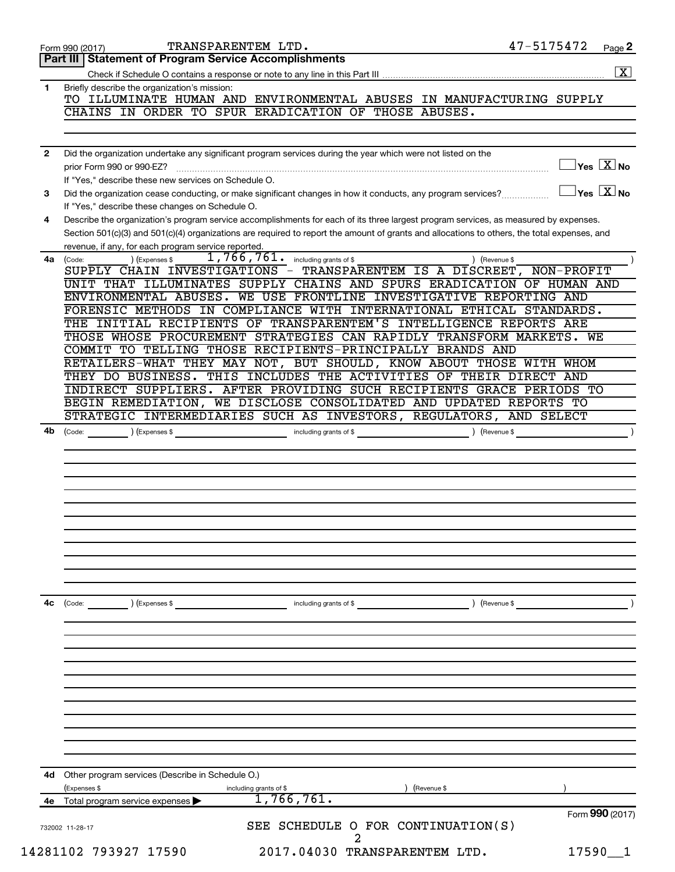| Briefly describe the organization's mission:<br>TO ILLUMINATE HUMAN AND ENVIRONMENTAL ABUSES IN MANUFACTURING SUPPLY<br>CHAINS IN ORDER TO SPUR ERADICATION OF THOSE ABUSES.<br>Did the organization undertake any significant program services during the year which were not listed on the<br>If "Yes," describe these new services on Schedule O.<br>Did the organization cease conducting, or make significant changes in how it conducts, any program services?<br>If "Yes," describe these changes on Schedule O.<br>Describe the organization's program service accomplishments for each of its three largest program services, as measured by expenses.<br>Section 501(c)(3) and 501(c)(4) organizations are required to report the amount of grants and allocations to others, the total expenses, and<br>revenue, if any, for each program service reported.<br>1,766,761. including grants of \$<br>) (Revenue \$<br>) (Expenses \$<br>SUPPLY CHAIN INVESTIGATIONS - TRANSPARENTEM IS A DISCREET, NON-PROFIT<br>UNIT THAT ILLUMINATES SUPPLY CHAINS AND SPURS ERADICATION OF HUMAN AND<br>ENVIRONMENTAL ABUSES. WE USE FRONTLINE INVESTIGATIVE REPORTING AND<br>FORENSIC METHODS IN COMPLIANCE WITH INTERNATIONAL ETHICAL STANDARDS.<br>THE INITIAL RECIPIENTS OF TRANSPARENTEM'S INTELLIGENCE REPORTS ARE<br>THOSE WHOSE PROCUREMENT STRATEGIES CAN RAPIDLY TRANSFORM MARKETS.<br>WЕ<br>COMMIT TO TELLING THOSE RECIPIENTS-PRINCIPALLY BRANDS AND<br>RETAILERS-WHAT THEY MAY NOT, BUT SHOULD, KNOW ABOUT THOSE WITH WHOM<br>THEY DO BUSINESS. THIS INCLUDES THE ACTIVITIES OF THEIR DIRECT AND<br>INDIRECT SUPPLIERS. AFTER PROVIDING SUCH RECIPIENTS GRACE PERIODS TO<br>BEGIN REMEDIATION, WE DISCLOSE CONSOLIDATED AND UPDATED REPORTS TO<br>STRATEGIC INTERMEDIARIES SUCH AS INVESTORS, REGULATORS, AND SELECT<br>(Code: ) (Expenses \$ contains a modulating grants of \$ code: ) (Revenue \$ code:<br>and the contract of the contract of the contract of the contract of the contract of the contract of the contract of the contract of the contract of the contract of the contract of the contract of the contract of the contra<br>$\left(\text{Code:}\right)$ $\left(\text{Expenses $}\right)$<br>Other program services (Describe in Schedule O.)<br>(Expenses \$<br>) (Revenue \$<br>including grants of \$<br>1,766,761.<br>Total program service expenses<br>Form 990 (2017)<br>SEE SCHEDULE O FOR CONTINUATION(S)<br>$17590 - 1$ | Part III   Statement of Program Service Accomplishments<br>1<br>$\mathbf{2}$<br>3<br>4<br>4a (Code:<br>4b | $\boxed{\mathbf{X}}$<br>$\overline{\ }$ Yes $\overline{\rm X}$ No<br>$\Box$ Yes $[\overline{\mathrm{X}}]$ No |
|---------------------------------------------------------------------------------------------------------------------------------------------------------------------------------------------------------------------------------------------------------------------------------------------------------------------------------------------------------------------------------------------------------------------------------------------------------------------------------------------------------------------------------------------------------------------------------------------------------------------------------------------------------------------------------------------------------------------------------------------------------------------------------------------------------------------------------------------------------------------------------------------------------------------------------------------------------------------------------------------------------------------------------------------------------------------------------------------------------------------------------------------------------------------------------------------------------------------------------------------------------------------------------------------------------------------------------------------------------------------------------------------------------------------------------------------------------------------------------------------------------------------------------------------------------------------------------------------------------------------------------------------------------------------------------------------------------------------------------------------------------------------------------------------------------------------------------------------------------------------------------------------------------------------------------------------------------------------------------------------------------------------------------------------------------------------------------------------------------------------------------------------------------------------------------------------------------------------------------------------------------------------------------------------------------------------------------------------------------------------------------------------------------------------------------------------------------------|-----------------------------------------------------------------------------------------------------------|--------------------------------------------------------------------------------------------------------------|
|                                                                                                                                                                                                                                                                                                                                                                                                                                                                                                                                                                                                                                                                                                                                                                                                                                                                                                                                                                                                                                                                                                                                                                                                                                                                                                                                                                                                                                                                                                                                                                                                                                                                                                                                                                                                                                                                                                                                                                                                                                                                                                                                                                                                                                                                                                                                                                                                                                                               |                                                                                                           |                                                                                                              |
|                                                                                                                                                                                                                                                                                                                                                                                                                                                                                                                                                                                                                                                                                                                                                                                                                                                                                                                                                                                                                                                                                                                                                                                                                                                                                                                                                                                                                                                                                                                                                                                                                                                                                                                                                                                                                                                                                                                                                                                                                                                                                                                                                                                                                                                                                                                                                                                                                                                               |                                                                                                           |                                                                                                              |
|                                                                                                                                                                                                                                                                                                                                                                                                                                                                                                                                                                                                                                                                                                                                                                                                                                                                                                                                                                                                                                                                                                                                                                                                                                                                                                                                                                                                                                                                                                                                                                                                                                                                                                                                                                                                                                                                                                                                                                                                                                                                                                                                                                                                                                                                                                                                                                                                                                                               |                                                                                                           |                                                                                                              |
|                                                                                                                                                                                                                                                                                                                                                                                                                                                                                                                                                                                                                                                                                                                                                                                                                                                                                                                                                                                                                                                                                                                                                                                                                                                                                                                                                                                                                                                                                                                                                                                                                                                                                                                                                                                                                                                                                                                                                                                                                                                                                                                                                                                                                                                                                                                                                                                                                                                               |                                                                                                           |                                                                                                              |
|                                                                                                                                                                                                                                                                                                                                                                                                                                                                                                                                                                                                                                                                                                                                                                                                                                                                                                                                                                                                                                                                                                                                                                                                                                                                                                                                                                                                                                                                                                                                                                                                                                                                                                                                                                                                                                                                                                                                                                                                                                                                                                                                                                                                                                                                                                                                                                                                                                                               |                                                                                                           |                                                                                                              |
|                                                                                                                                                                                                                                                                                                                                                                                                                                                                                                                                                                                                                                                                                                                                                                                                                                                                                                                                                                                                                                                                                                                                                                                                                                                                                                                                                                                                                                                                                                                                                                                                                                                                                                                                                                                                                                                                                                                                                                                                                                                                                                                                                                                                                                                                                                                                                                                                                                                               |                                                                                                           |                                                                                                              |
|                                                                                                                                                                                                                                                                                                                                                                                                                                                                                                                                                                                                                                                                                                                                                                                                                                                                                                                                                                                                                                                                                                                                                                                                                                                                                                                                                                                                                                                                                                                                                                                                                                                                                                                                                                                                                                                                                                                                                                                                                                                                                                                                                                                                                                                                                                                                                                                                                                                               |                                                                                                           |                                                                                                              |
|                                                                                                                                                                                                                                                                                                                                                                                                                                                                                                                                                                                                                                                                                                                                                                                                                                                                                                                                                                                                                                                                                                                                                                                                                                                                                                                                                                                                                                                                                                                                                                                                                                                                                                                                                                                                                                                                                                                                                                                                                                                                                                                                                                                                                                                                                                                                                                                                                                                               |                                                                                                           |                                                                                                              |
|                                                                                                                                                                                                                                                                                                                                                                                                                                                                                                                                                                                                                                                                                                                                                                                                                                                                                                                                                                                                                                                                                                                                                                                                                                                                                                                                                                                                                                                                                                                                                                                                                                                                                                                                                                                                                                                                                                                                                                                                                                                                                                                                                                                                                                                                                                                                                                                                                                                               |                                                                                                           |                                                                                                              |
|                                                                                                                                                                                                                                                                                                                                                                                                                                                                                                                                                                                                                                                                                                                                                                                                                                                                                                                                                                                                                                                                                                                                                                                                                                                                                                                                                                                                                                                                                                                                                                                                                                                                                                                                                                                                                                                                                                                                                                                                                                                                                                                                                                                                                                                                                                                                                                                                                                                               |                                                                                                           |                                                                                                              |
|                                                                                                                                                                                                                                                                                                                                                                                                                                                                                                                                                                                                                                                                                                                                                                                                                                                                                                                                                                                                                                                                                                                                                                                                                                                                                                                                                                                                                                                                                                                                                                                                                                                                                                                                                                                                                                                                                                                                                                                                                                                                                                                                                                                                                                                                                                                                                                                                                                                               |                                                                                                           |                                                                                                              |
|                                                                                                                                                                                                                                                                                                                                                                                                                                                                                                                                                                                                                                                                                                                                                                                                                                                                                                                                                                                                                                                                                                                                                                                                                                                                                                                                                                                                                                                                                                                                                                                                                                                                                                                                                                                                                                                                                                                                                                                                                                                                                                                                                                                                                                                                                                                                                                                                                                                               |                                                                                                           |                                                                                                              |
|                                                                                                                                                                                                                                                                                                                                                                                                                                                                                                                                                                                                                                                                                                                                                                                                                                                                                                                                                                                                                                                                                                                                                                                                                                                                                                                                                                                                                                                                                                                                                                                                                                                                                                                                                                                                                                                                                                                                                                                                                                                                                                                                                                                                                                                                                                                                                                                                                                                               |                                                                                                           |                                                                                                              |
|                                                                                                                                                                                                                                                                                                                                                                                                                                                                                                                                                                                                                                                                                                                                                                                                                                                                                                                                                                                                                                                                                                                                                                                                                                                                                                                                                                                                                                                                                                                                                                                                                                                                                                                                                                                                                                                                                                                                                                                                                                                                                                                                                                                                                                                                                                                                                                                                                                                               |                                                                                                           |                                                                                                              |
|                                                                                                                                                                                                                                                                                                                                                                                                                                                                                                                                                                                                                                                                                                                                                                                                                                                                                                                                                                                                                                                                                                                                                                                                                                                                                                                                                                                                                                                                                                                                                                                                                                                                                                                                                                                                                                                                                                                                                                                                                                                                                                                                                                                                                                                                                                                                                                                                                                                               |                                                                                                           |                                                                                                              |
|                                                                                                                                                                                                                                                                                                                                                                                                                                                                                                                                                                                                                                                                                                                                                                                                                                                                                                                                                                                                                                                                                                                                                                                                                                                                                                                                                                                                                                                                                                                                                                                                                                                                                                                                                                                                                                                                                                                                                                                                                                                                                                                                                                                                                                                                                                                                                                                                                                                               |                                                                                                           |                                                                                                              |
|                                                                                                                                                                                                                                                                                                                                                                                                                                                                                                                                                                                                                                                                                                                                                                                                                                                                                                                                                                                                                                                                                                                                                                                                                                                                                                                                                                                                                                                                                                                                                                                                                                                                                                                                                                                                                                                                                                                                                                                                                                                                                                                                                                                                                                                                                                                                                                                                                                                               |                                                                                                           |                                                                                                              |
|                                                                                                                                                                                                                                                                                                                                                                                                                                                                                                                                                                                                                                                                                                                                                                                                                                                                                                                                                                                                                                                                                                                                                                                                                                                                                                                                                                                                                                                                                                                                                                                                                                                                                                                                                                                                                                                                                                                                                                                                                                                                                                                                                                                                                                                                                                                                                                                                                                                               |                                                                                                           |                                                                                                              |
|                                                                                                                                                                                                                                                                                                                                                                                                                                                                                                                                                                                                                                                                                                                                                                                                                                                                                                                                                                                                                                                                                                                                                                                                                                                                                                                                                                                                                                                                                                                                                                                                                                                                                                                                                                                                                                                                                                                                                                                                                                                                                                                                                                                                                                                                                                                                                                                                                                                               |                                                                                                           |                                                                                                              |
|                                                                                                                                                                                                                                                                                                                                                                                                                                                                                                                                                                                                                                                                                                                                                                                                                                                                                                                                                                                                                                                                                                                                                                                                                                                                                                                                                                                                                                                                                                                                                                                                                                                                                                                                                                                                                                                                                                                                                                                                                                                                                                                                                                                                                                                                                                                                                                                                                                                               |                                                                                                           |                                                                                                              |
|                                                                                                                                                                                                                                                                                                                                                                                                                                                                                                                                                                                                                                                                                                                                                                                                                                                                                                                                                                                                                                                                                                                                                                                                                                                                                                                                                                                                                                                                                                                                                                                                                                                                                                                                                                                                                                                                                                                                                                                                                                                                                                                                                                                                                                                                                                                                                                                                                                                               |                                                                                                           |                                                                                                              |
|                                                                                                                                                                                                                                                                                                                                                                                                                                                                                                                                                                                                                                                                                                                                                                                                                                                                                                                                                                                                                                                                                                                                                                                                                                                                                                                                                                                                                                                                                                                                                                                                                                                                                                                                                                                                                                                                                                                                                                                                                                                                                                                                                                                                                                                                                                                                                                                                                                                               |                                                                                                           |                                                                                                              |
|                                                                                                                                                                                                                                                                                                                                                                                                                                                                                                                                                                                                                                                                                                                                                                                                                                                                                                                                                                                                                                                                                                                                                                                                                                                                                                                                                                                                                                                                                                                                                                                                                                                                                                                                                                                                                                                                                                                                                                                                                                                                                                                                                                                                                                                                                                                                                                                                                                                               |                                                                                                           |                                                                                                              |
|                                                                                                                                                                                                                                                                                                                                                                                                                                                                                                                                                                                                                                                                                                                                                                                                                                                                                                                                                                                                                                                                                                                                                                                                                                                                                                                                                                                                                                                                                                                                                                                                                                                                                                                                                                                                                                                                                                                                                                                                                                                                                                                                                                                                                                                                                                                                                                                                                                                               |                                                                                                           |                                                                                                              |
|                                                                                                                                                                                                                                                                                                                                                                                                                                                                                                                                                                                                                                                                                                                                                                                                                                                                                                                                                                                                                                                                                                                                                                                                                                                                                                                                                                                                                                                                                                                                                                                                                                                                                                                                                                                                                                                                                                                                                                                                                                                                                                                                                                                                                                                                                                                                                                                                                                                               |                                                                                                           |                                                                                                              |
|                                                                                                                                                                                                                                                                                                                                                                                                                                                                                                                                                                                                                                                                                                                                                                                                                                                                                                                                                                                                                                                                                                                                                                                                                                                                                                                                                                                                                                                                                                                                                                                                                                                                                                                                                                                                                                                                                                                                                                                                                                                                                                                                                                                                                                                                                                                                                                                                                                                               |                                                                                                           |                                                                                                              |
|                                                                                                                                                                                                                                                                                                                                                                                                                                                                                                                                                                                                                                                                                                                                                                                                                                                                                                                                                                                                                                                                                                                                                                                                                                                                                                                                                                                                                                                                                                                                                                                                                                                                                                                                                                                                                                                                                                                                                                                                                                                                                                                                                                                                                                                                                                                                                                                                                                                               |                                                                                                           |                                                                                                              |
|                                                                                                                                                                                                                                                                                                                                                                                                                                                                                                                                                                                                                                                                                                                                                                                                                                                                                                                                                                                                                                                                                                                                                                                                                                                                                                                                                                                                                                                                                                                                                                                                                                                                                                                                                                                                                                                                                                                                                                                                                                                                                                                                                                                                                                                                                                                                                                                                                                                               |                                                                                                           |                                                                                                              |
|                                                                                                                                                                                                                                                                                                                                                                                                                                                                                                                                                                                                                                                                                                                                                                                                                                                                                                                                                                                                                                                                                                                                                                                                                                                                                                                                                                                                                                                                                                                                                                                                                                                                                                                                                                                                                                                                                                                                                                                                                                                                                                                                                                                                                                                                                                                                                                                                                                                               |                                                                                                           |                                                                                                              |
|                                                                                                                                                                                                                                                                                                                                                                                                                                                                                                                                                                                                                                                                                                                                                                                                                                                                                                                                                                                                                                                                                                                                                                                                                                                                                                                                                                                                                                                                                                                                                                                                                                                                                                                                                                                                                                                                                                                                                                                                                                                                                                                                                                                                                                                                                                                                                                                                                                                               |                                                                                                           |                                                                                                              |
|                                                                                                                                                                                                                                                                                                                                                                                                                                                                                                                                                                                                                                                                                                                                                                                                                                                                                                                                                                                                                                                                                                                                                                                                                                                                                                                                                                                                                                                                                                                                                                                                                                                                                                                                                                                                                                                                                                                                                                                                                                                                                                                                                                                                                                                                                                                                                                                                                                                               |                                                                                                           |                                                                                                              |
|                                                                                                                                                                                                                                                                                                                                                                                                                                                                                                                                                                                                                                                                                                                                                                                                                                                                                                                                                                                                                                                                                                                                                                                                                                                                                                                                                                                                                                                                                                                                                                                                                                                                                                                                                                                                                                                                                                                                                                                                                                                                                                                                                                                                                                                                                                                                                                                                                                                               |                                                                                                           |                                                                                                              |
|                                                                                                                                                                                                                                                                                                                                                                                                                                                                                                                                                                                                                                                                                                                                                                                                                                                                                                                                                                                                                                                                                                                                                                                                                                                                                                                                                                                                                                                                                                                                                                                                                                                                                                                                                                                                                                                                                                                                                                                                                                                                                                                                                                                                                                                                                                                                                                                                                                                               |                                                                                                           |                                                                                                              |
|                                                                                                                                                                                                                                                                                                                                                                                                                                                                                                                                                                                                                                                                                                                                                                                                                                                                                                                                                                                                                                                                                                                                                                                                                                                                                                                                                                                                                                                                                                                                                                                                                                                                                                                                                                                                                                                                                                                                                                                                                                                                                                                                                                                                                                                                                                                                                                                                                                                               |                                                                                                           |                                                                                                              |
|                                                                                                                                                                                                                                                                                                                                                                                                                                                                                                                                                                                                                                                                                                                                                                                                                                                                                                                                                                                                                                                                                                                                                                                                                                                                                                                                                                                                                                                                                                                                                                                                                                                                                                                                                                                                                                                                                                                                                                                                                                                                                                                                                                                                                                                                                                                                                                                                                                                               |                                                                                                           |                                                                                                              |
|                                                                                                                                                                                                                                                                                                                                                                                                                                                                                                                                                                                                                                                                                                                                                                                                                                                                                                                                                                                                                                                                                                                                                                                                                                                                                                                                                                                                                                                                                                                                                                                                                                                                                                                                                                                                                                                                                                                                                                                                                                                                                                                                                                                                                                                                                                                                                                                                                                                               |                                                                                                           |                                                                                                              |
|                                                                                                                                                                                                                                                                                                                                                                                                                                                                                                                                                                                                                                                                                                                                                                                                                                                                                                                                                                                                                                                                                                                                                                                                                                                                                                                                                                                                                                                                                                                                                                                                                                                                                                                                                                                                                                                                                                                                                                                                                                                                                                                                                                                                                                                                                                                                                                                                                                                               |                                                                                                           |                                                                                                              |
|                                                                                                                                                                                                                                                                                                                                                                                                                                                                                                                                                                                                                                                                                                                                                                                                                                                                                                                                                                                                                                                                                                                                                                                                                                                                                                                                                                                                                                                                                                                                                                                                                                                                                                                                                                                                                                                                                                                                                                                                                                                                                                                                                                                                                                                                                                                                                                                                                                                               |                                                                                                           |                                                                                                              |
|                                                                                                                                                                                                                                                                                                                                                                                                                                                                                                                                                                                                                                                                                                                                                                                                                                                                                                                                                                                                                                                                                                                                                                                                                                                                                                                                                                                                                                                                                                                                                                                                                                                                                                                                                                                                                                                                                                                                                                                                                                                                                                                                                                                                                                                                                                                                                                                                                                                               |                                                                                                           |                                                                                                              |
|                                                                                                                                                                                                                                                                                                                                                                                                                                                                                                                                                                                                                                                                                                                                                                                                                                                                                                                                                                                                                                                                                                                                                                                                                                                                                                                                                                                                                                                                                                                                                                                                                                                                                                                                                                                                                                                                                                                                                                                                                                                                                                                                                                                                                                                                                                                                                                                                                                                               | 4c                                                                                                        |                                                                                                              |
|                                                                                                                                                                                                                                                                                                                                                                                                                                                                                                                                                                                                                                                                                                                                                                                                                                                                                                                                                                                                                                                                                                                                                                                                                                                                                                                                                                                                                                                                                                                                                                                                                                                                                                                                                                                                                                                                                                                                                                                                                                                                                                                                                                                                                                                                                                                                                                                                                                                               |                                                                                                           |                                                                                                              |
|                                                                                                                                                                                                                                                                                                                                                                                                                                                                                                                                                                                                                                                                                                                                                                                                                                                                                                                                                                                                                                                                                                                                                                                                                                                                                                                                                                                                                                                                                                                                                                                                                                                                                                                                                                                                                                                                                                                                                                                                                                                                                                                                                                                                                                                                                                                                                                                                                                                               |                                                                                                           |                                                                                                              |
|                                                                                                                                                                                                                                                                                                                                                                                                                                                                                                                                                                                                                                                                                                                                                                                                                                                                                                                                                                                                                                                                                                                                                                                                                                                                                                                                                                                                                                                                                                                                                                                                                                                                                                                                                                                                                                                                                                                                                                                                                                                                                                                                                                                                                                                                                                                                                                                                                                                               |                                                                                                           |                                                                                                              |
|                                                                                                                                                                                                                                                                                                                                                                                                                                                                                                                                                                                                                                                                                                                                                                                                                                                                                                                                                                                                                                                                                                                                                                                                                                                                                                                                                                                                                                                                                                                                                                                                                                                                                                                                                                                                                                                                                                                                                                                                                                                                                                                                                                                                                                                                                                                                                                                                                                                               |                                                                                                           |                                                                                                              |
|                                                                                                                                                                                                                                                                                                                                                                                                                                                                                                                                                                                                                                                                                                                                                                                                                                                                                                                                                                                                                                                                                                                                                                                                                                                                                                                                                                                                                                                                                                                                                                                                                                                                                                                                                                                                                                                                                                                                                                                                                                                                                                                                                                                                                                                                                                                                                                                                                                                               |                                                                                                           |                                                                                                              |
|                                                                                                                                                                                                                                                                                                                                                                                                                                                                                                                                                                                                                                                                                                                                                                                                                                                                                                                                                                                                                                                                                                                                                                                                                                                                                                                                                                                                                                                                                                                                                                                                                                                                                                                                                                                                                                                                                                                                                                                                                                                                                                                                                                                                                                                                                                                                                                                                                                                               |                                                                                                           |                                                                                                              |
|                                                                                                                                                                                                                                                                                                                                                                                                                                                                                                                                                                                                                                                                                                                                                                                                                                                                                                                                                                                                                                                                                                                                                                                                                                                                                                                                                                                                                                                                                                                                                                                                                                                                                                                                                                                                                                                                                                                                                                                                                                                                                                                                                                                                                                                                                                                                                                                                                                                               |                                                                                                           |                                                                                                              |
|                                                                                                                                                                                                                                                                                                                                                                                                                                                                                                                                                                                                                                                                                                                                                                                                                                                                                                                                                                                                                                                                                                                                                                                                                                                                                                                                                                                                                                                                                                                                                                                                                                                                                                                                                                                                                                                                                                                                                                                                                                                                                                                                                                                                                                                                                                                                                                                                                                                               |                                                                                                           |                                                                                                              |
|                                                                                                                                                                                                                                                                                                                                                                                                                                                                                                                                                                                                                                                                                                                                                                                                                                                                                                                                                                                                                                                                                                                                                                                                                                                                                                                                                                                                                                                                                                                                                                                                                                                                                                                                                                                                                                                                                                                                                                                                                                                                                                                                                                                                                                                                                                                                                                                                                                                               |                                                                                                           |                                                                                                              |
|                                                                                                                                                                                                                                                                                                                                                                                                                                                                                                                                                                                                                                                                                                                                                                                                                                                                                                                                                                                                                                                                                                                                                                                                                                                                                                                                                                                                                                                                                                                                                                                                                                                                                                                                                                                                                                                                                                                                                                                                                                                                                                                                                                                                                                                                                                                                                                                                                                                               |                                                                                                           |                                                                                                              |
|                                                                                                                                                                                                                                                                                                                                                                                                                                                                                                                                                                                                                                                                                                                                                                                                                                                                                                                                                                                                                                                                                                                                                                                                                                                                                                                                                                                                                                                                                                                                                                                                                                                                                                                                                                                                                                                                                                                                                                                                                                                                                                                                                                                                                                                                                                                                                                                                                                                               |                                                                                                           |                                                                                                              |
|                                                                                                                                                                                                                                                                                                                                                                                                                                                                                                                                                                                                                                                                                                                                                                                                                                                                                                                                                                                                                                                                                                                                                                                                                                                                                                                                                                                                                                                                                                                                                                                                                                                                                                                                                                                                                                                                                                                                                                                                                                                                                                                                                                                                                                                                                                                                                                                                                                                               |                                                                                                           |                                                                                                              |
|                                                                                                                                                                                                                                                                                                                                                                                                                                                                                                                                                                                                                                                                                                                                                                                                                                                                                                                                                                                                                                                                                                                                                                                                                                                                                                                                                                                                                                                                                                                                                                                                                                                                                                                                                                                                                                                                                                                                                                                                                                                                                                                                                                                                                                                                                                                                                                                                                                                               | 4d                                                                                                        |                                                                                                              |
|                                                                                                                                                                                                                                                                                                                                                                                                                                                                                                                                                                                                                                                                                                                                                                                                                                                                                                                                                                                                                                                                                                                                                                                                                                                                                                                                                                                                                                                                                                                                                                                                                                                                                                                                                                                                                                                                                                                                                                                                                                                                                                                                                                                                                                                                                                                                                                                                                                                               |                                                                                                           |                                                                                                              |
|                                                                                                                                                                                                                                                                                                                                                                                                                                                                                                                                                                                                                                                                                                                                                                                                                                                                                                                                                                                                                                                                                                                                                                                                                                                                                                                                                                                                                                                                                                                                                                                                                                                                                                                                                                                                                                                                                                                                                                                                                                                                                                                                                                                                                                                                                                                                                                                                                                                               | 4e                                                                                                        |                                                                                                              |
|                                                                                                                                                                                                                                                                                                                                                                                                                                                                                                                                                                                                                                                                                                                                                                                                                                                                                                                                                                                                                                                                                                                                                                                                                                                                                                                                                                                                                                                                                                                                                                                                                                                                                                                                                                                                                                                                                                                                                                                                                                                                                                                                                                                                                                                                                                                                                                                                                                                               |                                                                                                           |                                                                                                              |
|                                                                                                                                                                                                                                                                                                                                                                                                                                                                                                                                                                                                                                                                                                                                                                                                                                                                                                                                                                                                                                                                                                                                                                                                                                                                                                                                                                                                                                                                                                                                                                                                                                                                                                                                                                                                                                                                                                                                                                                                                                                                                                                                                                                                                                                                                                                                                                                                                                                               | 732002 11-28-17                                                                                           |                                                                                                              |
|                                                                                                                                                                                                                                                                                                                                                                                                                                                                                                                                                                                                                                                                                                                                                                                                                                                                                                                                                                                                                                                                                                                                                                                                                                                                                                                                                                                                                                                                                                                                                                                                                                                                                                                                                                                                                                                                                                                                                                                                                                                                                                                                                                                                                                                                                                                                                                                                                                                               | 14281102 793927 17590<br>2017.04030 TRANSPARENTEM LTD.                                                    |                                                                                                              |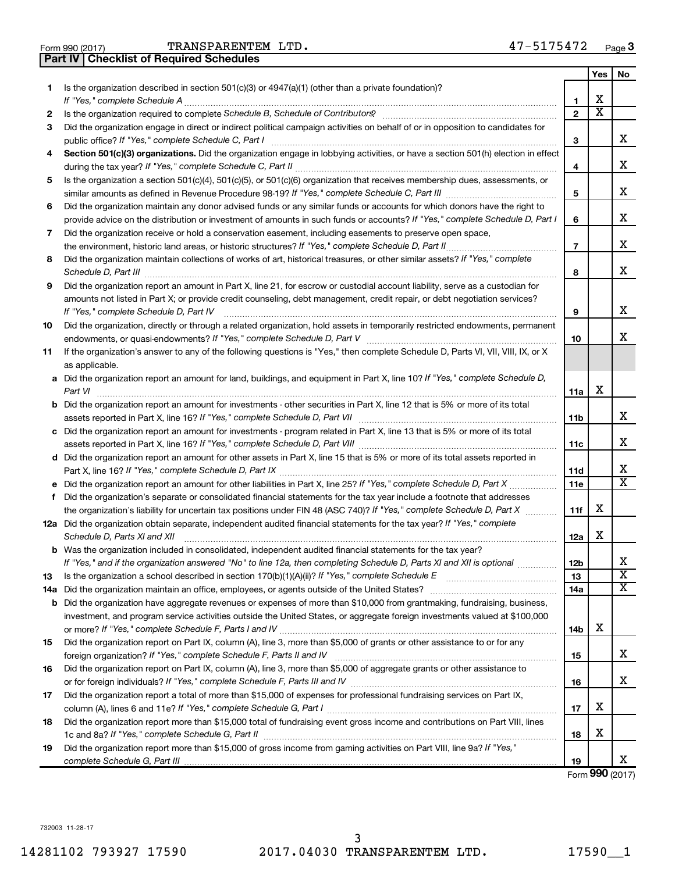**Part IV Checklist of Required Schedules**

Form 990 (2017) Page TRANSPARENTEM LTD. 47-5175472

|    |                                                                                                                                                                 |                | Yes | No                      |
|----|-----------------------------------------------------------------------------------------------------------------------------------------------------------------|----------------|-----|-------------------------|
| 1. | Is the organization described in section $501(c)(3)$ or $4947(a)(1)$ (other than a private foundation)?                                                         |                |     |                         |
|    | If "Yes," complete Schedule A                                                                                                                                   | 1              | х   |                         |
| 2  | Is the organization required to complete Schedule B, Schedule of Contributors? [11] The organization required to complete Schedule B, Schedule of Contributors? | $\mathbf{2}$   | х   |                         |
| 3  | Did the organization engage in direct or indirect political campaign activities on behalf of or in opposition to candidates for                                 |                |     |                         |
|    | public office? If "Yes," complete Schedule C, Part I                                                                                                            | з              |     | х                       |
| 4  | Section 501(c)(3) organizations. Did the organization engage in lobbying activities, or have a section 501(h) election in effect                                |                |     |                         |
|    |                                                                                                                                                                 | 4              |     | х                       |
| 5  | Is the organization a section 501(c)(4), 501(c)(5), or 501(c)(6) organization that receives membership dues, assessments, or                                    |                |     | х                       |
|    |                                                                                                                                                                 | 5              |     |                         |
| 6  | Did the organization maintain any donor advised funds or any similar funds or accounts for which donors have the right to                                       |                |     | х                       |
|    | provide advice on the distribution or investment of amounts in such funds or accounts? If "Yes," complete Schedule D, Part I                                    | 6              |     |                         |
| 7  | Did the organization receive or hold a conservation easement, including easements to preserve open space,                                                       | $\overline{7}$ |     | х                       |
| 8  | Did the organization maintain collections of works of art, historical treasures, or other similar assets? If "Yes," complete                                    |                |     |                         |
|    |                                                                                                                                                                 | 8              |     | x                       |
| 9  | Did the organization report an amount in Part X, line 21, for escrow or custodial account liability, serve as a custodian for                                   |                |     |                         |
|    | amounts not listed in Part X; or provide credit counseling, debt management, credit repair, or debt negotiation services?                                       |                |     |                         |
|    | If "Yes," complete Schedule D, Part IV                                                                                                                          | 9              |     | x                       |
| 10 | Did the organization, directly or through a related organization, hold assets in temporarily restricted endowments, permanent                                   |                |     |                         |
|    |                                                                                                                                                                 | 10             |     | x                       |
| 11 | If the organization's answer to any of the following questions is "Yes," then complete Schedule D, Parts VI, VII, VIII, IX, or X                                |                |     |                         |
|    | as applicable.                                                                                                                                                  |                |     |                         |
|    | a Did the organization report an amount for land, buildings, and equipment in Part X, line 10? If "Yes," complete Schedule D,<br>Part VI                        | 11a            | х   |                         |
|    | <b>b</b> Did the organization report an amount for investments - other securities in Part X, line 12 that is 5% or more of its total                            |                |     |                         |
|    |                                                                                                                                                                 | 11b            |     | х                       |
|    | c Did the organization report an amount for investments - program related in Part X, line 13 that is 5% or more of its total                                    |                |     |                         |
|    |                                                                                                                                                                 | 11c            |     | х                       |
|    | d Did the organization report an amount for other assets in Part X, line 15 that is 5% or more of its total assets reported in                                  |                |     |                         |
|    |                                                                                                                                                                 | 11d            |     | x                       |
|    |                                                                                                                                                                 | 11e            |     | X                       |
| f  | Did the organization's separate or consolidated financial statements for the tax year include a footnote that addresses                                         |                | х   |                         |
|    | the organization's liability for uncertain tax positions under FIN 48 (ASC 740)? If "Yes," complete Schedule D, Part X                                          | 11f            |     |                         |
|    | 12a Did the organization obtain separate, independent audited financial statements for the tax year? If "Yes," complete<br>Schedule D, Parts XI and XII         | 12a            | х   |                         |
|    | <b>b</b> Was the organization included in consolidated, independent audited financial statements for the tax year?                                              |                |     |                         |
|    | If "Yes," and if the organization answered "No" to line 12a, then completing Schedule D, Parts XI and XII is optional www.                                      | 12b            |     | 77                      |
| 13 |                                                                                                                                                                 | 13             |     | $\overline{\mathbf{X}}$ |
|    | 14a Did the organization maintain an office, employees, or agents outside of the United States?                                                                 | 14a            |     | х                       |
|    | <b>b</b> Did the organization have aggregate revenues or expenses of more than \$10,000 from grantmaking, fundraising, business,                                |                |     |                         |
|    | investment, and program service activities outside the United States, or aggregate foreign investments valued at \$100,000                                      |                |     |                         |
|    |                                                                                                                                                                 | 14b            | х   |                         |
| 15 | Did the organization report on Part IX, column (A), line 3, more than \$5,000 of grants or other assistance to or for any                                       |                |     |                         |
|    |                                                                                                                                                                 | 15             |     | х                       |
| 16 | Did the organization report on Part IX, column (A), line 3, more than \$5,000 of aggregate grants or other assistance to                                        |                |     |                         |
|    |                                                                                                                                                                 | 16             |     | х                       |
| 17 | Did the organization report a total of more than \$15,000 of expenses for professional fundraising services on Part IX,                                         |                |     |                         |
|    |                                                                                                                                                                 | 17             | х   |                         |
| 18 | Did the organization report more than \$15,000 total of fundraising event gross income and contributions on Part VIII, lines                                    |                |     |                         |
|    |                                                                                                                                                                 | 18             | x   |                         |
| 19 | Did the organization report more than \$15,000 of gross income from gaming activities on Part VIII, line 9a? If "Yes,"                                          | 19             |     | х                       |
|    |                                                                                                                                                                 |                |     |                         |

Form (2017) **990**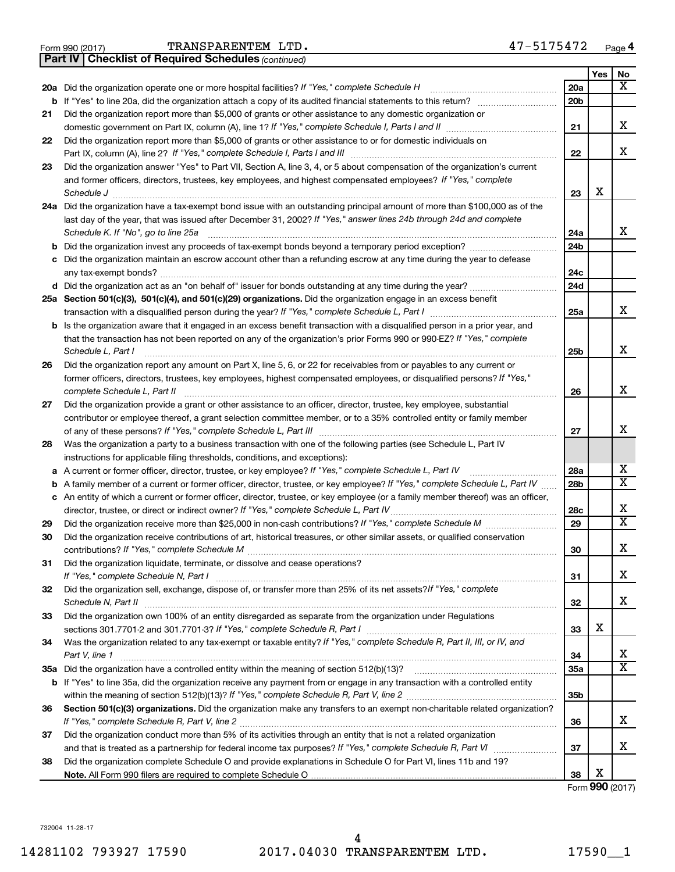|  | Form 990 (2017) |
|--|-----------------|

*(continued)* **Part IV Checklist of Required Schedules**

|        |                                                                                                                                                                                        |                 | Yes | No                      |
|--------|----------------------------------------------------------------------------------------------------------------------------------------------------------------------------------------|-----------------|-----|-------------------------|
|        | 20a Did the organization operate one or more hospital facilities? If "Yes," complete Schedule H                                                                                        | 20a             |     | X                       |
|        | <b>b</b> If "Yes" to line 20a, did the organization attach a copy of its audited financial statements to this return?                                                                  | 20 <sub>b</sub> |     |                         |
| 21     | Did the organization report more than \$5,000 of grants or other assistance to any domestic organization or                                                                            |                 |     |                         |
|        |                                                                                                                                                                                        | 21              |     | X                       |
| 22     | Did the organization report more than \$5,000 of grants or other assistance to or for domestic individuals on                                                                          |                 |     |                         |
|        |                                                                                                                                                                                        | 22              |     | X                       |
| 23     | Did the organization answer "Yes" to Part VII, Section A, line 3, 4, or 5 about compensation of the organization's current                                                             |                 |     |                         |
|        | and former officers, directors, trustees, key employees, and highest compensated employees? If "Yes," complete                                                                         |                 |     |                         |
|        |                                                                                                                                                                                        | 23              | X   |                         |
|        | 24a Did the organization have a tax-exempt bond issue with an outstanding principal amount of more than \$100,000 as of the                                                            |                 |     |                         |
|        | last day of the year, that was issued after December 31, 2002? If "Yes," answer lines 24b through 24d and complete                                                                     |                 |     |                         |
|        | Schedule K. If "No", go to line 25a                                                                                                                                                    | 24a             |     | X                       |
| b      | Did the organization invest any proceeds of tax-exempt bonds beyond a temporary period exception?                                                                                      | 24 <sub>b</sub> |     |                         |
| с      | Did the organization maintain an escrow account other than a refunding escrow at any time during the year to defease                                                                   |                 |     |                         |
|        | any tax-exempt bonds?                                                                                                                                                                  | 24c             |     |                         |
|        | d Did the organization act as an "on behalf of" issuer for bonds outstanding at any time during the year?                                                                              | 24d             |     |                         |
|        | 25a Section 501(c)(3), 501(c)(4), and 501(c)(29) organizations. Did the organization engage in an excess benefit                                                                       |                 |     |                         |
|        |                                                                                                                                                                                        | 25a             |     | х                       |
| b      | Is the organization aware that it engaged in an excess benefit transaction with a disqualified person in a prior year, and                                                             |                 |     |                         |
|        | that the transaction has not been reported on any of the organization's prior Forms 990 or 990-EZ? If "Yes," complete                                                                  |                 |     |                         |
|        | Schedule L, Part I                                                                                                                                                                     | 25b             |     | X                       |
| 26     | Did the organization report any amount on Part X, line 5, 6, or 22 for receivables from or payables to any current or                                                                  |                 |     |                         |
|        | former officers, directors, trustees, key employees, highest compensated employees, or disqualified persons? If "Yes,"                                                                 |                 |     | X                       |
|        | complete Schedule L, Part II                                                                                                                                                           | 26              |     |                         |
| 27     | Did the organization provide a grant or other assistance to an officer, director, trustee, key employee, substantial                                                                   |                 |     |                         |
|        | contributor or employee thereof, a grant selection committee member, or to a 35% controlled entity or family member                                                                    |                 |     | X                       |
|        |                                                                                                                                                                                        | 27              |     |                         |
| 28     | Was the organization a party to a business transaction with one of the following parties (see Schedule L, Part IV                                                                      |                 |     |                         |
|        | instructions for applicable filing thresholds, conditions, and exceptions):<br>A current or former officer, director, trustee, or key employee? If "Yes," complete Schedule L, Part IV | 28a             |     | х                       |
| а      | A family member of a current or former officer, director, trustee, or key employee? If "Yes," complete Schedule L, Part IV                                                             | 28b             |     | $\overline{\texttt{X}}$ |
| b<br>c | An entity of which a current or former officer, director, trustee, or key employee (or a family member thereof) was an officer,                                                        |                 |     |                         |
|        | director, trustee, or direct or indirect owner? If "Yes," complete Schedule L, Part IV                                                                                                 | 28c             |     | X                       |
| 29     |                                                                                                                                                                                        | 29              |     | $\overline{\mathtt{x}}$ |
| 30     | Did the organization receive contributions of art, historical treasures, or other similar assets, or qualified conservation                                                            |                 |     |                         |
|        |                                                                                                                                                                                        | 30              |     | X                       |
| 31     | Did the organization liquidate, terminate, or dissolve and cease operations?                                                                                                           |                 |     |                         |
|        | If "Yes," complete Schedule N, Part I                                                                                                                                                  | 31              |     | х                       |
| 32     | Did the organization sell, exchange, dispose of, or transfer more than 25% of its net assets? If "Yes," complete                                                                       |                 |     |                         |
|        | Schedule N, Part II                                                                                                                                                                    | 32              |     | x                       |
| 33     | Did the organization own 100% of an entity disregarded as separate from the organization under Regulations                                                                             |                 |     |                         |
|        |                                                                                                                                                                                        | 33              | X   |                         |
| 34     | Was the organization related to any tax-exempt or taxable entity? If "Yes," complete Schedule R, Part II, III, or IV, and                                                              |                 |     |                         |
|        | Part V, line 1                                                                                                                                                                         | 34              |     | х                       |
|        |                                                                                                                                                                                        | <b>35a</b>      |     | $\overline{\texttt{X}}$ |
| b      | If "Yes" to line 35a, did the organization receive any payment from or engage in any transaction with a controlled entity                                                              |                 |     |                         |
|        |                                                                                                                                                                                        | 35b             |     |                         |
| 36     | Section 501(c)(3) organizations. Did the organization make any transfers to an exempt non-charitable related organization?                                                             |                 |     |                         |
|        |                                                                                                                                                                                        | 36              |     | x                       |
| 37     | Did the organization conduct more than 5% of its activities through an entity that is not a related organization                                                                       |                 |     |                         |
|        |                                                                                                                                                                                        | 37              |     | х                       |
| 38     | Did the organization complete Schedule O and provide explanations in Schedule O for Part VI, lines 11b and 19?                                                                         |                 |     |                         |
|        |                                                                                                                                                                                        | 38              | X   |                         |

Form (2017) **990**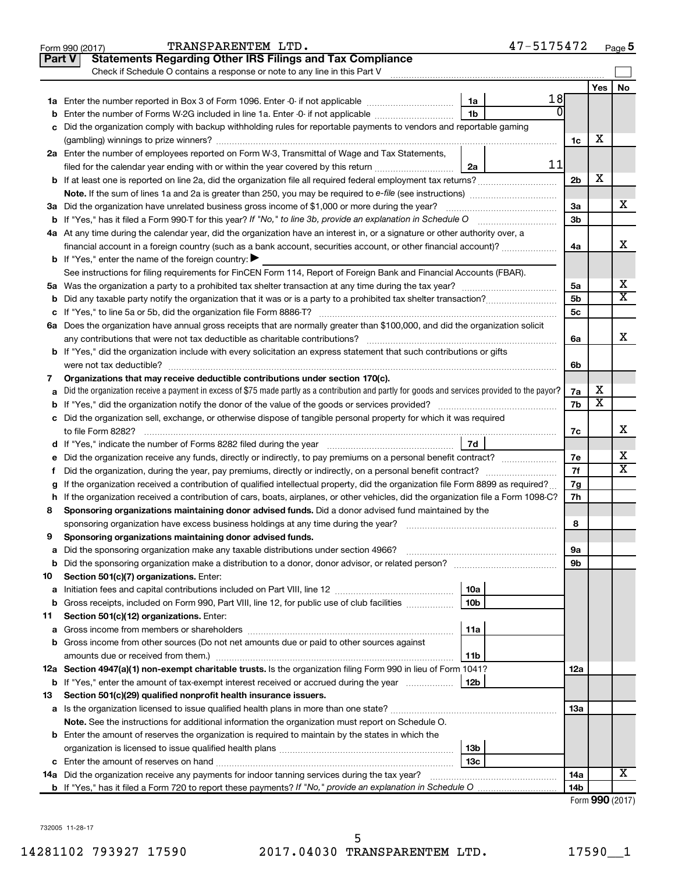| <b>Statements Regarding Other IRS Filings and Tax Compliance</b><br><b>Part V</b><br>Check if Schedule O contains a response or note to any line in this Part V<br>No<br>Yes<br>18<br>1a<br><b>b</b> Enter the number of Forms W-2G included in line 1a. Enter -0- if not applicable<br>1 <sub>b</sub><br>c Did the organization comply with backup withholding rules for reportable payments to vendors and reportable gaming<br>х<br>1c<br>2a Enter the number of employees reported on Form W-3, Transmittal of Wage and Tax Statements,<br>11<br>2a<br>filed for the calendar year ending with or within the year covered by this return<br>х<br>2 <sub>b</sub><br>b If at least one is reported on line 2a, did the organization file all required federal employment tax returns?<br>x<br>3a<br>3a Did the organization have unrelated business gross income of \$1,000 or more during the year?<br>3 <sub>b</sub><br>b If "Yes," has it filed a Form 990-T for this year? If "No," to line 3b, provide an explanation in Schedule O<br>4a At any time during the calendar year, did the organization have an interest in, or a signature or other authority over, a<br>х<br>financial account in a foreign country (such as a bank account, securities account, or other financial account)?<br>4a<br><b>b</b> If "Yes," enter the name of the foreign country: $\blacktriangleright$<br>See instructions for filing requirements for FinCEN Form 114, Report of Foreign Bank and Financial Accounts (FBAR).<br>х<br>5a<br>$\overline{\text{x}}$<br>5b<br><b>b</b> Did any taxable party notify the organization that it was or is a party to a prohibited tax shelter transaction?<br>5 <sub>c</sub><br>6a Does the organization have annual gross receipts that are normally greater than \$100,000, and did the organization solicit<br>X<br>6а<br><b>b</b> If "Yes," did the organization include with every solicitation an express statement that such contributions or gifts<br>were not tax deductible?<br>6b<br>Organizations that may receive deductible contributions under section 170(c).<br>7<br>х<br>Did the organization receive a payment in excess of \$75 made partly as a contribution and partly for goods and services provided to the payor?<br>7a<br>a<br>$\overline{\text{x}}$<br>7b<br>c Did the organization sell, exchange, or otherwise dispose of tangible personal property for which it was required<br>х<br>to file Form 8282?<br>7c<br>7d<br>х<br>e Did the organization receive any funds, directly or indirectly, to pay premiums on a personal benefit contract?<br>7e<br>$\overline{\text{x}}$<br>7f<br>Did the organization, during the year, pay premiums, directly or indirectly, on a personal benefit contract?<br>f.<br>g If the organization received a contribution of qualified intellectual property, did the organization file Form 8899 as required?<br>7g<br>h If the organization received a contribution of cars, boats, airplanes, or other vehicles, did the organization file a Form 1098-C?<br>7h<br>Sponsoring organizations maintaining donor advised funds. Did a donor advised fund maintained by the<br>8<br>sponsoring organization have excess business holdings at any time during the year?<br>8<br>Sponsoring organizations maintaining donor advised funds.<br>9<br>9а<br>а<br>9b<br>b<br>Section 501(c)(7) organizations. Enter:<br>10<br>10a<br>а<br>Gross receipts, included on Form 990, Part VIII, line 12, for public use of club facilities<br>10 <sub>b</sub><br>b<br>Section 501(c)(12) organizations. Enter:<br>11<br>11a<br>а<br>b Gross income from other sources (Do not net amounts due or paid to other sources against<br>11b<br>12a Section 4947(a)(1) non-exempt charitable trusts. Is the organization filing Form 990 in lieu of Form 1041?<br>12a<br><b>b</b> If "Yes," enter the amount of tax-exempt interest received or accrued during the year<br>12b<br>Section 501(c)(29) qualified nonprofit health insurance issuers.<br>13<br>1За<br><b>Note.</b> See the instructions for additional information the organization must report on Schedule O.<br><b>b</b> Enter the amount of reserves the organization is required to maintain by the states in which the<br>13 <sub>b</sub><br>13с<br>х<br>14a Did the organization receive any payments for indoor tanning services during the tax year?<br>14a<br>14b<br>000(0017) | 47-5175472<br>TRANSPARENTEM LTD.<br>Form 990 (2017) |  | Page 5 |
|----------------------------------------------------------------------------------------------------------------------------------------------------------------------------------------------------------------------------------------------------------------------------------------------------------------------------------------------------------------------------------------------------------------------------------------------------------------------------------------------------------------------------------------------------------------------------------------------------------------------------------------------------------------------------------------------------------------------------------------------------------------------------------------------------------------------------------------------------------------------------------------------------------------------------------------------------------------------------------------------------------------------------------------------------------------------------------------------------------------------------------------------------------------------------------------------------------------------------------------------------------------------------------------------------------------------------------------------------------------------------------------------------------------------------------------------------------------------------------------------------------------------------------------------------------------------------------------------------------------------------------------------------------------------------------------------------------------------------------------------------------------------------------------------------------------------------------------------------------------------------------------------------------------------------------------------------------------------------------------------------------------------------------------------------------------------------------------------------------------------------------------------------------------------------------------------------------------------------------------------------------------------------------------------------------------------------------------------------------------------------------------------------------------------------------------------------------------------------------------------------------------------------------------------------------------------------------------------------------------------------------------------------------------------------------------------------------------------------------------------------------------------------------------------------------------------------------------------------------------------------------------------------------------------------------------------------------------------------------------------------------------------------------------------------------------------------------------------------------------------------------------------------------------------------------------------------------------------------------------------------------------------------------------------------------------------------------------------------------------------------------------------------------------------------------------------------------------------------------------------------------------------------------------------------------------------------------------------------------------------------------------------------------------------------------------------------------------------------------------------------------------------------------------------------------------------------------------------------------------------------------------------------------------------------------------------------------------------------------------------------------------------------------------------------------------------------------------------------------------------------------------------------------------------------------------------------------------------------------------------------------------------------------------------------------------------------------------------------------------------------------------------------------------------------------|-----------------------------------------------------|--|--------|
|                                                                                                                                                                                                                                                                                                                                                                                                                                                                                                                                                                                                                                                                                                                                                                                                                                                                                                                                                                                                                                                                                                                                                                                                                                                                                                                                                                                                                                                                                                                                                                                                                                                                                                                                                                                                                                                                                                                                                                                                                                                                                                                                                                                                                                                                                                                                                                                                                                                                                                                                                                                                                                                                                                                                                                                                                                                                                                                                                                                                                                                                                                                                                                                                                                                                                                                                                                                                                                                                                                                                                                                                                                                                                                                                                                                                                                                                                                                                                                                                                                                                                                                                                                                                                                                                                                                                                                                                                                  |                                                     |  |        |
|                                                                                                                                                                                                                                                                                                                                                                                                                                                                                                                                                                                                                                                                                                                                                                                                                                                                                                                                                                                                                                                                                                                                                                                                                                                                                                                                                                                                                                                                                                                                                                                                                                                                                                                                                                                                                                                                                                                                                                                                                                                                                                                                                                                                                                                                                                                                                                                                                                                                                                                                                                                                                                                                                                                                                                                                                                                                                                                                                                                                                                                                                                                                                                                                                                                                                                                                                                                                                                                                                                                                                                                                                                                                                                                                                                                                                                                                                                                                                                                                                                                                                                                                                                                                                                                                                                                                                                                                                                  |                                                     |  |        |
|                                                                                                                                                                                                                                                                                                                                                                                                                                                                                                                                                                                                                                                                                                                                                                                                                                                                                                                                                                                                                                                                                                                                                                                                                                                                                                                                                                                                                                                                                                                                                                                                                                                                                                                                                                                                                                                                                                                                                                                                                                                                                                                                                                                                                                                                                                                                                                                                                                                                                                                                                                                                                                                                                                                                                                                                                                                                                                                                                                                                                                                                                                                                                                                                                                                                                                                                                                                                                                                                                                                                                                                                                                                                                                                                                                                                                                                                                                                                                                                                                                                                                                                                                                                                                                                                                                                                                                                                                                  |                                                     |  |        |
|                                                                                                                                                                                                                                                                                                                                                                                                                                                                                                                                                                                                                                                                                                                                                                                                                                                                                                                                                                                                                                                                                                                                                                                                                                                                                                                                                                                                                                                                                                                                                                                                                                                                                                                                                                                                                                                                                                                                                                                                                                                                                                                                                                                                                                                                                                                                                                                                                                                                                                                                                                                                                                                                                                                                                                                                                                                                                                                                                                                                                                                                                                                                                                                                                                                                                                                                                                                                                                                                                                                                                                                                                                                                                                                                                                                                                                                                                                                                                                                                                                                                                                                                                                                                                                                                                                                                                                                                                                  |                                                     |  |        |
|                                                                                                                                                                                                                                                                                                                                                                                                                                                                                                                                                                                                                                                                                                                                                                                                                                                                                                                                                                                                                                                                                                                                                                                                                                                                                                                                                                                                                                                                                                                                                                                                                                                                                                                                                                                                                                                                                                                                                                                                                                                                                                                                                                                                                                                                                                                                                                                                                                                                                                                                                                                                                                                                                                                                                                                                                                                                                                                                                                                                                                                                                                                                                                                                                                                                                                                                                                                                                                                                                                                                                                                                                                                                                                                                                                                                                                                                                                                                                                                                                                                                                                                                                                                                                                                                                                                                                                                                                                  |                                                     |  |        |
|                                                                                                                                                                                                                                                                                                                                                                                                                                                                                                                                                                                                                                                                                                                                                                                                                                                                                                                                                                                                                                                                                                                                                                                                                                                                                                                                                                                                                                                                                                                                                                                                                                                                                                                                                                                                                                                                                                                                                                                                                                                                                                                                                                                                                                                                                                                                                                                                                                                                                                                                                                                                                                                                                                                                                                                                                                                                                                                                                                                                                                                                                                                                                                                                                                                                                                                                                                                                                                                                                                                                                                                                                                                                                                                                                                                                                                                                                                                                                                                                                                                                                                                                                                                                                                                                                                                                                                                                                                  |                                                     |  |        |
|                                                                                                                                                                                                                                                                                                                                                                                                                                                                                                                                                                                                                                                                                                                                                                                                                                                                                                                                                                                                                                                                                                                                                                                                                                                                                                                                                                                                                                                                                                                                                                                                                                                                                                                                                                                                                                                                                                                                                                                                                                                                                                                                                                                                                                                                                                                                                                                                                                                                                                                                                                                                                                                                                                                                                                                                                                                                                                                                                                                                                                                                                                                                                                                                                                                                                                                                                                                                                                                                                                                                                                                                                                                                                                                                                                                                                                                                                                                                                                                                                                                                                                                                                                                                                                                                                                                                                                                                                                  |                                                     |  |        |
|                                                                                                                                                                                                                                                                                                                                                                                                                                                                                                                                                                                                                                                                                                                                                                                                                                                                                                                                                                                                                                                                                                                                                                                                                                                                                                                                                                                                                                                                                                                                                                                                                                                                                                                                                                                                                                                                                                                                                                                                                                                                                                                                                                                                                                                                                                                                                                                                                                                                                                                                                                                                                                                                                                                                                                                                                                                                                                                                                                                                                                                                                                                                                                                                                                                                                                                                                                                                                                                                                                                                                                                                                                                                                                                                                                                                                                                                                                                                                                                                                                                                                                                                                                                                                                                                                                                                                                                                                                  |                                                     |  |        |
|                                                                                                                                                                                                                                                                                                                                                                                                                                                                                                                                                                                                                                                                                                                                                                                                                                                                                                                                                                                                                                                                                                                                                                                                                                                                                                                                                                                                                                                                                                                                                                                                                                                                                                                                                                                                                                                                                                                                                                                                                                                                                                                                                                                                                                                                                                                                                                                                                                                                                                                                                                                                                                                                                                                                                                                                                                                                                                                                                                                                                                                                                                                                                                                                                                                                                                                                                                                                                                                                                                                                                                                                                                                                                                                                                                                                                                                                                                                                                                                                                                                                                                                                                                                                                                                                                                                                                                                                                                  |                                                     |  |        |
|                                                                                                                                                                                                                                                                                                                                                                                                                                                                                                                                                                                                                                                                                                                                                                                                                                                                                                                                                                                                                                                                                                                                                                                                                                                                                                                                                                                                                                                                                                                                                                                                                                                                                                                                                                                                                                                                                                                                                                                                                                                                                                                                                                                                                                                                                                                                                                                                                                                                                                                                                                                                                                                                                                                                                                                                                                                                                                                                                                                                                                                                                                                                                                                                                                                                                                                                                                                                                                                                                                                                                                                                                                                                                                                                                                                                                                                                                                                                                                                                                                                                                                                                                                                                                                                                                                                                                                                                                                  |                                                     |  |        |
|                                                                                                                                                                                                                                                                                                                                                                                                                                                                                                                                                                                                                                                                                                                                                                                                                                                                                                                                                                                                                                                                                                                                                                                                                                                                                                                                                                                                                                                                                                                                                                                                                                                                                                                                                                                                                                                                                                                                                                                                                                                                                                                                                                                                                                                                                                                                                                                                                                                                                                                                                                                                                                                                                                                                                                                                                                                                                                                                                                                                                                                                                                                                                                                                                                                                                                                                                                                                                                                                                                                                                                                                                                                                                                                                                                                                                                                                                                                                                                                                                                                                                                                                                                                                                                                                                                                                                                                                                                  |                                                     |  |        |
|                                                                                                                                                                                                                                                                                                                                                                                                                                                                                                                                                                                                                                                                                                                                                                                                                                                                                                                                                                                                                                                                                                                                                                                                                                                                                                                                                                                                                                                                                                                                                                                                                                                                                                                                                                                                                                                                                                                                                                                                                                                                                                                                                                                                                                                                                                                                                                                                                                                                                                                                                                                                                                                                                                                                                                                                                                                                                                                                                                                                                                                                                                                                                                                                                                                                                                                                                                                                                                                                                                                                                                                                                                                                                                                                                                                                                                                                                                                                                                                                                                                                                                                                                                                                                                                                                                                                                                                                                                  |                                                     |  |        |
|                                                                                                                                                                                                                                                                                                                                                                                                                                                                                                                                                                                                                                                                                                                                                                                                                                                                                                                                                                                                                                                                                                                                                                                                                                                                                                                                                                                                                                                                                                                                                                                                                                                                                                                                                                                                                                                                                                                                                                                                                                                                                                                                                                                                                                                                                                                                                                                                                                                                                                                                                                                                                                                                                                                                                                                                                                                                                                                                                                                                                                                                                                                                                                                                                                                                                                                                                                                                                                                                                                                                                                                                                                                                                                                                                                                                                                                                                                                                                                                                                                                                                                                                                                                                                                                                                                                                                                                                                                  |                                                     |  |        |
|                                                                                                                                                                                                                                                                                                                                                                                                                                                                                                                                                                                                                                                                                                                                                                                                                                                                                                                                                                                                                                                                                                                                                                                                                                                                                                                                                                                                                                                                                                                                                                                                                                                                                                                                                                                                                                                                                                                                                                                                                                                                                                                                                                                                                                                                                                                                                                                                                                                                                                                                                                                                                                                                                                                                                                                                                                                                                                                                                                                                                                                                                                                                                                                                                                                                                                                                                                                                                                                                                                                                                                                                                                                                                                                                                                                                                                                                                                                                                                                                                                                                                                                                                                                                                                                                                                                                                                                                                                  |                                                     |  |        |
|                                                                                                                                                                                                                                                                                                                                                                                                                                                                                                                                                                                                                                                                                                                                                                                                                                                                                                                                                                                                                                                                                                                                                                                                                                                                                                                                                                                                                                                                                                                                                                                                                                                                                                                                                                                                                                                                                                                                                                                                                                                                                                                                                                                                                                                                                                                                                                                                                                                                                                                                                                                                                                                                                                                                                                                                                                                                                                                                                                                                                                                                                                                                                                                                                                                                                                                                                                                                                                                                                                                                                                                                                                                                                                                                                                                                                                                                                                                                                                                                                                                                                                                                                                                                                                                                                                                                                                                                                                  |                                                     |  |        |
|                                                                                                                                                                                                                                                                                                                                                                                                                                                                                                                                                                                                                                                                                                                                                                                                                                                                                                                                                                                                                                                                                                                                                                                                                                                                                                                                                                                                                                                                                                                                                                                                                                                                                                                                                                                                                                                                                                                                                                                                                                                                                                                                                                                                                                                                                                                                                                                                                                                                                                                                                                                                                                                                                                                                                                                                                                                                                                                                                                                                                                                                                                                                                                                                                                                                                                                                                                                                                                                                                                                                                                                                                                                                                                                                                                                                                                                                                                                                                                                                                                                                                                                                                                                                                                                                                                                                                                                                                                  |                                                     |  |        |
|                                                                                                                                                                                                                                                                                                                                                                                                                                                                                                                                                                                                                                                                                                                                                                                                                                                                                                                                                                                                                                                                                                                                                                                                                                                                                                                                                                                                                                                                                                                                                                                                                                                                                                                                                                                                                                                                                                                                                                                                                                                                                                                                                                                                                                                                                                                                                                                                                                                                                                                                                                                                                                                                                                                                                                                                                                                                                                                                                                                                                                                                                                                                                                                                                                                                                                                                                                                                                                                                                                                                                                                                                                                                                                                                                                                                                                                                                                                                                                                                                                                                                                                                                                                                                                                                                                                                                                                                                                  |                                                     |  |        |
|                                                                                                                                                                                                                                                                                                                                                                                                                                                                                                                                                                                                                                                                                                                                                                                                                                                                                                                                                                                                                                                                                                                                                                                                                                                                                                                                                                                                                                                                                                                                                                                                                                                                                                                                                                                                                                                                                                                                                                                                                                                                                                                                                                                                                                                                                                                                                                                                                                                                                                                                                                                                                                                                                                                                                                                                                                                                                                                                                                                                                                                                                                                                                                                                                                                                                                                                                                                                                                                                                                                                                                                                                                                                                                                                                                                                                                                                                                                                                                                                                                                                                                                                                                                                                                                                                                                                                                                                                                  |                                                     |  |        |
|                                                                                                                                                                                                                                                                                                                                                                                                                                                                                                                                                                                                                                                                                                                                                                                                                                                                                                                                                                                                                                                                                                                                                                                                                                                                                                                                                                                                                                                                                                                                                                                                                                                                                                                                                                                                                                                                                                                                                                                                                                                                                                                                                                                                                                                                                                                                                                                                                                                                                                                                                                                                                                                                                                                                                                                                                                                                                                                                                                                                                                                                                                                                                                                                                                                                                                                                                                                                                                                                                                                                                                                                                                                                                                                                                                                                                                                                                                                                                                                                                                                                                                                                                                                                                                                                                                                                                                                                                                  |                                                     |  |        |
|                                                                                                                                                                                                                                                                                                                                                                                                                                                                                                                                                                                                                                                                                                                                                                                                                                                                                                                                                                                                                                                                                                                                                                                                                                                                                                                                                                                                                                                                                                                                                                                                                                                                                                                                                                                                                                                                                                                                                                                                                                                                                                                                                                                                                                                                                                                                                                                                                                                                                                                                                                                                                                                                                                                                                                                                                                                                                                                                                                                                                                                                                                                                                                                                                                                                                                                                                                                                                                                                                                                                                                                                                                                                                                                                                                                                                                                                                                                                                                                                                                                                                                                                                                                                                                                                                                                                                                                                                                  |                                                     |  |        |
|                                                                                                                                                                                                                                                                                                                                                                                                                                                                                                                                                                                                                                                                                                                                                                                                                                                                                                                                                                                                                                                                                                                                                                                                                                                                                                                                                                                                                                                                                                                                                                                                                                                                                                                                                                                                                                                                                                                                                                                                                                                                                                                                                                                                                                                                                                                                                                                                                                                                                                                                                                                                                                                                                                                                                                                                                                                                                                                                                                                                                                                                                                                                                                                                                                                                                                                                                                                                                                                                                                                                                                                                                                                                                                                                                                                                                                                                                                                                                                                                                                                                                                                                                                                                                                                                                                                                                                                                                                  |                                                     |  |        |
|                                                                                                                                                                                                                                                                                                                                                                                                                                                                                                                                                                                                                                                                                                                                                                                                                                                                                                                                                                                                                                                                                                                                                                                                                                                                                                                                                                                                                                                                                                                                                                                                                                                                                                                                                                                                                                                                                                                                                                                                                                                                                                                                                                                                                                                                                                                                                                                                                                                                                                                                                                                                                                                                                                                                                                                                                                                                                                                                                                                                                                                                                                                                                                                                                                                                                                                                                                                                                                                                                                                                                                                                                                                                                                                                                                                                                                                                                                                                                                                                                                                                                                                                                                                                                                                                                                                                                                                                                                  |                                                     |  |        |
|                                                                                                                                                                                                                                                                                                                                                                                                                                                                                                                                                                                                                                                                                                                                                                                                                                                                                                                                                                                                                                                                                                                                                                                                                                                                                                                                                                                                                                                                                                                                                                                                                                                                                                                                                                                                                                                                                                                                                                                                                                                                                                                                                                                                                                                                                                                                                                                                                                                                                                                                                                                                                                                                                                                                                                                                                                                                                                                                                                                                                                                                                                                                                                                                                                                                                                                                                                                                                                                                                                                                                                                                                                                                                                                                                                                                                                                                                                                                                                                                                                                                                                                                                                                                                                                                                                                                                                                                                                  |                                                     |  |        |
|                                                                                                                                                                                                                                                                                                                                                                                                                                                                                                                                                                                                                                                                                                                                                                                                                                                                                                                                                                                                                                                                                                                                                                                                                                                                                                                                                                                                                                                                                                                                                                                                                                                                                                                                                                                                                                                                                                                                                                                                                                                                                                                                                                                                                                                                                                                                                                                                                                                                                                                                                                                                                                                                                                                                                                                                                                                                                                                                                                                                                                                                                                                                                                                                                                                                                                                                                                                                                                                                                                                                                                                                                                                                                                                                                                                                                                                                                                                                                                                                                                                                                                                                                                                                                                                                                                                                                                                                                                  |                                                     |  |        |
|                                                                                                                                                                                                                                                                                                                                                                                                                                                                                                                                                                                                                                                                                                                                                                                                                                                                                                                                                                                                                                                                                                                                                                                                                                                                                                                                                                                                                                                                                                                                                                                                                                                                                                                                                                                                                                                                                                                                                                                                                                                                                                                                                                                                                                                                                                                                                                                                                                                                                                                                                                                                                                                                                                                                                                                                                                                                                                                                                                                                                                                                                                                                                                                                                                                                                                                                                                                                                                                                                                                                                                                                                                                                                                                                                                                                                                                                                                                                                                                                                                                                                                                                                                                                                                                                                                                                                                                                                                  |                                                     |  |        |
|                                                                                                                                                                                                                                                                                                                                                                                                                                                                                                                                                                                                                                                                                                                                                                                                                                                                                                                                                                                                                                                                                                                                                                                                                                                                                                                                                                                                                                                                                                                                                                                                                                                                                                                                                                                                                                                                                                                                                                                                                                                                                                                                                                                                                                                                                                                                                                                                                                                                                                                                                                                                                                                                                                                                                                                                                                                                                                                                                                                                                                                                                                                                                                                                                                                                                                                                                                                                                                                                                                                                                                                                                                                                                                                                                                                                                                                                                                                                                                                                                                                                                                                                                                                                                                                                                                                                                                                                                                  |                                                     |  |        |
|                                                                                                                                                                                                                                                                                                                                                                                                                                                                                                                                                                                                                                                                                                                                                                                                                                                                                                                                                                                                                                                                                                                                                                                                                                                                                                                                                                                                                                                                                                                                                                                                                                                                                                                                                                                                                                                                                                                                                                                                                                                                                                                                                                                                                                                                                                                                                                                                                                                                                                                                                                                                                                                                                                                                                                                                                                                                                                                                                                                                                                                                                                                                                                                                                                                                                                                                                                                                                                                                                                                                                                                                                                                                                                                                                                                                                                                                                                                                                                                                                                                                                                                                                                                                                                                                                                                                                                                                                                  |                                                     |  |        |
|                                                                                                                                                                                                                                                                                                                                                                                                                                                                                                                                                                                                                                                                                                                                                                                                                                                                                                                                                                                                                                                                                                                                                                                                                                                                                                                                                                                                                                                                                                                                                                                                                                                                                                                                                                                                                                                                                                                                                                                                                                                                                                                                                                                                                                                                                                                                                                                                                                                                                                                                                                                                                                                                                                                                                                                                                                                                                                                                                                                                                                                                                                                                                                                                                                                                                                                                                                                                                                                                                                                                                                                                                                                                                                                                                                                                                                                                                                                                                                                                                                                                                                                                                                                                                                                                                                                                                                                                                                  |                                                     |  |        |
|                                                                                                                                                                                                                                                                                                                                                                                                                                                                                                                                                                                                                                                                                                                                                                                                                                                                                                                                                                                                                                                                                                                                                                                                                                                                                                                                                                                                                                                                                                                                                                                                                                                                                                                                                                                                                                                                                                                                                                                                                                                                                                                                                                                                                                                                                                                                                                                                                                                                                                                                                                                                                                                                                                                                                                                                                                                                                                                                                                                                                                                                                                                                                                                                                                                                                                                                                                                                                                                                                                                                                                                                                                                                                                                                                                                                                                                                                                                                                                                                                                                                                                                                                                                                                                                                                                                                                                                                                                  |                                                     |  |        |
|                                                                                                                                                                                                                                                                                                                                                                                                                                                                                                                                                                                                                                                                                                                                                                                                                                                                                                                                                                                                                                                                                                                                                                                                                                                                                                                                                                                                                                                                                                                                                                                                                                                                                                                                                                                                                                                                                                                                                                                                                                                                                                                                                                                                                                                                                                                                                                                                                                                                                                                                                                                                                                                                                                                                                                                                                                                                                                                                                                                                                                                                                                                                                                                                                                                                                                                                                                                                                                                                                                                                                                                                                                                                                                                                                                                                                                                                                                                                                                                                                                                                                                                                                                                                                                                                                                                                                                                                                                  |                                                     |  |        |
|                                                                                                                                                                                                                                                                                                                                                                                                                                                                                                                                                                                                                                                                                                                                                                                                                                                                                                                                                                                                                                                                                                                                                                                                                                                                                                                                                                                                                                                                                                                                                                                                                                                                                                                                                                                                                                                                                                                                                                                                                                                                                                                                                                                                                                                                                                                                                                                                                                                                                                                                                                                                                                                                                                                                                                                                                                                                                                                                                                                                                                                                                                                                                                                                                                                                                                                                                                                                                                                                                                                                                                                                                                                                                                                                                                                                                                                                                                                                                                                                                                                                                                                                                                                                                                                                                                                                                                                                                                  |                                                     |  |        |
|                                                                                                                                                                                                                                                                                                                                                                                                                                                                                                                                                                                                                                                                                                                                                                                                                                                                                                                                                                                                                                                                                                                                                                                                                                                                                                                                                                                                                                                                                                                                                                                                                                                                                                                                                                                                                                                                                                                                                                                                                                                                                                                                                                                                                                                                                                                                                                                                                                                                                                                                                                                                                                                                                                                                                                                                                                                                                                                                                                                                                                                                                                                                                                                                                                                                                                                                                                                                                                                                                                                                                                                                                                                                                                                                                                                                                                                                                                                                                                                                                                                                                                                                                                                                                                                                                                                                                                                                                                  |                                                     |  |        |
|                                                                                                                                                                                                                                                                                                                                                                                                                                                                                                                                                                                                                                                                                                                                                                                                                                                                                                                                                                                                                                                                                                                                                                                                                                                                                                                                                                                                                                                                                                                                                                                                                                                                                                                                                                                                                                                                                                                                                                                                                                                                                                                                                                                                                                                                                                                                                                                                                                                                                                                                                                                                                                                                                                                                                                                                                                                                                                                                                                                                                                                                                                                                                                                                                                                                                                                                                                                                                                                                                                                                                                                                                                                                                                                                                                                                                                                                                                                                                                                                                                                                                                                                                                                                                                                                                                                                                                                                                                  |                                                     |  |        |
|                                                                                                                                                                                                                                                                                                                                                                                                                                                                                                                                                                                                                                                                                                                                                                                                                                                                                                                                                                                                                                                                                                                                                                                                                                                                                                                                                                                                                                                                                                                                                                                                                                                                                                                                                                                                                                                                                                                                                                                                                                                                                                                                                                                                                                                                                                                                                                                                                                                                                                                                                                                                                                                                                                                                                                                                                                                                                                                                                                                                                                                                                                                                                                                                                                                                                                                                                                                                                                                                                                                                                                                                                                                                                                                                                                                                                                                                                                                                                                                                                                                                                                                                                                                                                                                                                                                                                                                                                                  |                                                     |  |        |
|                                                                                                                                                                                                                                                                                                                                                                                                                                                                                                                                                                                                                                                                                                                                                                                                                                                                                                                                                                                                                                                                                                                                                                                                                                                                                                                                                                                                                                                                                                                                                                                                                                                                                                                                                                                                                                                                                                                                                                                                                                                                                                                                                                                                                                                                                                                                                                                                                                                                                                                                                                                                                                                                                                                                                                                                                                                                                                                                                                                                                                                                                                                                                                                                                                                                                                                                                                                                                                                                                                                                                                                                                                                                                                                                                                                                                                                                                                                                                                                                                                                                                                                                                                                                                                                                                                                                                                                                                                  |                                                     |  |        |
|                                                                                                                                                                                                                                                                                                                                                                                                                                                                                                                                                                                                                                                                                                                                                                                                                                                                                                                                                                                                                                                                                                                                                                                                                                                                                                                                                                                                                                                                                                                                                                                                                                                                                                                                                                                                                                                                                                                                                                                                                                                                                                                                                                                                                                                                                                                                                                                                                                                                                                                                                                                                                                                                                                                                                                                                                                                                                                                                                                                                                                                                                                                                                                                                                                                                                                                                                                                                                                                                                                                                                                                                                                                                                                                                                                                                                                                                                                                                                                                                                                                                                                                                                                                                                                                                                                                                                                                                                                  |                                                     |  |        |
|                                                                                                                                                                                                                                                                                                                                                                                                                                                                                                                                                                                                                                                                                                                                                                                                                                                                                                                                                                                                                                                                                                                                                                                                                                                                                                                                                                                                                                                                                                                                                                                                                                                                                                                                                                                                                                                                                                                                                                                                                                                                                                                                                                                                                                                                                                                                                                                                                                                                                                                                                                                                                                                                                                                                                                                                                                                                                                                                                                                                                                                                                                                                                                                                                                                                                                                                                                                                                                                                                                                                                                                                                                                                                                                                                                                                                                                                                                                                                                                                                                                                                                                                                                                                                                                                                                                                                                                                                                  |                                                     |  |        |
|                                                                                                                                                                                                                                                                                                                                                                                                                                                                                                                                                                                                                                                                                                                                                                                                                                                                                                                                                                                                                                                                                                                                                                                                                                                                                                                                                                                                                                                                                                                                                                                                                                                                                                                                                                                                                                                                                                                                                                                                                                                                                                                                                                                                                                                                                                                                                                                                                                                                                                                                                                                                                                                                                                                                                                                                                                                                                                                                                                                                                                                                                                                                                                                                                                                                                                                                                                                                                                                                                                                                                                                                                                                                                                                                                                                                                                                                                                                                                                                                                                                                                                                                                                                                                                                                                                                                                                                                                                  |                                                     |  |        |
|                                                                                                                                                                                                                                                                                                                                                                                                                                                                                                                                                                                                                                                                                                                                                                                                                                                                                                                                                                                                                                                                                                                                                                                                                                                                                                                                                                                                                                                                                                                                                                                                                                                                                                                                                                                                                                                                                                                                                                                                                                                                                                                                                                                                                                                                                                                                                                                                                                                                                                                                                                                                                                                                                                                                                                                                                                                                                                                                                                                                                                                                                                                                                                                                                                                                                                                                                                                                                                                                                                                                                                                                                                                                                                                                                                                                                                                                                                                                                                                                                                                                                                                                                                                                                                                                                                                                                                                                                                  |                                                     |  |        |
|                                                                                                                                                                                                                                                                                                                                                                                                                                                                                                                                                                                                                                                                                                                                                                                                                                                                                                                                                                                                                                                                                                                                                                                                                                                                                                                                                                                                                                                                                                                                                                                                                                                                                                                                                                                                                                                                                                                                                                                                                                                                                                                                                                                                                                                                                                                                                                                                                                                                                                                                                                                                                                                                                                                                                                                                                                                                                                                                                                                                                                                                                                                                                                                                                                                                                                                                                                                                                                                                                                                                                                                                                                                                                                                                                                                                                                                                                                                                                                                                                                                                                                                                                                                                                                                                                                                                                                                                                                  |                                                     |  |        |
|                                                                                                                                                                                                                                                                                                                                                                                                                                                                                                                                                                                                                                                                                                                                                                                                                                                                                                                                                                                                                                                                                                                                                                                                                                                                                                                                                                                                                                                                                                                                                                                                                                                                                                                                                                                                                                                                                                                                                                                                                                                                                                                                                                                                                                                                                                                                                                                                                                                                                                                                                                                                                                                                                                                                                                                                                                                                                                                                                                                                                                                                                                                                                                                                                                                                                                                                                                                                                                                                                                                                                                                                                                                                                                                                                                                                                                                                                                                                                                                                                                                                                                                                                                                                                                                                                                                                                                                                                                  |                                                     |  |        |
|                                                                                                                                                                                                                                                                                                                                                                                                                                                                                                                                                                                                                                                                                                                                                                                                                                                                                                                                                                                                                                                                                                                                                                                                                                                                                                                                                                                                                                                                                                                                                                                                                                                                                                                                                                                                                                                                                                                                                                                                                                                                                                                                                                                                                                                                                                                                                                                                                                                                                                                                                                                                                                                                                                                                                                                                                                                                                                                                                                                                                                                                                                                                                                                                                                                                                                                                                                                                                                                                                                                                                                                                                                                                                                                                                                                                                                                                                                                                                                                                                                                                                                                                                                                                                                                                                                                                                                                                                                  |                                                     |  |        |
|                                                                                                                                                                                                                                                                                                                                                                                                                                                                                                                                                                                                                                                                                                                                                                                                                                                                                                                                                                                                                                                                                                                                                                                                                                                                                                                                                                                                                                                                                                                                                                                                                                                                                                                                                                                                                                                                                                                                                                                                                                                                                                                                                                                                                                                                                                                                                                                                                                                                                                                                                                                                                                                                                                                                                                                                                                                                                                                                                                                                                                                                                                                                                                                                                                                                                                                                                                                                                                                                                                                                                                                                                                                                                                                                                                                                                                                                                                                                                                                                                                                                                                                                                                                                                                                                                                                                                                                                                                  |                                                     |  |        |
|                                                                                                                                                                                                                                                                                                                                                                                                                                                                                                                                                                                                                                                                                                                                                                                                                                                                                                                                                                                                                                                                                                                                                                                                                                                                                                                                                                                                                                                                                                                                                                                                                                                                                                                                                                                                                                                                                                                                                                                                                                                                                                                                                                                                                                                                                                                                                                                                                                                                                                                                                                                                                                                                                                                                                                                                                                                                                                                                                                                                                                                                                                                                                                                                                                                                                                                                                                                                                                                                                                                                                                                                                                                                                                                                                                                                                                                                                                                                                                                                                                                                                                                                                                                                                                                                                                                                                                                                                                  |                                                     |  |        |
|                                                                                                                                                                                                                                                                                                                                                                                                                                                                                                                                                                                                                                                                                                                                                                                                                                                                                                                                                                                                                                                                                                                                                                                                                                                                                                                                                                                                                                                                                                                                                                                                                                                                                                                                                                                                                                                                                                                                                                                                                                                                                                                                                                                                                                                                                                                                                                                                                                                                                                                                                                                                                                                                                                                                                                                                                                                                                                                                                                                                                                                                                                                                                                                                                                                                                                                                                                                                                                                                                                                                                                                                                                                                                                                                                                                                                                                                                                                                                                                                                                                                                                                                                                                                                                                                                                                                                                                                                                  |                                                     |  |        |
|                                                                                                                                                                                                                                                                                                                                                                                                                                                                                                                                                                                                                                                                                                                                                                                                                                                                                                                                                                                                                                                                                                                                                                                                                                                                                                                                                                                                                                                                                                                                                                                                                                                                                                                                                                                                                                                                                                                                                                                                                                                                                                                                                                                                                                                                                                                                                                                                                                                                                                                                                                                                                                                                                                                                                                                                                                                                                                                                                                                                                                                                                                                                                                                                                                                                                                                                                                                                                                                                                                                                                                                                                                                                                                                                                                                                                                                                                                                                                                                                                                                                                                                                                                                                                                                                                                                                                                                                                                  |                                                     |  |        |
|                                                                                                                                                                                                                                                                                                                                                                                                                                                                                                                                                                                                                                                                                                                                                                                                                                                                                                                                                                                                                                                                                                                                                                                                                                                                                                                                                                                                                                                                                                                                                                                                                                                                                                                                                                                                                                                                                                                                                                                                                                                                                                                                                                                                                                                                                                                                                                                                                                                                                                                                                                                                                                                                                                                                                                                                                                                                                                                                                                                                                                                                                                                                                                                                                                                                                                                                                                                                                                                                                                                                                                                                                                                                                                                                                                                                                                                                                                                                                                                                                                                                                                                                                                                                                                                                                                                                                                                                                                  |                                                     |  |        |
|                                                                                                                                                                                                                                                                                                                                                                                                                                                                                                                                                                                                                                                                                                                                                                                                                                                                                                                                                                                                                                                                                                                                                                                                                                                                                                                                                                                                                                                                                                                                                                                                                                                                                                                                                                                                                                                                                                                                                                                                                                                                                                                                                                                                                                                                                                                                                                                                                                                                                                                                                                                                                                                                                                                                                                                                                                                                                                                                                                                                                                                                                                                                                                                                                                                                                                                                                                                                                                                                                                                                                                                                                                                                                                                                                                                                                                                                                                                                                                                                                                                                                                                                                                                                                                                                                                                                                                                                                                  |                                                     |  |        |
|                                                                                                                                                                                                                                                                                                                                                                                                                                                                                                                                                                                                                                                                                                                                                                                                                                                                                                                                                                                                                                                                                                                                                                                                                                                                                                                                                                                                                                                                                                                                                                                                                                                                                                                                                                                                                                                                                                                                                                                                                                                                                                                                                                                                                                                                                                                                                                                                                                                                                                                                                                                                                                                                                                                                                                                                                                                                                                                                                                                                                                                                                                                                                                                                                                                                                                                                                                                                                                                                                                                                                                                                                                                                                                                                                                                                                                                                                                                                                                                                                                                                                                                                                                                                                                                                                                                                                                                                                                  |                                                     |  |        |
|                                                                                                                                                                                                                                                                                                                                                                                                                                                                                                                                                                                                                                                                                                                                                                                                                                                                                                                                                                                                                                                                                                                                                                                                                                                                                                                                                                                                                                                                                                                                                                                                                                                                                                                                                                                                                                                                                                                                                                                                                                                                                                                                                                                                                                                                                                                                                                                                                                                                                                                                                                                                                                                                                                                                                                                                                                                                                                                                                                                                                                                                                                                                                                                                                                                                                                                                                                                                                                                                                                                                                                                                                                                                                                                                                                                                                                                                                                                                                                                                                                                                                                                                                                                                                                                                                                                                                                                                                                  |                                                     |  |        |
|                                                                                                                                                                                                                                                                                                                                                                                                                                                                                                                                                                                                                                                                                                                                                                                                                                                                                                                                                                                                                                                                                                                                                                                                                                                                                                                                                                                                                                                                                                                                                                                                                                                                                                                                                                                                                                                                                                                                                                                                                                                                                                                                                                                                                                                                                                                                                                                                                                                                                                                                                                                                                                                                                                                                                                                                                                                                                                                                                                                                                                                                                                                                                                                                                                                                                                                                                                                                                                                                                                                                                                                                                                                                                                                                                                                                                                                                                                                                                                                                                                                                                                                                                                                                                                                                                                                                                                                                                                  |                                                     |  |        |
|                                                                                                                                                                                                                                                                                                                                                                                                                                                                                                                                                                                                                                                                                                                                                                                                                                                                                                                                                                                                                                                                                                                                                                                                                                                                                                                                                                                                                                                                                                                                                                                                                                                                                                                                                                                                                                                                                                                                                                                                                                                                                                                                                                                                                                                                                                                                                                                                                                                                                                                                                                                                                                                                                                                                                                                                                                                                                                                                                                                                                                                                                                                                                                                                                                                                                                                                                                                                                                                                                                                                                                                                                                                                                                                                                                                                                                                                                                                                                                                                                                                                                                                                                                                                                                                                                                                                                                                                                                  |                                                     |  |        |
|                                                                                                                                                                                                                                                                                                                                                                                                                                                                                                                                                                                                                                                                                                                                                                                                                                                                                                                                                                                                                                                                                                                                                                                                                                                                                                                                                                                                                                                                                                                                                                                                                                                                                                                                                                                                                                                                                                                                                                                                                                                                                                                                                                                                                                                                                                                                                                                                                                                                                                                                                                                                                                                                                                                                                                                                                                                                                                                                                                                                                                                                                                                                                                                                                                                                                                                                                                                                                                                                                                                                                                                                                                                                                                                                                                                                                                                                                                                                                                                                                                                                                                                                                                                                                                                                                                                                                                                                                                  |                                                     |  |        |
|                                                                                                                                                                                                                                                                                                                                                                                                                                                                                                                                                                                                                                                                                                                                                                                                                                                                                                                                                                                                                                                                                                                                                                                                                                                                                                                                                                                                                                                                                                                                                                                                                                                                                                                                                                                                                                                                                                                                                                                                                                                                                                                                                                                                                                                                                                                                                                                                                                                                                                                                                                                                                                                                                                                                                                                                                                                                                                                                                                                                                                                                                                                                                                                                                                                                                                                                                                                                                                                                                                                                                                                                                                                                                                                                                                                                                                                                                                                                                                                                                                                                                                                                                                                                                                                                                                                                                                                                                                  |                                                     |  |        |
|                                                                                                                                                                                                                                                                                                                                                                                                                                                                                                                                                                                                                                                                                                                                                                                                                                                                                                                                                                                                                                                                                                                                                                                                                                                                                                                                                                                                                                                                                                                                                                                                                                                                                                                                                                                                                                                                                                                                                                                                                                                                                                                                                                                                                                                                                                                                                                                                                                                                                                                                                                                                                                                                                                                                                                                                                                                                                                                                                                                                                                                                                                                                                                                                                                                                                                                                                                                                                                                                                                                                                                                                                                                                                                                                                                                                                                                                                                                                                                                                                                                                                                                                                                                                                                                                                                                                                                                                                                  |                                                     |  |        |
|                                                                                                                                                                                                                                                                                                                                                                                                                                                                                                                                                                                                                                                                                                                                                                                                                                                                                                                                                                                                                                                                                                                                                                                                                                                                                                                                                                                                                                                                                                                                                                                                                                                                                                                                                                                                                                                                                                                                                                                                                                                                                                                                                                                                                                                                                                                                                                                                                                                                                                                                                                                                                                                                                                                                                                                                                                                                                                                                                                                                                                                                                                                                                                                                                                                                                                                                                                                                                                                                                                                                                                                                                                                                                                                                                                                                                                                                                                                                                                                                                                                                                                                                                                                                                                                                                                                                                                                                                                  |                                                     |  |        |

Form (2017) **990**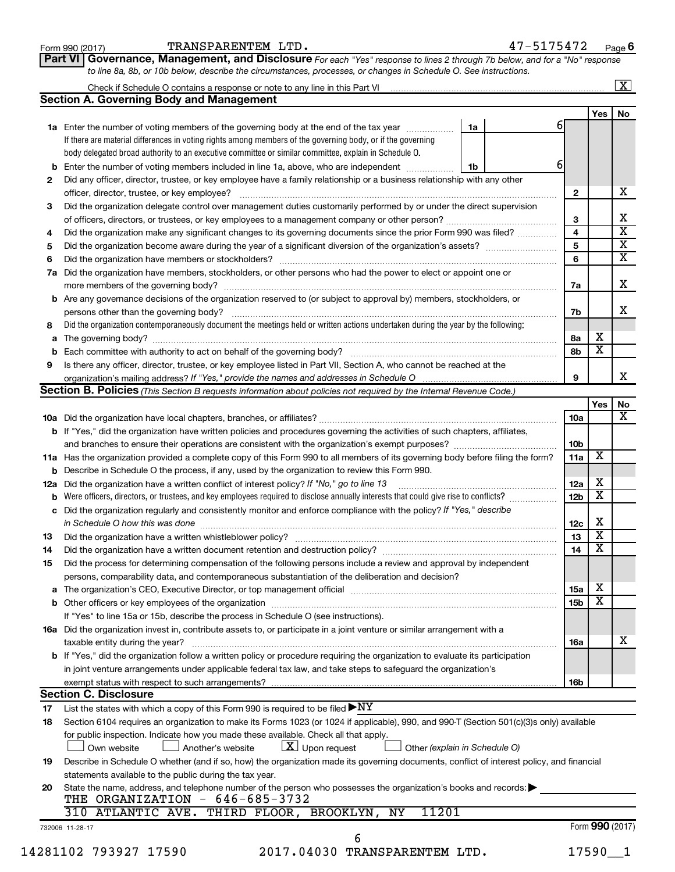| Form 990 (2017) |
|-----------------|
|-----------------|

Form 990 (2017) Page TRANSPARENTEM LTD. 47-5175472

**Part VI** Governance, Management, and Disclosure For each "Yes" response to lines 2 through 7b below, and for a "No" response *to line 8a, 8b, or 10b below, describe the circumstances, processes, or changes in Schedule O. See instructions.*

|     | Check if Schedule O contains a response or note to any line in this Part VI [1] [1] [1] [1] [1] [1] [1] [1] [1                                                                      |    |  |  |    |                        |                         | $\overline{\mathbf{X}}$ |
|-----|-------------------------------------------------------------------------------------------------------------------------------------------------------------------------------------|----|--|--|----|------------------------|-------------------------|-------------------------|
|     | <b>Section A. Governing Body and Management</b>                                                                                                                                     |    |  |  |    |                        |                         |                         |
|     |                                                                                                                                                                                     |    |  |  | 61 |                        | Yes $ $                 | No                      |
|     | 1a Enter the number of voting members of the governing body at the end of the tax year <i>manumum</i>                                                                               | 1a |  |  |    |                        |                         |                         |
|     | If there are material differences in voting rights among members of the governing body, or if the governing                                                                         |    |  |  |    |                        |                         |                         |
|     | body delegated broad authority to an executive committee or similar committee, explain in Schedule O.                                                                               |    |  |  |    |                        |                         |                         |
| b   | Enter the number of voting members included in line 1a, above, who are independent <i>manumum</i>                                                                                   | 1b |  |  | 6  |                        |                         |                         |
| 2   | Did any officer, director, trustee, or key employee have a family relationship or a business relationship with any other                                                            |    |  |  |    |                        |                         |                         |
|     | officer, director, trustee, or key employee?                                                                                                                                        |    |  |  |    | $\mathbf{2}$           |                         |                         |
| 3   | Did the organization delegate control over management duties customarily performed by or under the direct supervision                                                               |    |  |  |    |                        |                         |                         |
|     |                                                                                                                                                                                     |    |  |  |    | 3                      |                         |                         |
| 4   | Did the organization make any significant changes to its governing documents since the prior Form 990 was filed?                                                                    |    |  |  |    | 4                      |                         |                         |
| 5   |                                                                                                                                                                                     |    |  |  |    | 5                      |                         |                         |
| 6   |                                                                                                                                                                                     |    |  |  |    | 6                      |                         |                         |
| 7a  | Did the organization have members, stockholders, or other persons who had the power to elect or appoint one or                                                                      |    |  |  |    |                        |                         |                         |
|     |                                                                                                                                                                                     |    |  |  |    | 7а                     |                         |                         |
| b   | Are any governance decisions of the organization reserved to (or subject to approval by) members, stockholders, or                                                                  |    |  |  |    |                        |                         |                         |
|     |                                                                                                                                                                                     |    |  |  |    | 7b                     |                         |                         |
| 8   | Did the organization contemporaneously document the meetings held or written actions undertaken during the year by the following:                                                   |    |  |  |    |                        |                         |                         |
| а   |                                                                                                                                                                                     |    |  |  |    | 8а                     | х                       |                         |
| b   |                                                                                                                                                                                     |    |  |  |    | 8b                     | $\overline{\textbf{x}}$ |                         |
| 9   | Is there any officer, director, trustee, or key employee listed in Part VII, Section A, who cannot be reached at the                                                                |    |  |  |    |                        |                         |                         |
|     |                                                                                                                                                                                     |    |  |  |    | 9                      |                         |                         |
|     | <b>Section B. Policies</b> (This Section B requests information about policies not required by the Internal Revenue Code.)                                                          |    |  |  |    |                        |                         |                         |
|     |                                                                                                                                                                                     |    |  |  |    |                        | Yes                     |                         |
|     |                                                                                                                                                                                     |    |  |  |    | 10a                    |                         |                         |
|     |                                                                                                                                                                                     |    |  |  |    |                        |                         |                         |
|     | <b>b</b> If "Yes," did the organization have written policies and procedures governing the activities of such chapters, affiliates,                                                 |    |  |  |    |                        |                         |                         |
|     |                                                                                                                                                                                     |    |  |  |    | 10 <sub>b</sub><br>11a | х                       |                         |
|     | 11a Has the organization provided a complete copy of this Form 990 to all members of its governing body before filing the form?                                                     |    |  |  |    |                        |                         |                         |
|     | <b>b</b> Describe in Schedule O the process, if any, used by the organization to review this Form 990.                                                                              |    |  |  |    |                        | X                       |                         |
| 12a | Did the organization have a written conflict of interest policy? If "No," go to line 13                                                                                             |    |  |  |    | 12a                    | $\overline{\textbf{x}}$ |                         |
| b   | Were officers, directors, or trustees, and key employees required to disclose annually interests that could give rise to conflicts?                                                 |    |  |  |    | 12 <sub>b</sub>        |                         |                         |
| с   | Did the organization regularly and consistently monitor and enforce compliance with the policy? If "Yes," describe                                                                  |    |  |  |    |                        |                         |                         |
|     |                                                                                                                                                                                     |    |  |  |    | 12c                    | х                       |                         |
| 13  |                                                                                                                                                                                     |    |  |  |    | 13                     | $\overline{\mathbf{X}}$ |                         |
| 14  | Did the organization have a written document retention and destruction policy? [11] manufaction model of the organization have a written document retention and destruction policy? |    |  |  |    | 14                     | $\overline{\mathbf{x}}$ |                         |
| 15  | Did the process for determining compensation of the following persons include a review and approval by independent                                                                  |    |  |  |    |                        |                         |                         |
|     | persons, comparability data, and contemporaneous substantiation of the deliberation and decision?                                                                                   |    |  |  |    |                        |                         |                         |
| а   |                                                                                                                                                                                     |    |  |  |    | <b>15a</b>             | X                       |                         |
|     |                                                                                                                                                                                     |    |  |  |    | 15 <sub>b</sub>        | $\overline{\textbf{x}}$ |                         |
|     | If "Yes" to line 15a or 15b, describe the process in Schedule O (see instructions).                                                                                                 |    |  |  |    |                        |                         |                         |
|     | 16a Did the organization invest in, contribute assets to, or participate in a joint venture or similar arrangement with a                                                           |    |  |  |    |                        |                         |                         |
|     | taxable entity during the year?                                                                                                                                                     |    |  |  |    | 16a                    |                         |                         |
|     | b If "Yes," did the organization follow a written policy or procedure requiring the organization to evaluate its participation                                                      |    |  |  |    |                        |                         |                         |
|     | in joint venture arrangements under applicable federal tax law, and take steps to safeguard the organization's                                                                      |    |  |  |    |                        |                         |                         |
|     | exempt status with respect to such arrangements?                                                                                                                                    |    |  |  |    | 16 <sub>b</sub>        |                         |                         |
|     | <b>Section C. Disclosure</b>                                                                                                                                                        |    |  |  |    |                        |                         |                         |
| 17  | List the states with which a copy of this Form 990 is required to be filed $\blacktriangleright\text{NY}$                                                                           |    |  |  |    |                        |                         |                         |
| 18  | Section 6104 requires an organization to make its Forms 1023 (or 1024 if applicable), 990, and 990-T (Section 501(c)(3)s only) available                                            |    |  |  |    |                        |                         |                         |
|     | for public inspection. Indicate how you made these available. Check all that apply.                                                                                                 |    |  |  |    |                        |                         |                         |
|     | $\lfloor x \rfloor$ Upon request<br>Own website<br>Another's website<br>Other (explain in Schedule O)                                                                               |    |  |  |    |                        |                         |                         |
| 19  | Describe in Schedule O whether (and if so, how) the organization made its governing documents, conflict of interest policy, and financial                                           |    |  |  |    |                        |                         |                         |
|     | statements available to the public during the tax year.                                                                                                                             |    |  |  |    |                        |                         |                         |
|     | State the name, address, and telephone number of the person who possesses the organization's books and records:                                                                     |    |  |  |    |                        |                         |                         |
|     |                                                                                                                                                                                     |    |  |  |    |                        |                         |                         |
|     | THE ORGANIZATION - 646-685-3732                                                                                                                                                     |    |  |  |    |                        |                         |                         |
| 20  | 11201<br>310 ATLANTIC AVE. THIRD FLOOR, BROOKLYN,<br>ΝY                                                                                                                             |    |  |  |    |                        |                         |                         |
|     | 732006 11-28-17                                                                                                                                                                     |    |  |  |    |                        | Form 990 (2017)         |                         |
|     | 6<br>2017.04030 TRANSPARENTEM LTD.                                                                                                                                                  |    |  |  |    |                        |                         |                         |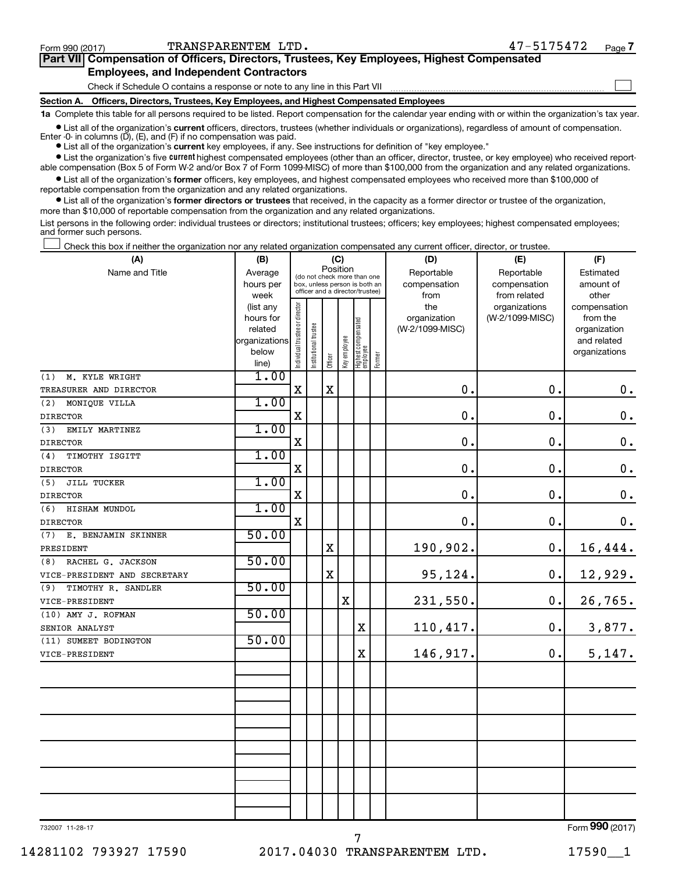$\Box$ 

| Part VII Compensation of Officers, Directors, Trustees, Key Employees, Highest Compensated |  |  |
|--------------------------------------------------------------------------------------------|--|--|
| <b>Employees, and Independent Contractors</b>                                              |  |  |

Check if Schedule O contains a response or note to any line in this Part VII

**Section A. Officers, Directors, Trustees, Key Employees, and Highest Compensated Employees**

**1a**  Complete this table for all persons required to be listed. Report compensation for the calendar year ending with or within the organization's tax year.

**•** List all of the organization's current officers, directors, trustees (whether individuals or organizations), regardless of amount of compensation. Enter -0- in columns  $(D)$ ,  $(E)$ , and  $(F)$  if no compensation was paid.

**•** List all of the organization's **current** key employees, if any. See instructions for definition of "key employee."

**•** List the organization's five current highest compensated employees (other than an officer, director, trustee, or key employee) who received reportable compensation (Box 5 of Form W-2 and/or Box 7 of Form 1099-MISC) of more than \$100,000 from the organization and any related organizations.

**•** List all of the organization's former officers, key employees, and highest compensated employees who received more than \$100,000 of reportable compensation from the organization and any related organizations.

**•** List all of the organization's former directors or trustees that received, in the capacity as a former director or trustee of the organization, more than \$10,000 of reportable compensation from the organization and any related organizations.

List persons in the following order: individual trustees or directors; institutional trustees; officers; key employees; highest compensated employees; and former such persons.

Check this box if neither the organization nor any related organization compensated any current officer, director, or trustee.  $\Box$ 

| (A)                          | (B)                    | (C)                            |                                                                  |             |              |                                   |        | (D)                 | (E)                              | (F)                      |  |  |  |  |
|------------------------------|------------------------|--------------------------------|------------------------------------------------------------------|-------------|--------------|-----------------------------------|--------|---------------------|----------------------------------|--------------------------|--|--|--|--|
| Name and Title               | Average                |                                | (do not check more than one                                      | Position    |              |                                   |        | Reportable          | Reportable                       | Estimated                |  |  |  |  |
|                              | hours per              |                                | box, unless person is both an<br>officer and a director/trustee) |             |              |                                   |        | compensation        | compensation                     | amount of                |  |  |  |  |
|                              | week                   |                                |                                                                  |             |              |                                   |        | from                | from related                     | other                    |  |  |  |  |
|                              | (list any<br>hours for | Individual trustee or director |                                                                  |             |              |                                   |        | the<br>organization | organizations<br>(W-2/1099-MISC) | compensation<br>from the |  |  |  |  |
|                              | related                |                                |                                                                  |             |              |                                   |        | (W-2/1099-MISC)     |                                  | organization             |  |  |  |  |
|                              | organizations          |                                |                                                                  |             |              |                                   |        |                     |                                  | and related              |  |  |  |  |
|                              | below                  |                                | Institutional trustee                                            |             |              |                                   |        |                     |                                  | organizations            |  |  |  |  |
|                              | line)                  |                                |                                                                  | Officer     | Key employee | Highest compensated<br>  employee | Former |                     |                                  |                          |  |  |  |  |
| M. KYLE WRIGHT<br>(1)        | 1.00                   |                                |                                                                  |             |              |                                   |        |                     |                                  |                          |  |  |  |  |
| TREASURER AND DIRECTOR       |                        | $\rm X$                        |                                                                  | $\mathbf X$ |              |                                   |        | $\mathbf 0$ .       | $\mathbf 0$ .                    | $\mathbf 0$ .            |  |  |  |  |
| (2)<br>MONIQUE VILLA         | 1.00                   |                                |                                                                  |             |              |                                   |        |                     |                                  |                          |  |  |  |  |
| <b>DIRECTOR</b>              |                        | $\mathbf X$                    |                                                                  |             |              |                                   |        | $\mathbf 0$ .       | $\mathbf 0$ .                    | $\mathbf 0$ .            |  |  |  |  |
| EMILY MARTINEZ<br>(3)        | 1.00                   |                                |                                                                  |             |              |                                   |        |                     |                                  |                          |  |  |  |  |
| <b>DIRECTOR</b>              |                        | $\mathbf X$                    |                                                                  |             |              |                                   |        | $\mathbf 0$ .       | 0.                               | $\mathbf 0$ .            |  |  |  |  |
| (4)<br>TIMOTHY ISGITT        | 1.00                   |                                |                                                                  |             |              |                                   |        |                     |                                  |                          |  |  |  |  |
| <b>DIRECTOR</b>              |                        | $\mathbf X$                    |                                                                  |             |              |                                   |        | $\mathbf 0$ .       | $\mathbf 0$ .                    | $\mathbf 0$ .            |  |  |  |  |
| (5)<br>JILL TUCKER           | 1.00                   |                                |                                                                  |             |              |                                   |        |                     |                                  |                          |  |  |  |  |
| <b>DIRECTOR</b>              |                        | $\mathbf X$                    |                                                                  |             |              |                                   |        | $\mathbf 0$ .       | $\mathbf 0$ .                    | $\mathbf 0$ .            |  |  |  |  |
| (6)<br>HISHAM MUNDOL         | 1.00                   |                                |                                                                  |             |              |                                   |        |                     |                                  |                          |  |  |  |  |
| <b>DIRECTOR</b>              |                        | $\mathbf X$                    |                                                                  |             |              |                                   |        | $\mathbf 0$ .       | $\mathbf 0$ .                    | $\mathbf 0$ .            |  |  |  |  |
| E. BENJAMIN SKINNER<br>(7)   | 50.00                  |                                |                                                                  |             |              |                                   |        |                     |                                  |                          |  |  |  |  |
| PRESIDENT                    |                        |                                |                                                                  | X           |              |                                   |        | 190,902.            | 0.                               | 16,444.                  |  |  |  |  |
| RACHEL G. JACKSON<br>(8)     | 50.00                  |                                |                                                                  |             |              |                                   |        |                     |                                  |                          |  |  |  |  |
| VICE-PRESIDENT AND SECRETARY |                        |                                |                                                                  | X           |              |                                   |        | 95,124.             | $\mathbf 0$ .                    | 12,929.                  |  |  |  |  |
| TIMOTHY R. SANDLER<br>(9)    | 50.00                  |                                |                                                                  |             |              |                                   |        |                     |                                  |                          |  |  |  |  |
| VICE-PRESIDENT               |                        |                                |                                                                  |             | $\rm X$      |                                   |        | 231,550.            | $\mathbf 0$ .                    | 26,765.                  |  |  |  |  |
| (10) AMY J. ROFMAN           | 50.00                  |                                |                                                                  |             |              |                                   |        |                     |                                  |                          |  |  |  |  |
| SENIOR ANALYST               |                        |                                |                                                                  |             |              | X                                 |        | 110,417.            | $\mathbf 0$ .                    | 3,877.                   |  |  |  |  |
| (11) SUMEET BODINGTON        | 50.00                  |                                |                                                                  |             |              |                                   |        |                     |                                  |                          |  |  |  |  |
| VICE-PRESIDENT               |                        |                                |                                                                  |             |              | X                                 |        | 146,917.            | 0.                               | 5,147.                   |  |  |  |  |
|                              |                        |                                |                                                                  |             |              |                                   |        |                     |                                  |                          |  |  |  |  |
|                              |                        |                                |                                                                  |             |              |                                   |        |                     |                                  |                          |  |  |  |  |
|                              |                        |                                |                                                                  |             |              |                                   |        |                     |                                  |                          |  |  |  |  |
|                              |                        |                                |                                                                  |             |              |                                   |        |                     |                                  |                          |  |  |  |  |
|                              |                        |                                |                                                                  |             |              |                                   |        |                     |                                  |                          |  |  |  |  |
|                              |                        |                                |                                                                  |             |              |                                   |        |                     |                                  |                          |  |  |  |  |
|                              |                        |                                |                                                                  |             |              |                                   |        |                     |                                  |                          |  |  |  |  |
|                              |                        |                                |                                                                  |             |              |                                   |        |                     |                                  |                          |  |  |  |  |
|                              |                        |                                |                                                                  |             |              |                                   |        |                     |                                  |                          |  |  |  |  |
|                              |                        |                                |                                                                  |             |              |                                   |        |                     |                                  |                          |  |  |  |  |
|                              |                        |                                |                                                                  |             |              |                                   |        |                     |                                  |                          |  |  |  |  |
|                              |                        |                                |                                                                  |             |              |                                   |        |                     |                                  | $000 \approx 1$          |  |  |  |  |

732007 11-28-17

7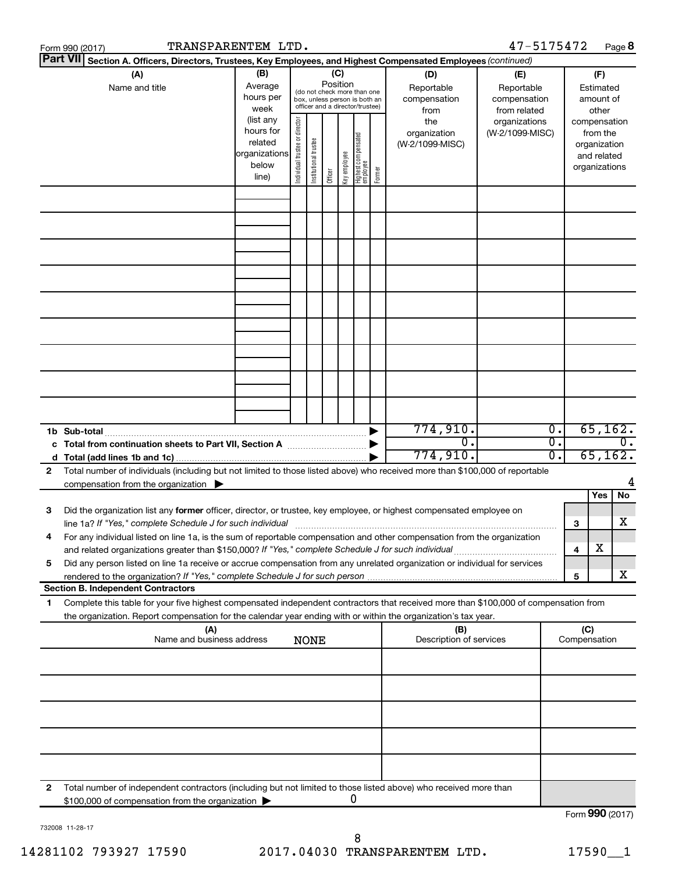| 47-5175472<br>TRANSPARENTEM LTD.<br>Form 990 (2017) |                                                                                                                                                                                                                                 |                                                                      |                                                                                                                                                                 |                       |         |              |                                   |        |                                                   | Page 8                           |          |                                        |                                                                          |
|-----------------------------------------------------|---------------------------------------------------------------------------------------------------------------------------------------------------------------------------------------------------------------------------------|----------------------------------------------------------------------|-----------------------------------------------------------------------------------------------------------------------------------------------------------------|-----------------------|---------|--------------|-----------------------------------|--------|---------------------------------------------------|----------------------------------|----------|----------------------------------------|--------------------------------------------------------------------------|
|                                                     | <b>Part VII</b><br>Section A. Officers, Directors, Trustees, Key Employees, and Highest Compensated Employees (continued)                                                                                                       |                                                                      |                                                                                                                                                                 |                       |         |              |                                   |        |                                                   |                                  |          |                                        |                                                                          |
|                                                     | (A)<br>Name and title                                                                                                                                                                                                           | (B)<br>Average<br>hours per<br>week                                  | (C)<br>(D)<br>Position<br>Reportable<br>(do not check more than one<br>compensation<br>box, unless person is both an<br>officer and a director/trustee)<br>from |                       |         |              |                                   |        | (E)<br>Reportable<br>compensation<br>from related |                                  |          | (F)<br>Estimated<br>amount of<br>other |                                                                          |
|                                                     |                                                                                                                                                                                                                                 | (list any<br>hours for<br>related<br>organizations<br>below<br>line) | Individual trustee or director                                                                                                                                  | Institutional trustee | Officer | Key employee | Highest compensated<br>  employee | Former | the<br>organization<br>(W-2/1099-MISC)            | organizations<br>(W-2/1099-MISC) |          |                                        | compensation<br>from the<br>organization<br>and related<br>organizations |
|                                                     |                                                                                                                                                                                                                                 |                                                                      |                                                                                                                                                                 |                       |         |              |                                   |        |                                                   |                                  |          |                                        |                                                                          |
|                                                     |                                                                                                                                                                                                                                 |                                                                      |                                                                                                                                                                 |                       |         |              |                                   |        |                                                   |                                  |          |                                        |                                                                          |
|                                                     |                                                                                                                                                                                                                                 |                                                                      |                                                                                                                                                                 |                       |         |              |                                   |        |                                                   |                                  |          |                                        |                                                                          |
|                                                     |                                                                                                                                                                                                                                 |                                                                      |                                                                                                                                                                 |                       |         |              |                                   |        |                                                   |                                  |          |                                        |                                                                          |
|                                                     | 1b Sub-total                                                                                                                                                                                                                    |                                                                      |                                                                                                                                                                 |                       |         |              |                                   |        | 774,910.                                          |                                  | Ο.       |                                        | 65, 162.                                                                 |
| 2                                                   | c Total from continuation sheets to Part VII, Section A manufactured by<br>Total number of individuals (including but not limited to those listed above) who received more than \$100,000 of reportable                         |                                                                      |                                                                                                                                                                 |                       |         |              |                                   |        | $\overline{0}$ .<br>774,910.                      |                                  | σ.<br>0. |                                        | $\overline{0}$ .<br>65, 162.                                             |
|                                                     | compensation from the organization $\blacktriangleright$                                                                                                                                                                        |                                                                      |                                                                                                                                                                 |                       |         |              |                                   |        |                                                   |                                  |          |                                        | 4<br>Yes<br>No                                                           |
| 3                                                   | Did the organization list any former officer, director, or trustee, key employee, or highest compensated employee on                                                                                                            |                                                                      |                                                                                                                                                                 |                       |         |              |                                   |        |                                                   |                                  |          | 3                                      | х                                                                        |
|                                                     | For any individual listed on line 1a, is the sum of reportable compensation and other compensation from the organization<br>and related organizations greater than \$150,000? If "Yes," complete Schedule J for such individual |                                                                      |                                                                                                                                                                 |                       |         |              |                                   |        |                                                   |                                  |          | 4                                      | х                                                                        |
| 5                                                   | Did any person listed on line 1a receive or accrue compensation from any unrelated organization or individual for services                                                                                                      |                                                                      |                                                                                                                                                                 |                       |         |              |                                   |        |                                                   |                                  |          | 5                                      | x                                                                        |
| 1                                                   | <b>Section B. Independent Contractors</b><br>Complete this table for your five highest compensated independent contractors that received more than \$100,000 of compensation from                                               |                                                                      |                                                                                                                                                                 |                       |         |              |                                   |        |                                                   |                                  |          |                                        |                                                                          |
|                                                     | the organization. Report compensation for the calendar year ending with or within the organization's tax year.                                                                                                                  |                                                                      |                                                                                                                                                                 |                       |         |              |                                   |        |                                                   |                                  |          |                                        |                                                                          |
|                                                     | (A)<br>Name and business address                                                                                                                                                                                                |                                                                      |                                                                                                                                                                 | <b>NONE</b>           |         |              |                                   |        | (B)<br>Description of services                    |                                  |          | (C)<br>Compensation                    |                                                                          |
|                                                     |                                                                                                                                                                                                                                 |                                                                      |                                                                                                                                                                 |                       |         |              |                                   |        |                                                   |                                  |          |                                        |                                                                          |
|                                                     |                                                                                                                                                                                                                                 |                                                                      |                                                                                                                                                                 |                       |         |              |                                   |        |                                                   |                                  |          |                                        |                                                                          |
|                                                     |                                                                                                                                                                                                                                 |                                                                      |                                                                                                                                                                 |                       |         |              |                                   |        |                                                   |                                  |          |                                        |                                                                          |
|                                                     |                                                                                                                                                                                                                                 |                                                                      |                                                                                                                                                                 |                       |         |              |                                   |        |                                                   |                                  |          |                                        |                                                                          |
| 2                                                   | Total number of independent contractors (including but not limited to those listed above) who received more than<br>\$100,000 of compensation from the organization                                                             |                                                                      |                                                                                                                                                                 |                       |         |              | 0                                 |        |                                                   |                                  |          |                                        |                                                                          |
|                                                     |                                                                                                                                                                                                                                 |                                                                      |                                                                                                                                                                 |                       |         |              |                                   |        |                                                   |                                  |          |                                        | Form 990 (2017)                                                          |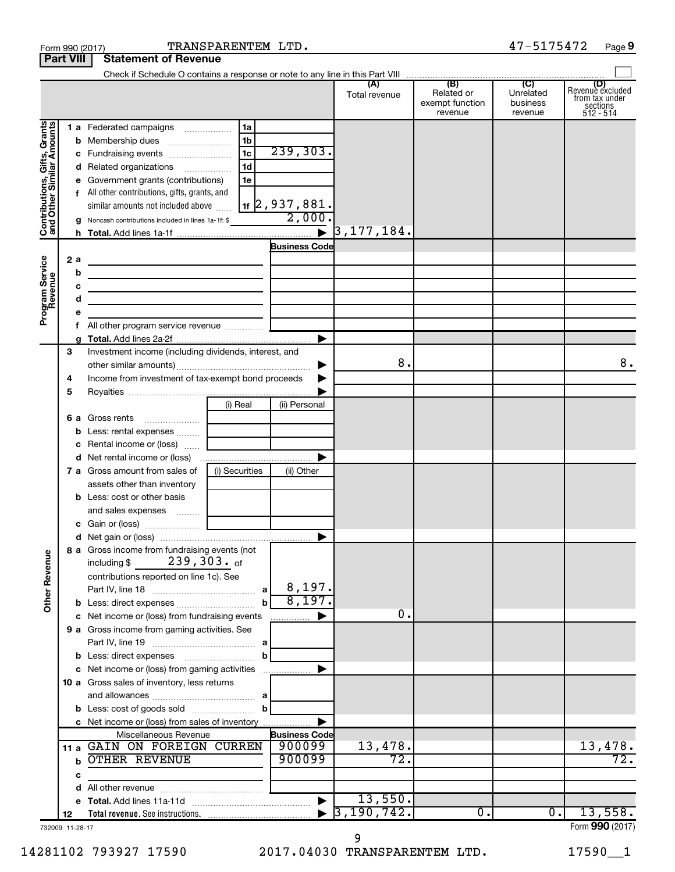|                                         | <b>Part VIII</b> | <b>Statement of Revenue</b>                                                                                               |                      |                               |                                                 |                                         |                                                             |
|-----------------------------------------|------------------|---------------------------------------------------------------------------------------------------------------------------|----------------------|-------------------------------|-------------------------------------------------|-----------------------------------------|-------------------------------------------------------------|
|                                         |                  |                                                                                                                           |                      |                               |                                                 |                                         |                                                             |
|                                         |                  |                                                                                                                           |                      | (A)<br>Total revenue          | (B)<br>Related or<br>exempt function<br>revenue | (C)<br>Unrelated<br>business<br>revenue | Revenue excluded<br>from tax under<br>sections<br>512 - 514 |
| Gifts, Grants                           |                  | 1a<br>1 a Federated campaigns                                                                                             |                      |                               |                                                 |                                         |                                                             |
|                                         |                  | 1 <sub>b</sub>                                                                                                            |                      |                               |                                                 |                                         |                                                             |
|                                         |                  | 1c                                                                                                                        | 239,303.             |                               |                                                 |                                         |                                                             |
|                                         |                  | 1 <sub>d</sub><br>d Related organizations                                                                                 |                      |                               |                                                 |                                         |                                                             |
|                                         |                  | 1e<br>e Government grants (contributions)                                                                                 |                      |                               |                                                 |                                         |                                                             |
|                                         |                  | f All other contributions, gifts, grants, and                                                                             |                      |                               |                                                 |                                         |                                                             |
|                                         |                  | similar amounts not included above                                                                                        | 11 2 , 937 , 881 .   |                               |                                                 |                                         |                                                             |
| Contributions, Gif<br>and Other Similar |                  | <b>g</b> Noncash contributions included in lines 1a-1f: \$                                                                | 2,000                |                               |                                                 |                                         |                                                             |
|                                         |                  |                                                                                                                           |                      | $\triangleright$ 3, 177, 184. |                                                 |                                         |                                                             |
|                                         |                  |                                                                                                                           | <b>Business Code</b> |                               |                                                 |                                         |                                                             |
|                                         | 2a               | <u> 1989 - Johann John Stone, markin film yn y brening yn y brening yn y brening yn y brening y brening yn y bre</u>      |                      |                               |                                                 |                                         |                                                             |
|                                         | b                | <u> 1989 - Johann John Stone, markin film ar yn y breninn y breninn y breninn y breninn y breninn y breninn y br</u>      |                      |                               |                                                 |                                         |                                                             |
|                                         | c                |                                                                                                                           |                      |                               |                                                 |                                         |                                                             |
|                                         | d                | <u> 1989 - Johann John Stein, markin fan it ferstjer fan de ferstjer fan it ferstjer fan it ferstjer fan it fers</u>      |                      |                               |                                                 |                                         |                                                             |
| Program Service<br>Revenue              | е                |                                                                                                                           |                      |                               |                                                 |                                         |                                                             |
|                                         | f.               |                                                                                                                           |                      |                               |                                                 |                                         |                                                             |
|                                         |                  |                                                                                                                           |                      |                               |                                                 |                                         |                                                             |
|                                         | 3                | Investment income (including dividends, interest, and                                                                     |                      |                               |                                                 |                                         |                                                             |
|                                         |                  |                                                                                                                           |                      | 8.                            |                                                 |                                         | 8.                                                          |
|                                         | 4                | Income from investment of tax-exempt bond proceeds                                                                        |                      |                               |                                                 |                                         |                                                             |
|                                         | 5                |                                                                                                                           |                      |                               |                                                 |                                         |                                                             |
|                                         |                  | (i) Real                                                                                                                  | (ii) Personal        |                               |                                                 |                                         |                                                             |
|                                         |                  | <b>6 a</b> Gross rents                                                                                                    |                      |                               |                                                 |                                         |                                                             |
|                                         | b                | Less: rental expenses                                                                                                     |                      |                               |                                                 |                                         |                                                             |
|                                         | c                | Rental income or (loss)                                                                                                   |                      |                               |                                                 |                                         |                                                             |
|                                         |                  |                                                                                                                           |                      |                               |                                                 |                                         |                                                             |
|                                         |                  | (i) Securities<br><b>7 a</b> Gross amount from sales of                                                                   | (ii) Other           |                               |                                                 |                                         |                                                             |
|                                         |                  | assets other than inventory                                                                                               |                      |                               |                                                 |                                         |                                                             |
|                                         |                  | <b>b</b> Less: cost or other basis                                                                                        |                      |                               |                                                 |                                         |                                                             |
|                                         |                  | and sales expenses                                                                                                        |                      |                               |                                                 |                                         |                                                             |
|                                         |                  |                                                                                                                           |                      |                               |                                                 |                                         |                                                             |
|                                         |                  |                                                                                                                           |                      |                               |                                                 |                                         |                                                             |
| <b>Other Revenue</b>                    |                  | 8 a Gross income from fundraising events (not<br>$239,303.$ of<br>including \$<br>contributions reported on line 1c). See | 8,197.               |                               |                                                 |                                         |                                                             |
|                                         |                  | $\mathbf{a}$<br>$\mathbf b$                                                                                               | 8,197.               |                               |                                                 |                                         |                                                             |
|                                         |                  | c Net income or (loss) from fundraising events                                                                            |                      | 0.                            |                                                 |                                         |                                                             |
|                                         |                  | 9 a Gross income from gaming activities. See                                                                              |                      |                               |                                                 |                                         |                                                             |
|                                         |                  |                                                                                                                           |                      |                               |                                                 |                                         |                                                             |
|                                         |                  | b                                                                                                                         |                      |                               |                                                 |                                         |                                                             |
|                                         |                  | c Net income or (loss) from gaming activities                                                                             |                      |                               |                                                 |                                         |                                                             |
|                                         |                  | 10 a Gross sales of inventory, less returns                                                                               |                      |                               |                                                 |                                         |                                                             |
|                                         |                  |                                                                                                                           |                      |                               |                                                 |                                         |                                                             |
|                                         |                  | b                                                                                                                         |                      |                               |                                                 |                                         |                                                             |
|                                         |                  | c Net income or (loss) from sales of inventory                                                                            |                      |                               |                                                 |                                         |                                                             |
|                                         |                  | Miscellaneous Revenue                                                                                                     | <b>Business Code</b> |                               |                                                 |                                         |                                                             |
|                                         | 11 a             | GAIN ON FOREIGN CURREN                                                                                                    | 900099               | 13,478.                       |                                                 |                                         | 13,478.                                                     |
|                                         | $\mathbf b$      | OTHER REVENUE                                                                                                             | 900099               | 72.                           |                                                 |                                         | 72.                                                         |
|                                         |                  |                                                                                                                           |                      |                               |                                                 |                                         |                                                             |
|                                         | c                |                                                                                                                           |                      |                               |                                                 |                                         |                                                             |
|                                         | d                |                                                                                                                           |                      | 13,550.                       |                                                 |                                         |                                                             |
|                                         | 12               |                                                                                                                           |                      | 3,190,742.                    | о.                                              | $0$ .                                   | 13,558.                                                     |
|                                         | 732009 11-28-17  |                                                                                                                           |                      |                               |                                                 |                                         | Form 990 (2017)                                             |

14281102 793927 17590 2017.04030 TRANSPARENTEM LTD. 17590\_\_1

9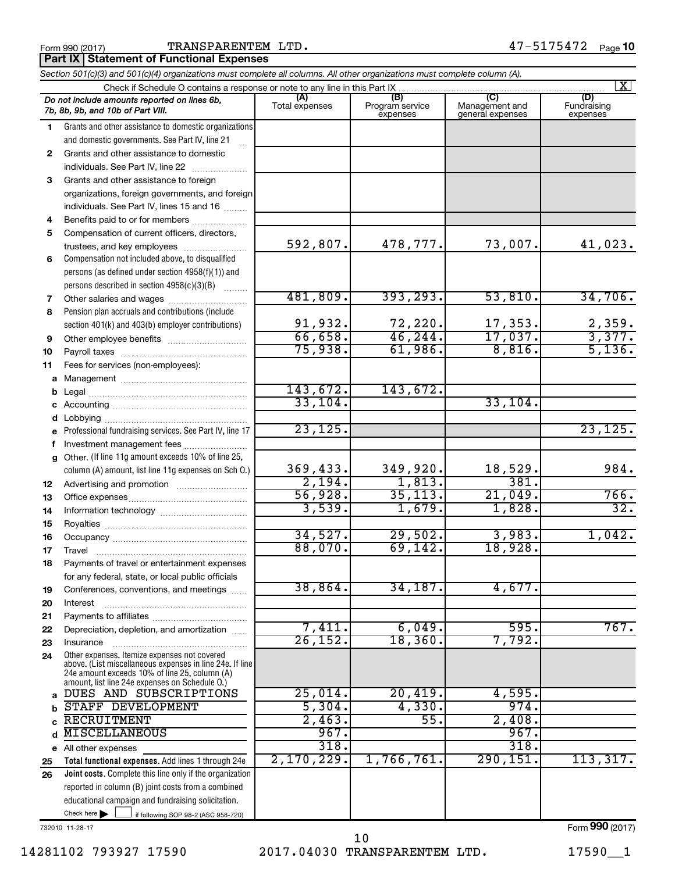Form 990 (2017)  $\qquad \qquad \qquad \text{TRANSPARENTEM } \text{ LTD.} \qquad \qquad \qquad \qquad \qquad \qquad \qquad \qquad \qquad \qquad \text{47--5175472} \quad \text{Page}$ 

**Part IX Statement of Functional Expenses**

|              | Section 501(c)(3) and 501(c)(4) organizations must complete all columns. All other organizations must complete column (A).                                                                                  |                       |                                    |                                           |                                |  |  |  |  |  |
|--------------|-------------------------------------------------------------------------------------------------------------------------------------------------------------------------------------------------------------|-----------------------|------------------------------------|-------------------------------------------|--------------------------------|--|--|--|--|--|
|              | Check if Schedule O contains a response or note to any line in this Part IX                                                                                                                                 |                       |                                    |                                           | $\vert X \vert$                |  |  |  |  |  |
|              | Do not include amounts reported on lines 6b,<br>7b, 8b, 9b, and 10b of Part VIII.                                                                                                                           | (A)<br>Total expenses | (B)<br>Program service<br>expenses | (C)<br>Management and<br>general expenses | (D)<br>Fundraising<br>expenses |  |  |  |  |  |
| 1.           | Grants and other assistance to domestic organizations                                                                                                                                                       |                       |                                    |                                           |                                |  |  |  |  |  |
|              | and domestic governments. See Part IV, line 21                                                                                                                                                              |                       |                                    |                                           |                                |  |  |  |  |  |
| $\mathbf{2}$ | Grants and other assistance to domestic                                                                                                                                                                     |                       |                                    |                                           |                                |  |  |  |  |  |
|              | individuals. See Part IV, line 22                                                                                                                                                                           |                       |                                    |                                           |                                |  |  |  |  |  |
| 3            | Grants and other assistance to foreign                                                                                                                                                                      |                       |                                    |                                           |                                |  |  |  |  |  |
|              | organizations, foreign governments, and foreign                                                                                                                                                             |                       |                                    |                                           |                                |  |  |  |  |  |
|              | individuals. See Part IV, lines 15 and 16                                                                                                                                                                   |                       |                                    |                                           |                                |  |  |  |  |  |
| 4            | Benefits paid to or for members                                                                                                                                                                             |                       |                                    |                                           |                                |  |  |  |  |  |
| 5            | Compensation of current officers, directors,                                                                                                                                                                |                       |                                    |                                           |                                |  |  |  |  |  |
|              | trustees, and key employees                                                                                                                                                                                 | 592,807.              | 478,777.                           | 73,007.                                   | 41,023.                        |  |  |  |  |  |
| 6            | Compensation not included above, to disqualified                                                                                                                                                            |                       |                                    |                                           |                                |  |  |  |  |  |
|              | persons (as defined under section 4958(f)(1)) and                                                                                                                                                           |                       |                                    |                                           |                                |  |  |  |  |  |
|              | persons described in section 4958(c)(3)(B)                                                                                                                                                                  |                       |                                    |                                           |                                |  |  |  |  |  |
| 7            | Other salaries and wages                                                                                                                                                                                    | 481,809.              | 393, 293.                          | 53,810.                                   | 34,706.                        |  |  |  |  |  |
| 8            | Pension plan accruals and contributions (include                                                                                                                                                            |                       |                                    |                                           |                                |  |  |  |  |  |
|              | section 401(k) and 403(b) employer contributions)                                                                                                                                                           | 91,932.               | $\frac{72,220}{46,244}$            | $\frac{17,353}{17,037}$                   | $\frac{2,359}{3,377}$ .        |  |  |  |  |  |
| 9            |                                                                                                                                                                                                             | 66,658.               | 61,986.                            |                                           | 5,136.                         |  |  |  |  |  |
| 10           |                                                                                                                                                                                                             | 75,938.               |                                    | 8,816.                                    |                                |  |  |  |  |  |
| 11           | Fees for services (non-employees):                                                                                                                                                                          |                       |                                    |                                           |                                |  |  |  |  |  |
| a            |                                                                                                                                                                                                             | 143,672.              | 143,672.                           |                                           |                                |  |  |  |  |  |
| b            |                                                                                                                                                                                                             | 33,104.               |                                    | 33,104.                                   |                                |  |  |  |  |  |
|              |                                                                                                                                                                                                             |                       |                                    |                                           |                                |  |  |  |  |  |
| d            |                                                                                                                                                                                                             | 23, 125.              |                                    |                                           | 23, 125.                       |  |  |  |  |  |
|              | Professional fundraising services. See Part IV, line 17                                                                                                                                                     |                       |                                    |                                           |                                |  |  |  |  |  |
| f            | Investment management fees<br>Other. (If line 11g amount exceeds 10% of line 25,                                                                                                                            |                       |                                    |                                           |                                |  |  |  |  |  |
| $\mathbf{q}$ | column (A) amount, list line 11g expenses on Sch O.)                                                                                                                                                        | 369,433.              | 349,920.                           | 18,529.                                   | 984.                           |  |  |  |  |  |
| 12           |                                                                                                                                                                                                             | 2,194.                | 1,813.                             | 381.                                      |                                |  |  |  |  |  |
| 13           |                                                                                                                                                                                                             | 56,928.               | 35, 113.                           | 21,049.                                   | 766.                           |  |  |  |  |  |
| 14           |                                                                                                                                                                                                             | 3,539.                | 1,679.                             | 1,828.                                    | $\overline{32}$ .              |  |  |  |  |  |
| 15           |                                                                                                                                                                                                             |                       |                                    |                                           |                                |  |  |  |  |  |
| 16           |                                                                                                                                                                                                             | 34,527.               | 29,502.                            | 3,983.                                    | 1,042.                         |  |  |  |  |  |
| 17           |                                                                                                                                                                                                             | 88,070.               | 69, 142.                           | 18,928.                                   |                                |  |  |  |  |  |
| 18           | Payments of travel or entertainment expenses                                                                                                                                                                |                       |                                    |                                           |                                |  |  |  |  |  |
|              | for any federal, state, or local public officials                                                                                                                                                           |                       |                                    |                                           |                                |  |  |  |  |  |
| 19           | Conferences, conventions, and meetings                                                                                                                                                                      | 38,864.               | 34,187.                            | 4,677.                                    |                                |  |  |  |  |  |
| 20           | Interest                                                                                                                                                                                                    |                       |                                    |                                           |                                |  |  |  |  |  |
| 21           |                                                                                                                                                                                                             |                       |                                    |                                           |                                |  |  |  |  |  |
| 22           | Depreciation, depletion, and amortization                                                                                                                                                                   | 7,411.                | 6,049.                             | 595.                                      | 767.                           |  |  |  |  |  |
| 23           | Insurance                                                                                                                                                                                                   | $\overline{26,152}$   | 18, 360.                           | 7,792.                                    |                                |  |  |  |  |  |
| 24           | Other expenses. Itemize expenses not covered<br>above. (List miscellaneous expenses in line 24e. If line<br>24e amount exceeds 10% of line 25, column (A)<br>amount, list line 24e expenses on Schedule O.) |                       |                                    |                                           |                                |  |  |  |  |  |
| a            | DUES AND SUBSCRIPTIONS                                                                                                                                                                                      | 25,014.               | 20,419.                            | 4,595.                                    |                                |  |  |  |  |  |
| b            | STAFF DEVELOPMENT                                                                                                                                                                                           | 5,304.                | 4,330.                             | 974.                                      |                                |  |  |  |  |  |
| C            | <b>RECRUITMENT</b>                                                                                                                                                                                          | 2,463.                | 55.                                | 2,408.                                    |                                |  |  |  |  |  |
| d            | <b>MISCELLANEOUS</b>                                                                                                                                                                                        | 967.                  |                                    | 967.                                      |                                |  |  |  |  |  |
|              | e All other expenses                                                                                                                                                                                        | 318.                  |                                    | 318.                                      |                                |  |  |  |  |  |
| 25           | Total functional expenses. Add lines 1 through 24e                                                                                                                                                          | 2,170,229.            | 1,766,761.                         | 290, 151.                                 | 113,317.                       |  |  |  |  |  |
| 26           | Joint costs. Complete this line only if the organization                                                                                                                                                    |                       |                                    |                                           |                                |  |  |  |  |  |
|              | reported in column (B) joint costs from a combined                                                                                                                                                          |                       |                                    |                                           |                                |  |  |  |  |  |
|              | educational campaign and fundraising solicitation.                                                                                                                                                          |                       |                                    |                                           |                                |  |  |  |  |  |
|              | Check here $\blacktriangleright$<br>if following SOP 98-2 (ASC 958-720)                                                                                                                                     |                       |                                    |                                           |                                |  |  |  |  |  |

732010 11-28-17

14281102 793927 17590 2017.04030 TRANSPARENTEM LTD. 17590\_\_1 10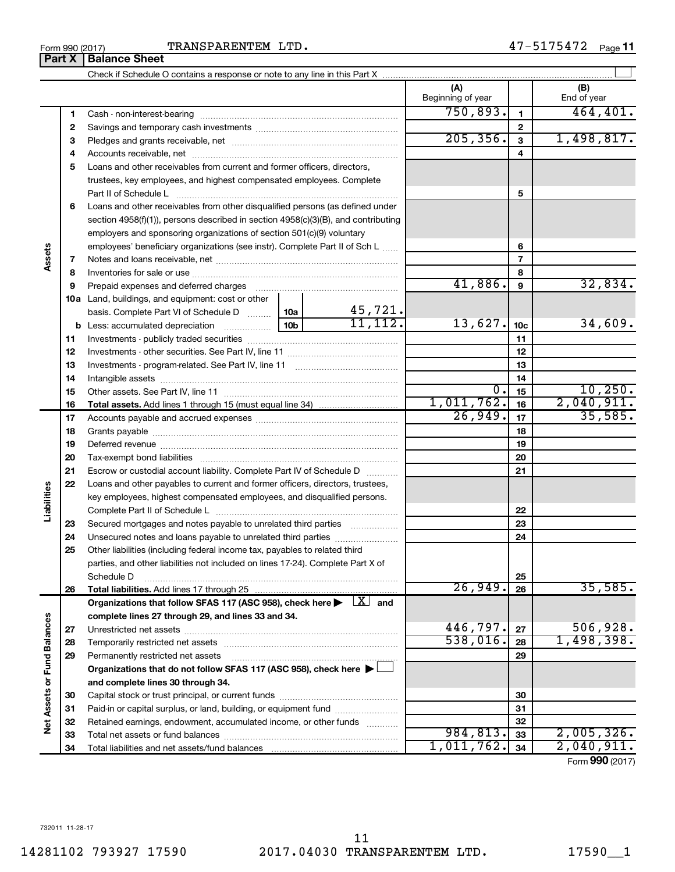## Form 990 (2017)  $\qquad \qquad \qquad \qquad \text{TRANSPARENTEM } \text{LTD.} \qquad \qquad \qquad \qquad \qquad \qquad \qquad \qquad \qquad \qquad \text{47--5175472} \quad \qquad \text{Page}$

**Part X** | Balance Sheet

|                             |          |                                                                                                                           |           |                          | (A)<br>Beginning of year |          | (B)<br>End of year    |
|-----------------------------|----------|---------------------------------------------------------------------------------------------------------------------------|-----------|--------------------------|--------------------------|----------|-----------------------|
|                             | 1        |                                                                                                                           |           |                          | 750,893.                 | 1        | 464, 401.             |
|                             | 2        |                                                                                                                           |           |                          |                          | 2        |                       |
|                             | з        |                                                                                                                           | 205, 356. | 3                        | 1,498,817.               |          |                       |
|                             | 4        |                                                                                                                           |           | 4                        |                          |          |                       |
|                             | 5        | Loans and other receivables from current and former officers, directors,                                                  |           |                          |                          |          |                       |
|                             |          | trustees, key employees, and highest compensated employees. Complete                                                      |           |                          |                          |          |                       |
|                             |          | Part II of Schedule L                                                                                                     |           | 5                        |                          |          |                       |
|                             | 6        | Loans and other receivables from other disqualified persons (as defined under                                             |           |                          |                          |          |                       |
|                             |          | section 4958(f)(1)), persons described in section 4958(c)(3)(B), and contributing                                         |           |                          |                          |          |                       |
|                             |          | employers and sponsoring organizations of section 501(c)(9) voluntary                                                     |           |                          |                          |          |                       |
|                             |          | employees' beneficiary organizations (see instr). Complete Part II of Sch L                                               |           |                          |                          | 6        |                       |
| Assets                      | 7        |                                                                                                                           |           |                          |                          | 7        |                       |
|                             | 8        |                                                                                                                           |           |                          |                          | 8        |                       |
|                             | 9        |                                                                                                                           |           |                          | 41,886.                  | 9        | 32,834.               |
|                             |          | 10a Land, buildings, and equipment: cost or other                                                                         |           |                          |                          |          |                       |
|                             |          | basis. Complete Part VI of Schedule D  10a                                                                                |           | $\frac{45,721}{11,112}.$ |                          |          |                       |
|                             |          |                                                                                                                           | 13,627.   | 10 <sub>c</sub>          | 34,609.                  |          |                       |
|                             | 11       |                                                                                                                           |           |                          |                          | 11       |                       |
|                             | 12       |                                                                                                                           |           | 12                       |                          |          |                       |
|                             | 13       |                                                                                                                           |           |                          | 13                       |          |                       |
|                             | 14       |                                                                                                                           |           | 14                       |                          |          |                       |
|                             | 15       |                                                                                                                           |           |                          | 0.                       | 15       | 10, 250.              |
|                             | 16       |                                                                                                                           |           |                          | 1,011,762.<br>26,949.    | 16       | 2,040,911.<br>35,585. |
|                             | 17       |                                                                                                                           |           | 17                       |                          |          |                       |
|                             | 18       |                                                                                                                           |           | 18                       |                          |          |                       |
|                             | 19<br>20 |                                                                                                                           |           |                          |                          | 19<br>20 |                       |
|                             | 21       | Escrow or custodial account liability. Complete Part IV of Schedule D                                                     |           |                          |                          | 21       |                       |
|                             | 22       | Loans and other payables to current and former officers, directors, trustees,                                             |           |                          |                          |          |                       |
| Liabilities                 |          | key employees, highest compensated employees, and disqualified persons.                                                   |           |                          |                          |          |                       |
|                             |          |                                                                                                                           |           |                          |                          | 22       |                       |
|                             | 23       | Secured mortgages and notes payable to unrelated third parties                                                            |           |                          |                          | 23       |                       |
|                             | 24       | Unsecured notes and loans payable to unrelated third parties                                                              |           |                          |                          | 24       |                       |
|                             | 25       | Other liabilities (including federal income tax, payables to related third                                                |           |                          |                          |          |                       |
|                             |          | parties, and other liabilities not included on lines 17-24). Complete Part X of                                           |           |                          |                          |          |                       |
|                             |          | Schedule D                                                                                                                |           |                          |                          | 25       |                       |
|                             | 26       | Total liabilities. Add lines 17 through 25                                                                                |           |                          | 26,949.                  | 26       | 35,585.               |
|                             |          | Organizations that follow SFAS 117 (ASC 958), check here $\blacktriangleright \begin{array}{c} \boxed{X} \end{array}$ and |           |                          |                          |          |                       |
|                             |          | complete lines 27 through 29, and lines 33 and 34.                                                                        |           |                          |                          |          |                       |
|                             | 27       |                                                                                                                           |           |                          | 446,797.                 | 27       | 506,928.              |
|                             | 28       |                                                                                                                           |           |                          | 538,016.                 | 28       | 1,498,398.            |
|                             | 29       | Permanently restricted net assets                                                                                         |           |                          |                          | 29       |                       |
|                             |          | Organizations that do not follow SFAS 117 (ASC 958), check here ▶ [                                                       |           |                          |                          |          |                       |
| Net Assets or Fund Balances |          | and complete lines 30 through 34.                                                                                         |           |                          |                          |          |                       |
|                             | 30       |                                                                                                                           |           |                          |                          | 30       |                       |
|                             | 31       | Paid-in or capital surplus, or land, building, or equipment fund                                                          |           |                          |                          | 31       |                       |
|                             | 32<br>33 | Retained earnings, endowment, accumulated income, or other funds                                                          |           |                          | 984, 813.                | 32<br>33 | 2,005,326.            |
|                             | 34       |                                                                                                                           |           |                          | 1,011,762.               | 34       | 2,040,911.            |
|                             |          |                                                                                                                           |           |                          |                          |          |                       |

Check if Schedule O contains a response or note to any line in this Part X

 $\perp$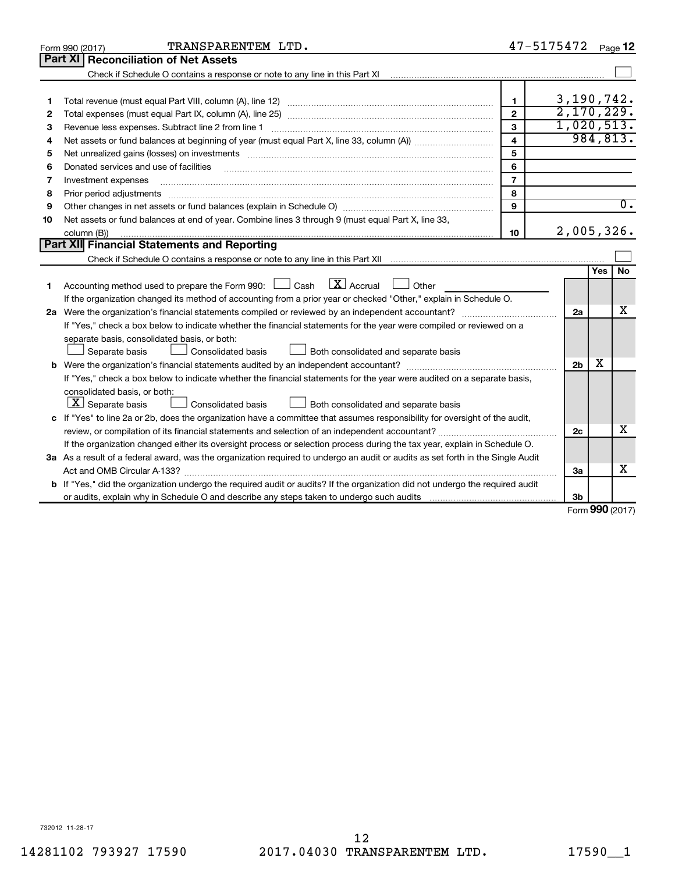|    | TRANSPARENTEM LTD.<br>Form 990 (2017)                                                                                                |                         | 47-5175472     |        | Page 12          |
|----|--------------------------------------------------------------------------------------------------------------------------------------|-------------------------|----------------|--------|------------------|
|    | Part XI   Reconciliation of Net Assets                                                                                               |                         |                |        |                  |
|    |                                                                                                                                      |                         |                |        |                  |
|    |                                                                                                                                      |                         |                |        |                  |
| 1  |                                                                                                                                      | $\mathbf{1}$            | 3,190,742.     |        |                  |
| 2  |                                                                                                                                      | $\mathbf{2}$            | 2,170,229.     |        |                  |
| з  |                                                                                                                                      | 3                       | 1,020,513.     |        |                  |
| 4  |                                                                                                                                      | $\overline{\mathbf{4}}$ |                |        | 984,813.         |
| 5  | Net unrealized gains (losses) on investments [111] www.martime.community.community.community.community.communi                       | 5                       |                |        |                  |
| 6  | Donated services and use of facilities                                                                                               | 6                       |                |        |                  |
| 7  | Investment expenses                                                                                                                  | $\overline{7}$          |                |        |                  |
| 8  |                                                                                                                                      | 8                       |                |        |                  |
| 9  |                                                                                                                                      | 9                       |                |        | $\overline{0}$ . |
| 10 | Net assets or fund balances at end of year. Combine lines 3 through 9 (must equal Part X, line 33,                                   |                         |                |        |                  |
|    | column (B))                                                                                                                          | 10                      | 2,005,326.     |        |                  |
|    | Part XII Financial Statements and Reporting                                                                                          |                         |                |        |                  |
|    |                                                                                                                                      |                         |                |        |                  |
|    |                                                                                                                                      |                         |                | Yes    | <b>No</b>        |
| 1  | $\lfloor x \rfloor$ Accrual<br>Accounting method used to prepare the Form 990: [130] Cash<br>$\Box$ Other                            |                         |                |        |                  |
|    | If the organization changed its method of accounting from a prior year or checked "Other," explain in Schedule O.                    |                         |                |        |                  |
|    |                                                                                                                                      |                         | 2a             |        | x                |
|    | If "Yes," check a box below to indicate whether the financial statements for the year were compiled or reviewed on a                 |                         |                |        |                  |
|    | separate basis, consolidated basis, or both:                                                                                         |                         |                |        |                  |
|    | Both consolidated and separate basis<br>Separate basis<br>Consolidated basis                                                         |                         |                |        |                  |
|    |                                                                                                                                      |                         | 2 <sub>b</sub> | х      |                  |
|    | If "Yes," check a box below to indicate whether the financial statements for the year were audited on a separate basis,              |                         |                |        |                  |
|    | consolidated basis, or both:                                                                                                         |                         |                |        |                  |
|    | $ \mathbf{X} $ Separate basis<br>Consolidated basis<br>Both consolidated and separate basis                                          |                         |                |        |                  |
|    | c If "Yes" to line 2a or 2b, does the organization have a committee that assumes responsibility for oversight of the audit,          |                         |                |        |                  |
|    |                                                                                                                                      |                         | 2c             |        | x                |
|    | If the organization changed either its oversight process or selection process during the tax year, explain in Schedule O.            |                         |                |        |                  |
|    | 3a As a result of a federal award, was the organization required to undergo an audit or audits as set forth in the Single Audit      |                         |                |        |                  |
|    |                                                                                                                                      |                         | За             |        | x                |
|    | <b>b</b> If "Yes," did the organization undergo the required audit or audits? If the organization did not undergo the required audit |                         |                |        |                  |
|    |                                                                                                                                      |                         | 3b             | $\sim$ |                  |

Form (2017) **990**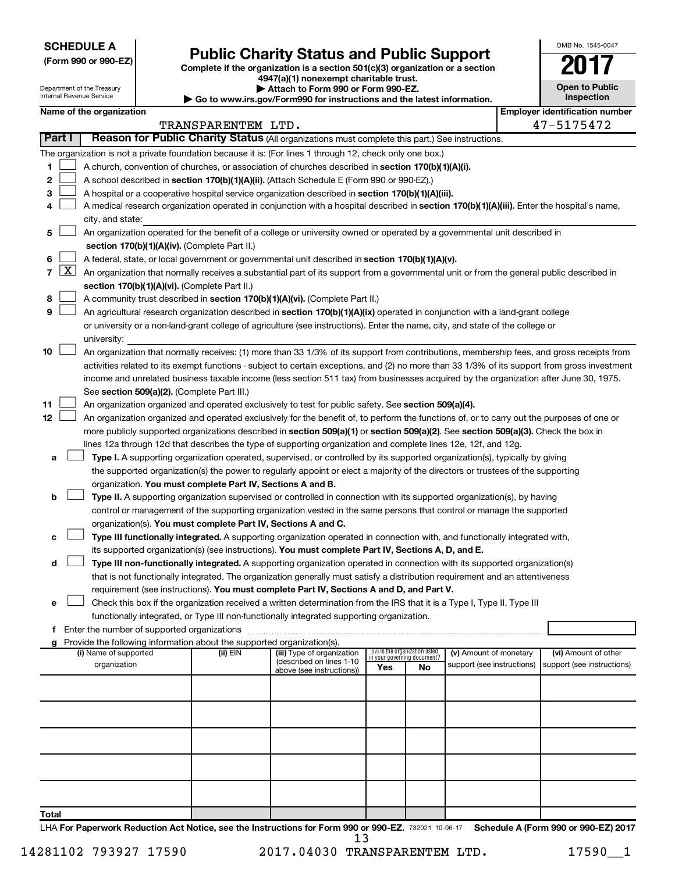**SCHEDULE A**

Department of the Treasury Internal Revenue Service

## Form 990 or 990-EZ)<br>
Complete if the organization is a section 501(c)(3) organization or a section<br> **Public Charity Status and Public Support**

**4947(a)(1) nonexempt charitable trust. | Attach to Form 990 or Form 990-EZ.** 

**| Go to www.irs.gov/Form990 for instructions and the latest information.**

| OMB No. 1545-0047                   |
|-------------------------------------|
|                                     |
| <b>Open to Public</b><br>Inspection |
|                                     |

| Name of the organization |  |
|--------------------------|--|
|--------------------------|--|

| Name of the organization |                                                                                                                                                   |                                                                                                                                                                                                                                                           |                    |                                                       |                                    |                                 |                            | <b>Employer identification number</b> |                            |
|--------------------------|---------------------------------------------------------------------------------------------------------------------------------------------------|-----------------------------------------------------------------------------------------------------------------------------------------------------------------------------------------------------------------------------------------------------------|--------------------|-------------------------------------------------------|------------------------------------|---------------------------------|----------------------------|---------------------------------------|----------------------------|
|                          |                                                                                                                                                   |                                                                                                                                                                                                                                                           | TRANSPARENTEM LTD. |                                                       |                                    |                                 |                            |                                       | 47-5175472                 |
|                          | Part I                                                                                                                                            | Reason for Public Charity Status (All organizations must complete this part.) See instructions.                                                                                                                                                           |                    |                                                       |                                    |                                 |                            |                                       |                            |
|                          |                                                                                                                                                   | The organization is not a private foundation because it is: (For lines 1 through 12, check only one box.)                                                                                                                                                 |                    |                                                       |                                    |                                 |                            |                                       |                            |
| 1.                       |                                                                                                                                                   | A church, convention of churches, or association of churches described in section 170(b)(1)(A)(i).                                                                                                                                                        |                    |                                                       |                                    |                                 |                            |                                       |                            |
| 2                        |                                                                                                                                                   | A school described in section 170(b)(1)(A)(ii). (Attach Schedule E (Form 990 or 990-EZ).)                                                                                                                                                                 |                    |                                                       |                                    |                                 |                            |                                       |                            |
| з                        |                                                                                                                                                   | A hospital or a cooperative hospital service organization described in section 170(b)(1)(A)(iii).                                                                                                                                                         |                    |                                                       |                                    |                                 |                            |                                       |                            |
| 4                        |                                                                                                                                                   | A medical research organization operated in conjunction with a hospital described in section 170(b)(1)(A)(iii). Enter the hospital's name,                                                                                                                |                    |                                                       |                                    |                                 |                            |                                       |                            |
|                          |                                                                                                                                                   | city, and state:                                                                                                                                                                                                                                          |                    |                                                       |                                    |                                 |                            |                                       |                            |
| 5.                       |                                                                                                                                                   | An organization operated for the benefit of a college or university owned or operated by a governmental unit described in                                                                                                                                 |                    |                                                       |                                    |                                 |                            |                                       |                            |
|                          | section 170(b)(1)(A)(iv). (Complete Part II.)<br>A federal, state, or local government or governmental unit described in section 170(b)(1)(A)(v). |                                                                                                                                                                                                                                                           |                    |                                                       |                                    |                                 |                            |                                       |                            |
| 6.                       |                                                                                                                                                   |                                                                                                                                                                                                                                                           |                    |                                                       |                                    |                                 |                            |                                       |                            |
|                          |                                                                                                                                                   | 7 $ X $ An organization that normally receives a substantial part of its support from a governmental unit or from the general public described in                                                                                                         |                    |                                                       |                                    |                                 |                            |                                       |                            |
|                          |                                                                                                                                                   | section 170(b)(1)(A)(vi). (Complete Part II.)                                                                                                                                                                                                             |                    |                                                       |                                    |                                 |                            |                                       |                            |
| 8                        |                                                                                                                                                   | A community trust described in section 170(b)(1)(A)(vi). (Complete Part II.)                                                                                                                                                                              |                    |                                                       |                                    |                                 |                            |                                       |                            |
| 9                        |                                                                                                                                                   | An agricultural research organization described in section 170(b)(1)(A)(ix) operated in conjunction with a land-grant college                                                                                                                             |                    |                                                       |                                    |                                 |                            |                                       |                            |
|                          |                                                                                                                                                   | or university or a non-land-grant college of agriculture (see instructions). Enter the name, city, and state of the college or<br>university:                                                                                                             |                    |                                                       |                                    |                                 |                            |                                       |                            |
| 10                       |                                                                                                                                                   | An organization that normally receives: (1) more than 33 1/3% of its support from contributions, membership fees, and gross receipts from                                                                                                                 |                    |                                                       |                                    |                                 |                            |                                       |                            |
|                          |                                                                                                                                                   | activities related to its exempt functions - subject to certain exceptions, and (2) no more than 33 1/3% of its support from gross investment                                                                                                             |                    |                                                       |                                    |                                 |                            |                                       |                            |
|                          |                                                                                                                                                   | income and unrelated business taxable income (less section 511 tax) from businesses acquired by the organization after June 30, 1975.                                                                                                                     |                    |                                                       |                                    |                                 |                            |                                       |                            |
|                          |                                                                                                                                                   | See section 509(a)(2). (Complete Part III.)                                                                                                                                                                                                               |                    |                                                       |                                    |                                 |                            |                                       |                            |
| 11                       |                                                                                                                                                   | An organization organized and operated exclusively to test for public safety. See section 509(a)(4).                                                                                                                                                      |                    |                                                       |                                    |                                 |                            |                                       |                            |
| 12                       |                                                                                                                                                   | An organization organized and operated exclusively for the benefit of, to perform the functions of, or to carry out the purposes of one or                                                                                                                |                    |                                                       |                                    |                                 |                            |                                       |                            |
|                          |                                                                                                                                                   | more publicly supported organizations described in section 509(a)(1) or section 509(a)(2). See section 509(a)(3). Check the box in                                                                                                                        |                    |                                                       |                                    |                                 |                            |                                       |                            |
|                          |                                                                                                                                                   | lines 12a through 12d that describes the type of supporting organization and complete lines 12e, 12f, and 12g.                                                                                                                                            |                    |                                                       |                                    |                                 |                            |                                       |                            |
| а                        |                                                                                                                                                   | Type I. A supporting organization operated, supervised, or controlled by its supported organization(s), typically by giving                                                                                                                               |                    |                                                       |                                    |                                 |                            |                                       |                            |
|                          |                                                                                                                                                   | the supported organization(s) the power to regularly appoint or elect a majority of the directors or trustees of the supporting                                                                                                                           |                    |                                                       |                                    |                                 |                            |                                       |                            |
|                          |                                                                                                                                                   | organization. You must complete Part IV, Sections A and B.                                                                                                                                                                                                |                    |                                                       |                                    |                                 |                            |                                       |                            |
| b                        |                                                                                                                                                   | Type II. A supporting organization supervised or controlled in connection with its supported organization(s), by having                                                                                                                                   |                    |                                                       |                                    |                                 |                            |                                       |                            |
|                          |                                                                                                                                                   | control or management of the supporting organization vested in the same persons that control or manage the supported                                                                                                                                      |                    |                                                       |                                    |                                 |                            |                                       |                            |
|                          |                                                                                                                                                   | organization(s). You must complete Part IV, Sections A and C.                                                                                                                                                                                             |                    |                                                       |                                    |                                 |                            |                                       |                            |
|                          |                                                                                                                                                   | Type III functionally integrated. A supporting organization operated in connection with, and functionally integrated with,                                                                                                                                |                    |                                                       |                                    |                                 |                            |                                       |                            |
| с                        |                                                                                                                                                   | its supported organization(s) (see instructions). You must complete Part IV, Sections A, D, and E.                                                                                                                                                        |                    |                                                       |                                    |                                 |                            |                                       |                            |
| d                        |                                                                                                                                                   |                                                                                                                                                                                                                                                           |                    |                                                       |                                    |                                 |                            |                                       |                            |
|                          |                                                                                                                                                   | Type III non-functionally integrated. A supporting organization operated in connection with its supported organization(s)<br>that is not functionally integrated. The organization generally must satisfy a distribution requirement and an attentiveness |                    |                                                       |                                    |                                 |                            |                                       |                            |
|                          |                                                                                                                                                   |                                                                                                                                                                                                                                                           |                    |                                                       |                                    |                                 |                            |                                       |                            |
|                          |                                                                                                                                                   | requirement (see instructions). You must complete Part IV, Sections A and D, and Part V.<br>Check this box if the organization received a written determination from the IRS that it is a Type I, Type II, Type III                                       |                    |                                                       |                                    |                                 |                            |                                       |                            |
|                          |                                                                                                                                                   | functionally integrated, or Type III non-functionally integrated supporting organization.                                                                                                                                                                 |                    |                                                       |                                    |                                 |                            |                                       |                            |
|                          |                                                                                                                                                   | f Enter the number of supported organizations                                                                                                                                                                                                             |                    |                                                       |                                    |                                 |                            |                                       |                            |
|                          |                                                                                                                                                   | g Provide the following information about the supported organization(s).                                                                                                                                                                                  |                    |                                                       |                                    |                                 |                            |                                       |                            |
|                          |                                                                                                                                                   | (i) Name of supported                                                                                                                                                                                                                                     | (ii) EIN           | (iii) Type of organization                            |                                    | (iv) Is the organization listed | (v) Amount of monetary     |                                       | (vi) Amount of other       |
|                          |                                                                                                                                                   | organization                                                                                                                                                                                                                                              |                    | (described on lines 1-10<br>above (see instructions)) | in your governing document?<br>Yes | No                              | support (see instructions) |                                       | support (see instructions) |
|                          |                                                                                                                                                   |                                                                                                                                                                                                                                                           |                    |                                                       |                                    |                                 |                            |                                       |                            |
|                          |                                                                                                                                                   |                                                                                                                                                                                                                                                           |                    |                                                       |                                    |                                 |                            |                                       |                            |
|                          |                                                                                                                                                   |                                                                                                                                                                                                                                                           |                    |                                                       |                                    |                                 |                            |                                       |                            |
|                          |                                                                                                                                                   |                                                                                                                                                                                                                                                           |                    |                                                       |                                    |                                 |                            |                                       |                            |
|                          |                                                                                                                                                   |                                                                                                                                                                                                                                                           |                    |                                                       |                                    |                                 |                            |                                       |                            |
|                          |                                                                                                                                                   |                                                                                                                                                                                                                                                           |                    |                                                       |                                    |                                 |                            |                                       |                            |
|                          |                                                                                                                                                   |                                                                                                                                                                                                                                                           |                    |                                                       |                                    |                                 |                            |                                       |                            |
|                          |                                                                                                                                                   |                                                                                                                                                                                                                                                           |                    |                                                       |                                    |                                 |                            |                                       |                            |
| <b>Total</b>             |                                                                                                                                                   |                                                                                                                                                                                                                                                           |                    |                                                       |                                    |                                 |                            |                                       |                            |

LHA For Paperwork Reduction Act Notice, see the Instructions for Form 990 or 990-EZ. 732021 10-06-17 Schedule A (Form 990 or 990-EZ) 2017 13

14281102 793927 17590 2017.04030 TRANSPARENTEM LTD. 17590\_\_1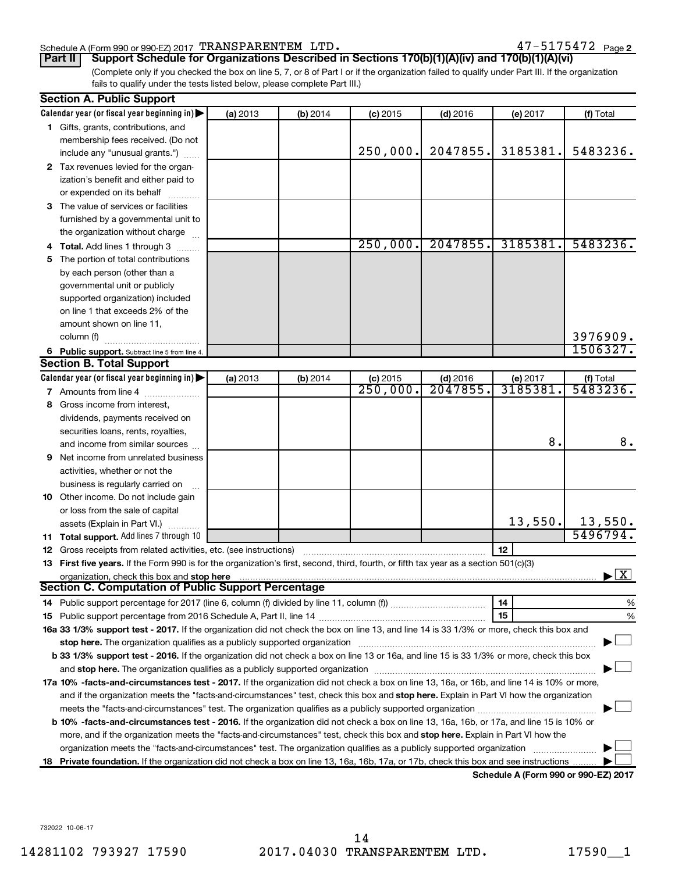#### Schedule A (Form 990 or 990-EZ) 2017 Page TRANSPARENTEM LTD. 47-5175472

(Complete only if you checked the box on line 5, 7, or 8 of Part I or if the organization failed to qualify under Part III. If the organization fails to qualify under the tests listed below, please complete Part III.) **Part II Support Schedule for Organizations Described in Sections 170(b)(1)(A)(iv) and 170(b)(1)(A)(vi)**

|     | <b>Section A. Public Support</b>                                                                                                                                                                                               |          |            |                      |            |          |              |
|-----|--------------------------------------------------------------------------------------------------------------------------------------------------------------------------------------------------------------------------------|----------|------------|----------------------|------------|----------|--------------|
|     | Calendar year (or fiscal year beginning in)                                                                                                                                                                                    | (a) 2013 | $(b)$ 2014 | $(c)$ 2015           | $(d)$ 2016 | (e) 2017 | (f) Total    |
|     | 1 Gifts, grants, contributions, and                                                                                                                                                                                            |          |            |                      |            |          |              |
|     | membership fees received. (Do not                                                                                                                                                                                              |          |            |                      |            |          |              |
|     | include any "unusual grants.")                                                                                                                                                                                                 |          |            | 250,000.             | 2047855.   | 3185381. | 5483236.     |
|     | 2 Tax revenues levied for the organ-                                                                                                                                                                                           |          |            |                      |            |          |              |
|     | ization's benefit and either paid to                                                                                                                                                                                           |          |            |                      |            |          |              |
|     | or expended on its behalf                                                                                                                                                                                                      |          |            |                      |            |          |              |
|     | 3 The value of services or facilities                                                                                                                                                                                          |          |            |                      |            |          |              |
|     | furnished by a governmental unit to                                                                                                                                                                                            |          |            |                      |            |          |              |
|     | the organization without charge                                                                                                                                                                                                |          |            |                      |            |          |              |
| 4   | <b>Total.</b> Add lines 1 through 3                                                                                                                                                                                            |          |            | 250,000.             | 2047855.   | 3185381. | 5483236.     |
| 5.  | The portion of total contributions                                                                                                                                                                                             |          |            |                      |            |          |              |
|     | by each person (other than a                                                                                                                                                                                                   |          |            |                      |            |          |              |
|     | governmental unit or publicly                                                                                                                                                                                                  |          |            |                      |            |          |              |
|     | supported organization) included                                                                                                                                                                                               |          |            |                      |            |          |              |
|     | on line 1 that exceeds 2% of the                                                                                                                                                                                               |          |            |                      |            |          |              |
|     | amount shown on line 11,                                                                                                                                                                                                       |          |            |                      |            |          |              |
|     | column (f)                                                                                                                                                                                                                     |          |            |                      |            |          | 3976909.     |
|     | 6 Public support. Subtract line 5 from line 4.                                                                                                                                                                                 |          |            |                      |            |          | 1506327.     |
|     | <b>Section B. Total Support</b>                                                                                                                                                                                                |          |            |                      |            |          |              |
|     | Calendar year (or fiscal year beginning in)                                                                                                                                                                                    | (a) 2013 | $(b)$ 2014 | $(c)$ 2015           | $(d)$ 2016 | (e) 2017 | (f) Total    |
|     | 7 Amounts from line 4                                                                                                                                                                                                          |          |            | $\overline{250,000}$ | 2047855.   | 3185381  | 5483236.     |
| 8   | Gross income from interest,                                                                                                                                                                                                    |          |            |                      |            |          |              |
|     | dividends, payments received on                                                                                                                                                                                                |          |            |                      |            |          |              |
|     | securities loans, rents, royalties,                                                                                                                                                                                            |          |            |                      |            |          |              |
|     | and income from similar sources                                                                                                                                                                                                |          |            |                      |            | 8.       | 8.           |
| 9   | Net income from unrelated business                                                                                                                                                                                             |          |            |                      |            |          |              |
|     | activities, whether or not the                                                                                                                                                                                                 |          |            |                      |            |          |              |
|     | business is regularly carried on                                                                                                                                                                                               |          |            |                      |            |          |              |
|     | 10 Other income. Do not include gain                                                                                                                                                                                           |          |            |                      |            |          |              |
|     | or loss from the sale of capital                                                                                                                                                                                               |          |            |                      |            |          |              |
|     | assets (Explain in Part VI.)                                                                                                                                                                                                   |          |            |                      |            | 13,550.  | 13,550.      |
|     | 11 Total support. Add lines 7 through 10                                                                                                                                                                                       |          |            |                      |            |          | 5496794.     |
|     | 12 Gross receipts from related activities, etc. (see instructions)                                                                                                                                                             |          |            |                      |            | 12       |              |
|     | 13 First five years. If the Form 990 is for the organization's first, second, third, fourth, or fifth tax year as a section 501(c)(3)                                                                                          |          |            |                      |            |          |              |
|     | organization, check this box and stop here                                                                                                                                                                                     |          |            |                      |            |          | $\mathbf{X}$ |
|     | <b>Section C. Computation of Public Support Percentage</b>                                                                                                                                                                     |          |            |                      |            |          |              |
|     | 14 Public support percentage for 2017 (line 6, column (f) divided by line 11, column (f) <i>mummumumum</i>                                                                                                                     |          |            |                      |            | 14       | %            |
|     |                                                                                                                                                                                                                                |          |            |                      |            | 15       | %            |
|     | 16a 33 1/3% support test - 2017. If the organization did not check the box on line 13, and line 14 is 33 1/3% or more, check this box and                                                                                      |          |            |                      |            |          |              |
|     | stop here. The organization qualifies as a publicly supported organization                                                                                                                                                     |          |            |                      |            |          |              |
|     | b 33 1/3% support test - 2016. If the organization did not check a box on line 13 or 16a, and line 15 is 33 1/3% or more, check this box                                                                                       |          |            |                      |            |          |              |
|     | and stop here. The organization qualifies as a publicly supported organization [11] manuscription [11] and stop here. The organization [11] and stop here. The organization [11] and stop here. The organization [11] and stop |          |            |                      |            |          |              |
|     | 17a 10% -facts-and-circumstances test - 2017. If the organization did not check a box on line 13, 16a, or 16b, and line 14 is 10% or more,                                                                                     |          |            |                      |            |          |              |
|     | and if the organization meets the "facts-and-circumstances" test, check this box and stop here. Explain in Part VI how the organization                                                                                        |          |            |                      |            |          |              |
|     |                                                                                                                                                                                                                                |          |            |                      |            |          |              |
|     | b 10% -facts-and-circumstances test - 2016. If the organization did not check a box on line 13, 16a, 16b, or 17a, and line 15 is 10% or                                                                                        |          |            |                      |            |          |              |
|     | more, and if the organization meets the "facts-and-circumstances" test, check this box and stop here. Explain in Part VI how the                                                                                               |          |            |                      |            |          |              |
|     | organization meets the "facts-and-circumstances" test. The organization qualifies as a publicly supported organization                                                                                                         |          |            |                      |            |          |              |
| 18. | Private foundation. If the organization did not check a box on line 13, 16a, 16b, 17a, or 17b, check this box and see instructions                                                                                             |          |            |                      |            |          |              |
|     |                                                                                                                                                                                                                                |          |            |                      |            |          |              |

**Schedule A (Form 990 or 990-EZ) 2017**

732022 10-06-17

14281102 793927 17590 2017.04030 TRANSPARENTEM LTD. 17590\_\_1 14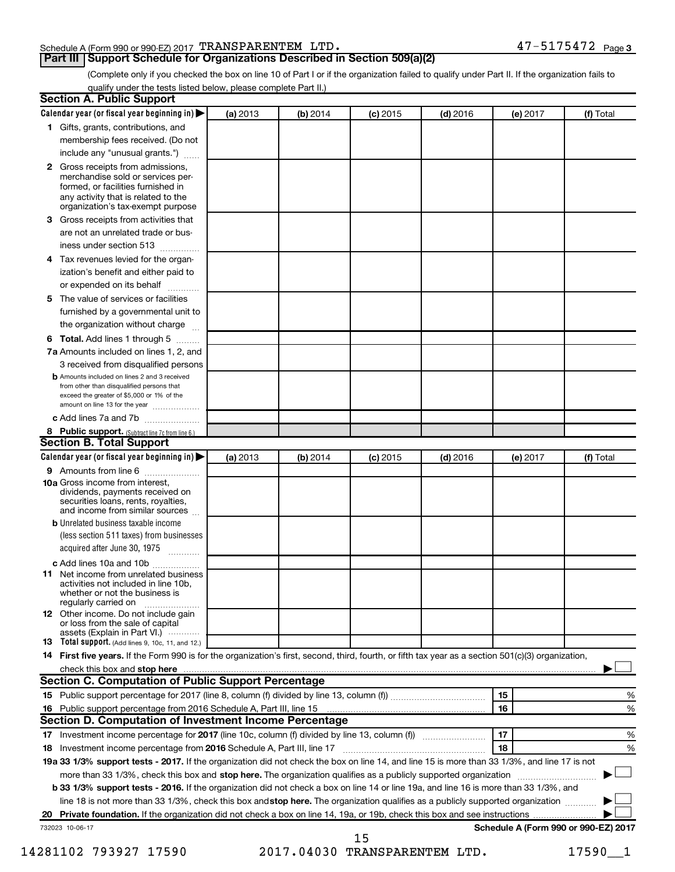#### Schedule A (Form 990 or 990-EZ) 2017 Page TRANSPARENTEM LTD. 47-5175472

#### **Part III Support Schedule for Organizations Described in Section 509(a)(2)**

(Complete only if you checked the box on line 10 of Part I or if the organization failed to qualify under Part II. If the organization fails to qualify under the tests listed below, please complete Part II.)

| <b>Section A. Public Support</b>                                                                                                                                                         |          |          |            |            |          |                                      |
|------------------------------------------------------------------------------------------------------------------------------------------------------------------------------------------|----------|----------|------------|------------|----------|--------------------------------------|
| Calendar year (or fiscal year beginning in)                                                                                                                                              | (a) 2013 | (b) 2014 | $(c)$ 2015 | $(d)$ 2016 | (e) 2017 | (f) Total                            |
| 1 Gifts, grants, contributions, and                                                                                                                                                      |          |          |            |            |          |                                      |
| membership fees received. (Do not                                                                                                                                                        |          |          |            |            |          |                                      |
| include any "unusual grants.")                                                                                                                                                           |          |          |            |            |          |                                      |
| 2 Gross receipts from admissions,<br>merchandise sold or services per-<br>formed, or facilities furnished in<br>any activity that is related to the<br>organization's tax-exempt purpose |          |          |            |            |          |                                      |
| <b>3</b> Gross receipts from activities that                                                                                                                                             |          |          |            |            |          |                                      |
| are not an unrelated trade or bus-                                                                                                                                                       |          |          |            |            |          |                                      |
| iness under section 513                                                                                                                                                                  |          |          |            |            |          |                                      |
| 4 Tax revenues levied for the organ-                                                                                                                                                     |          |          |            |            |          |                                      |
| ization's benefit and either paid to<br>or expended on its behalf                                                                                                                        |          |          |            |            |          |                                      |
| 5 The value of services or facilities                                                                                                                                                    |          |          |            |            |          |                                      |
| furnished by a governmental unit to                                                                                                                                                      |          |          |            |            |          |                                      |
| the organization without charge                                                                                                                                                          |          |          |            |            |          |                                      |
| <b>6 Total.</b> Add lines 1 through 5                                                                                                                                                    |          |          |            |            |          |                                      |
| 7a Amounts included on lines 1, 2, and                                                                                                                                                   |          |          |            |            |          |                                      |
| 3 received from disqualified persons                                                                                                                                                     |          |          |            |            |          |                                      |
| <b>b</b> Amounts included on lines 2 and 3 received<br>from other than disqualified persons that<br>exceed the greater of \$5,000 or 1% of the<br>amount on line 13 for the year         |          |          |            |            |          |                                      |
| c Add lines 7a and 7b                                                                                                                                                                    |          |          |            |            |          |                                      |
| 8 Public support. (Subtract line 7c from line 6.)                                                                                                                                        |          |          |            |            |          |                                      |
| <b>Section B. Total Support</b>                                                                                                                                                          |          |          |            |            |          |                                      |
| Calendar year (or fiscal year beginning in)                                                                                                                                              | (a) 2013 | (b) 2014 | $(c)$ 2015 | $(d)$ 2016 | (e) 2017 | (f) Total                            |
| 9 Amounts from line 6                                                                                                                                                                    |          |          |            |            |          |                                      |
| <b>10a</b> Gross income from interest,<br>dividends, payments received on<br>securities loans, rents, royalties,<br>and income from similar sources                                      |          |          |            |            |          |                                      |
| <b>b</b> Unrelated business taxable income                                                                                                                                               |          |          |            |            |          |                                      |
| (less section 511 taxes) from businesses                                                                                                                                                 |          |          |            |            |          |                                      |
| acquired after June 30, 1975                                                                                                                                                             |          |          |            |            |          |                                      |
| c Add lines 10a and 10b                                                                                                                                                                  |          |          |            |            |          |                                      |
| <b>11</b> Net income from unrelated business<br>activities not included in line 10b.<br>whether or not the business is<br>regularly carried on                                           |          |          |            |            |          |                                      |
| 12 Other income. Do not include gain<br>or loss from the sale of capital<br>assets (Explain in Part VI.)                                                                                 |          |          |            |            |          |                                      |
| <b>13</b> Total support. (Add lines 9, 10c, 11, and 12.)                                                                                                                                 |          |          |            |            |          |                                      |
| 14 First five years. If the Form 990 is for the organization's first, second, third, fourth, or fifth tax year as a section 501(c)(3) organization,                                      |          |          |            |            |          |                                      |
| check this box and stop here <i>macuum macuum macuum macuum macuum macuum macuum macuum macuum</i>                                                                                       |          |          |            |            |          |                                      |
| <b>Section C. Computation of Public Support Percentage</b>                                                                                                                               |          |          |            |            |          |                                      |
|                                                                                                                                                                                          |          |          |            |            | 15       | %                                    |
|                                                                                                                                                                                          |          |          |            |            | 16       | %                                    |
| Section D. Computation of Investment Income Percentage                                                                                                                                   |          |          |            |            |          |                                      |
| 17 Investment income percentage for 2017 (line 10c, column (f) divided by line 13, column (f))                                                                                           |          |          |            |            | 17       | %                                    |
| 18 Investment income percentage from 2016 Schedule A, Part III, line 17                                                                                                                  |          |          |            |            | 18       | %                                    |
| 19a 33 1/3% support tests - 2017. If the organization did not check the box on line 14, and line 15 is more than 33 1/3%, and line 17 is not                                             |          |          |            |            |          |                                      |
| more than 33 1/3%, check this box and stop here. The organization qualifies as a publicly supported organization                                                                         |          |          |            |            |          |                                      |
| b 33 1/3% support tests - 2016. If the organization did not check a box on line 14 or line 19a, and line 16 is more than 33 1/3%, and                                                    |          |          |            |            |          |                                      |
| line 18 is not more than 33 1/3%, check this box and stop here. The organization qualifies as a publicly supported organization                                                          |          |          |            |            |          |                                      |
|                                                                                                                                                                                          |          |          |            |            |          |                                      |
| 732023 10-06-17                                                                                                                                                                          |          |          | 15         |            |          | Schedule A (Form 990 or 990-EZ) 2017 |

14281102 793927 17590 2017.04030 TRANSPARENTEM LTD. 17590\_\_1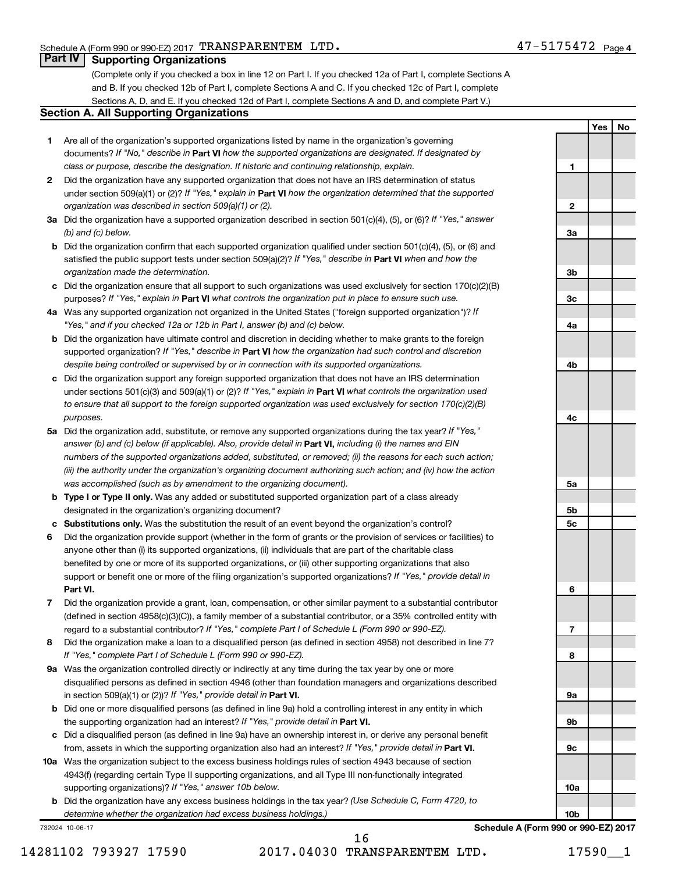**1**

**2**

**3a**

**3b**

**3c**

**4a**

**4b**

**4c**

**5a**

**5b 5c**

**6**

**7**

**8**

**9a**

**9b**

**9c**

**10a**

**Yes No**

#### **Part IV Supporting Organizations**

(Complete only if you checked a box in line 12 on Part I. If you checked 12a of Part I, complete Sections A and B. If you checked 12b of Part I, complete Sections A and C. If you checked 12c of Part I, complete Sections A, D, and E. If you checked 12d of Part I, complete Sections A and D, and complete Part V.)

#### **Section A. All Supporting Organizations**

- **1** Are all of the organization's supported organizations listed by name in the organization's governing documents? If "No," describe in Part VI how the supported organizations are designated. If designated by *class or purpose, describe the designation. If historic and continuing relationship, explain.*
- **2** Did the organization have any supported organization that does not have an IRS determination of status under section 509(a)(1) or (2)? If "Yes," explain in Part **VI** how the organization determined that the supported *organization was described in section 509(a)(1) or (2).*
- **3a** Did the organization have a supported organization described in section 501(c)(4), (5), or (6)? If "Yes," answer *(b) and (c) below.*
- **b** Did the organization confirm that each supported organization qualified under section 501(c)(4), (5), or (6) and satisfied the public support tests under section 509(a)(2)? If "Yes," describe in Part VI when and how the *organization made the determination.*
- **c** Did the organization ensure that all support to such organizations was used exclusively for section 170(c)(2)(B) purposes? If "Yes," explain in Part VI what controls the organization put in place to ensure such use.
- **4 a** *If* Was any supported organization not organized in the United States ("foreign supported organization")? *"Yes," and if you checked 12a or 12b in Part I, answer (b) and (c) below.*
- **b** Did the organization have ultimate control and discretion in deciding whether to make grants to the foreign supported organization? If "Yes," describe in Part VI how the organization had such control and discretion *despite being controlled or supervised by or in connection with its supported organizations.*
- **c** Did the organization support any foreign supported organization that does not have an IRS determination under sections 501(c)(3) and 509(a)(1) or (2)? If "Yes," explain in Part VI what controls the organization used *to ensure that all support to the foreign supported organization was used exclusively for section 170(c)(2)(B) purposes.*
- **5a** Did the organization add, substitute, or remove any supported organizations during the tax year? If "Yes," answer (b) and (c) below (if applicable). Also, provide detail in **Part VI,** including (i) the names and EIN *numbers of the supported organizations added, substituted, or removed; (ii) the reasons for each such action; (iii) the authority under the organization's organizing document authorizing such action; and (iv) how the action was accomplished (such as by amendment to the organizing document).*
- **b** Type I or Type II only. Was any added or substituted supported organization part of a class already designated in the organization's organizing document?
- **c Substitutions only.**  Was the substitution the result of an event beyond the organization's control?
- **6** Did the organization provide support (whether in the form of grants or the provision of services or facilities) to **Part VI.** support or benefit one or more of the filing organization's supported organizations? If "Yes," provide detail in anyone other than (i) its supported organizations, (ii) individuals that are part of the charitable class benefited by one or more of its supported organizations, or (iii) other supporting organizations that also
- **7** Did the organization provide a grant, loan, compensation, or other similar payment to a substantial contributor regard to a substantial contributor? If "Yes," complete Part I of Schedule L (Form 990 or 990-EZ). (defined in section 4958(c)(3)(C)), a family member of a substantial contributor, or a 35% controlled entity with
- **8** Did the organization make a loan to a disqualified person (as defined in section 4958) not described in line 7? *If "Yes," complete Part I of Schedule L (Form 990 or 990-EZ).*
- **9 a** Was the organization controlled directly or indirectly at any time during the tax year by one or more in section 509(a)(1) or (2))? If "Yes," provide detail in **Part VI.** disqualified persons as defined in section 4946 (other than foundation managers and organizations described
- **b** Did one or more disqualified persons (as defined in line 9a) hold a controlling interest in any entity in which the supporting organization had an interest? If "Yes," provide detail in Part VI.
- **c** Did a disqualified person (as defined in line 9a) have an ownership interest in, or derive any personal benefit from, assets in which the supporting organization also had an interest? If "Yes," provide detail in Part VI.
- **10 a** Was the organization subject to the excess business holdings rules of section 4943 because of section supporting organizations)? If "Yes," answer 10b below. 4943(f) (regarding certain Type II supporting organizations, and all Type III non-functionally integrated
	- **b** Did the organization have any excess business holdings in the tax year? (Use Schedule C, Form 4720, to *determine whether the organization had excess business holdings.)*

732024 10-06-17

16

14281102 793927 17590 2017.04030 TRANSPARENTEM LTD. 17590\_\_1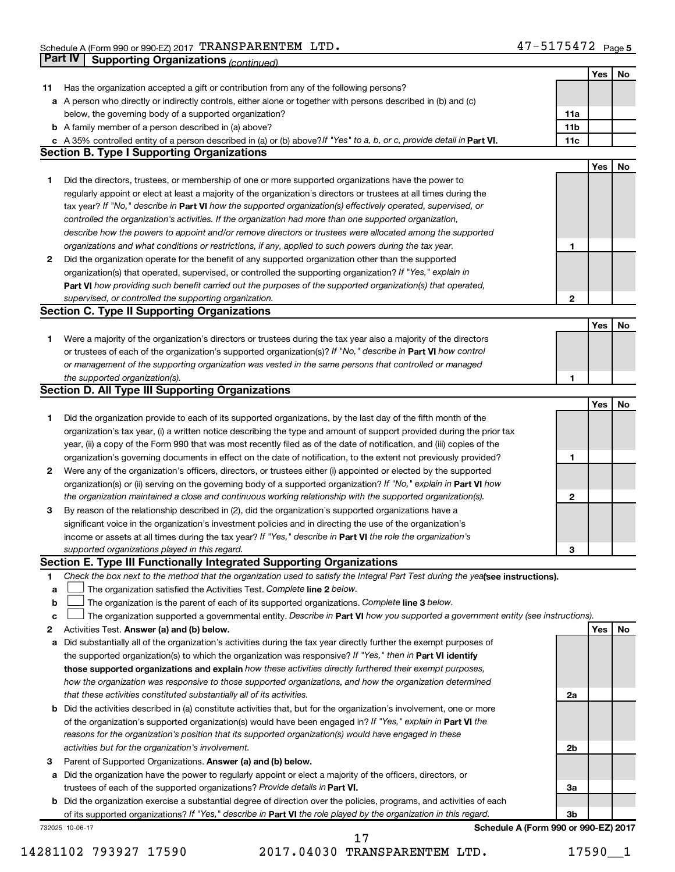|    | Part IV<br><b>Supporting Organizations (continued)</b>                                                                          |                 |     |    |
|----|---------------------------------------------------------------------------------------------------------------------------------|-----------------|-----|----|
|    |                                                                                                                                 |                 | Yes | No |
| 11 | Has the organization accepted a gift or contribution from any of the following persons?                                         |                 |     |    |
|    | a A person who directly or indirectly controls, either alone or together with persons described in (b) and (c)                  |                 |     |    |
|    | below, the governing body of a supported organization?                                                                          | 11a             |     |    |
|    | <b>b</b> A family member of a person described in (a) above?                                                                    | 11 <sub>b</sub> |     |    |
|    | c A 35% controlled entity of a person described in (a) or (b) above? If "Yes" to a, b, or c, provide detail in Part VI.         | 11c             |     |    |
|    | <b>Section B. Type I Supporting Organizations</b>                                                                               |                 |     |    |
|    |                                                                                                                                 |                 | Yes | No |
| 1  | Did the directors, trustees, or membership of one or more supported organizations have the power to                             |                 |     |    |
|    | regularly appoint or elect at least a majority of the organization's directors or trustees at all times during the              |                 |     |    |
|    | tax year? If "No," describe in Part VI how the supported organization(s) effectively operated, supervised, or                   |                 |     |    |
|    | controlled the organization's activities. If the organization had more than one supported organization,                         |                 |     |    |
|    | describe how the powers to appoint and/or remove directors or trustees were allocated among the supported                       |                 |     |    |
|    | organizations and what conditions or restrictions, if any, applied to such powers during the tax year.                          | 1               |     |    |
| 2  | Did the organization operate for the benefit of any supported organization other than the supported                             |                 |     |    |
|    | organization(s) that operated, supervised, or controlled the supporting organization? If "Yes," explain in                      |                 |     |    |
|    | Part VI how providing such benefit carried out the purposes of the supported organization(s) that operated,                     |                 |     |    |
|    | supervised, or controlled the supporting organization.                                                                          | $\mathbf{2}$    |     |    |
|    | <b>Section C. Type II Supporting Organizations</b>                                                                              |                 |     |    |
|    |                                                                                                                                 |                 | Yes | No |
| 1. | Were a majority of the organization's directors or trustees during the tax year also a majority of the directors                |                 |     |    |
|    | or trustees of each of the organization's supported organization(s)? If "No," describe in Part VI how control                   |                 |     |    |
|    | or management of the supporting organization was vested in the same persons that controlled or managed                          |                 |     |    |
|    | the supported organization(s).                                                                                                  | 1               |     |    |
|    | <b>Section D. All Type III Supporting Organizations</b>                                                                         |                 |     |    |
|    |                                                                                                                                 |                 | Yes | No |
| 1  | Did the organization provide to each of its supported organizations, by the last day of the fifth month of the                  |                 |     |    |
|    | organization's tax year, (i) a written notice describing the type and amount of support provided during the prior tax           |                 |     |    |
|    | year, (ii) a copy of the Form 990 that was most recently filed as of the date of notification, and (iii) copies of the          |                 |     |    |
|    | organization's governing documents in effect on the date of notification, to the extent not previously provided?                | 1               |     |    |
| 2  | Were any of the organization's officers, directors, or trustees either (i) appointed or elected by the supported                |                 |     |    |
|    | organization(s) or (ii) serving on the governing body of a supported organization? If "No," explain in Part VI how              |                 |     |    |
|    | the organization maintained a close and continuous working relationship with the supported organization(s).                     | $\mathbf{2}$    |     |    |
| 3  | By reason of the relationship described in (2), did the organization's supported organizations have a                           |                 |     |    |
|    | significant voice in the organization's investment policies and in directing the use of the organization's                      |                 |     |    |
|    | income or assets at all times during the tax year? If "Yes," describe in Part VI the role the organization's                    |                 |     |    |
|    | supported organizations played in this regard.                                                                                  | з               |     |    |
|    | Section E. Type III Functionally Integrated Supporting Organizations                                                            |                 |     |    |
| 1  | Check the box next to the method that the organization used to satisfy the Integral Part Test during the yealsee instructions). |                 |     |    |
| a  | The organization satisfied the Activities Test. Complete line 2 below.                                                          |                 |     |    |
| b  | The organization is the parent of each of its supported organizations. Complete line 3 below.                                   |                 |     |    |
| с  | The organization supported a governmental entity. Describe in Part VI how you supported a government entity (see instructions). |                 |     |    |
| 2  | Activities Test. Answer (a) and (b) below.                                                                                      |                 | Yes | No |
| а  | Did substantially all of the organization's activities during the tax year directly further the exempt purposes of              |                 |     |    |
|    | the supported organization(s) to which the organization was responsive? If "Yes," then in Part VI identify                      |                 |     |    |
|    | those supported organizations and explain how these activities directly furthered their exempt purposes,                        |                 |     |    |
|    | how the organization was responsive to those supported organizations, and how the organization determined                       |                 |     |    |
|    | that these activities constituted substantially all of its activities.                                                          | 2a              |     |    |
|    | <b>b</b> Did the activities described in (a) constitute activities that, but for the organization's involvement, one or more    |                 |     |    |
|    | of the organization's supported organization(s) would have been engaged in? If "Yes," explain in Part VI the                    |                 |     |    |
|    | reasons for the organization's position that its supported organization(s) would have engaged in these                          |                 |     |    |
|    | activities but for the organization's involvement.                                                                              | 2b              |     |    |
| з  | Parent of Supported Organizations. Answer (a) and (b) below.                                                                    |                 |     |    |
| а  | Did the organization have the power to regularly appoint or elect a majority of the officers, directors, or                     |                 |     |    |
|    | trustees of each of the supported organizations? Provide details in Part VI.                                                    | За              |     |    |
|    | <b>b</b> Did the organization exercise a substantial degree of direction over the policies, programs, and activities of each    |                 |     |    |
|    | of its supported organizations? If "Yes," describe in Part VI the role played by the organization in this regard.               | 3b              |     |    |
|    | Schedule A (Form 990 or 990-EZ) 2017<br>732025 10-06-17                                                                         |                 |     |    |

14281102 793927 17590 2017.04030 TRANSPARENTEM LTD. 17590\_\_1

17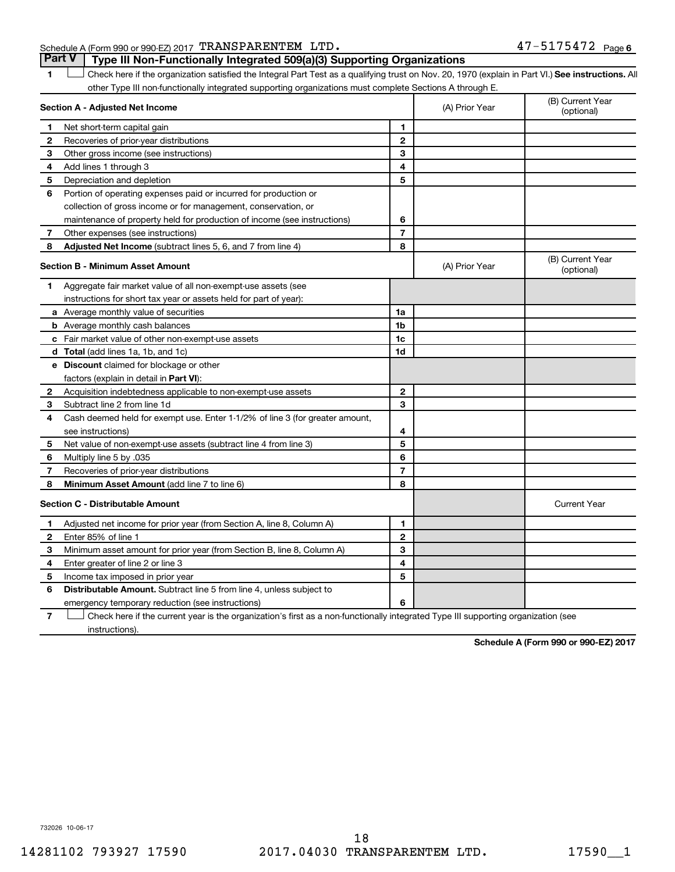#### Schedule A (Form 990 or 990-EZ) 2017 Page TRANSPARENTEM LTD. 47-5175472

1 **Letter See instructions.** All Check here if the organization satisfied the Integral Part Test as a qualifying trust on Nov. 20, 1970 (explain in Part VI.) See instructions. All other Type III non-functionally integrated supporting organizations must complete Sections A through E. **Part V Type III Non-Functionally Integrated 509(a)(3) Supporting Organizations** 

|                | Section A - Adjusted Net Income                                              |                | (A) Prior Year | (B) Current Year<br>(optional) |
|----------------|------------------------------------------------------------------------------|----------------|----------------|--------------------------------|
| 1.             | Net short-term capital gain                                                  | 1              |                |                                |
| $\overline{2}$ | Recoveries of prior-year distributions                                       | $\overline{2}$ |                |                                |
| З              | Other gross income (see instructions)                                        | 3              |                |                                |
| 4              | Add lines 1 through 3                                                        | 4              |                |                                |
| 5              | Depreciation and depletion                                                   | 5              |                |                                |
| 6              | Portion of operating expenses paid or incurred for production or             |                |                |                                |
|                | collection of gross income or for management, conservation, or               |                |                |                                |
|                | maintenance of property held for production of income (see instructions)     | 6              |                |                                |
| 7              | Other expenses (see instructions)                                            | $\overline{7}$ |                |                                |
| 8              | Adjusted Net Income (subtract lines 5, 6, and 7 from line 4)                 | 8              |                |                                |
|                | <b>Section B - Minimum Asset Amount</b>                                      |                | (A) Prior Year | (B) Current Year<br>(optional) |
| 1              | Aggregate fair market value of all non-exempt-use assets (see                |                |                |                                |
|                | instructions for short tax year or assets held for part of year):            |                |                |                                |
|                | a Average monthly value of securities                                        | 1a             |                |                                |
|                | <b>b</b> Average monthly cash balances                                       | 1 <sub>b</sub> |                |                                |
|                | c Fair market value of other non-exempt-use assets                           | 1c             |                |                                |
|                | d Total (add lines 1a, 1b, and 1c)                                           | 1d             |                |                                |
|                | e Discount claimed for blockage or other                                     |                |                |                                |
|                | factors (explain in detail in <b>Part VI</b> ):                              |                |                |                                |
| 2              | Acquisition indebtedness applicable to non-exempt-use assets                 | $\mathbf{2}$   |                |                                |
| З              | Subtract line 2 from line 1d                                                 | 3              |                |                                |
| 4              | Cash deemed held for exempt use. Enter 1-1/2% of line 3 (for greater amount, |                |                |                                |
|                | see instructions)                                                            | 4              |                |                                |
| 5              | Net value of non-exempt-use assets (subtract line 4 from line 3)             | 5              |                |                                |
| 6              | Multiply line 5 by .035                                                      | 6              |                |                                |
| 7              | Recoveries of prior-year distributions                                       | $\overline{7}$ |                |                                |
| 8              | Minimum Asset Amount (add line 7 to line 6)                                  | 8              |                |                                |
|                | <b>Section C - Distributable Amount</b>                                      |                |                | <b>Current Year</b>            |
| 1              | Adjusted net income for prior year (from Section A, line 8, Column A)        | 1              |                |                                |
| 2              | Enter 85% of line 1                                                          | $\mathbf{2}$   |                |                                |
| З              | Minimum asset amount for prior year (from Section B, line 8, Column A)       | 3              |                |                                |
| 4              | Enter greater of line 2 or line 3                                            | 4              |                |                                |
| 5              | Income tax imposed in prior year                                             | 5              |                |                                |
| 6              | <b>Distributable Amount.</b> Subtract line 5 from line 4, unless subject to  |                |                |                                |
|                | emergency temporary reduction (see instructions)                             | 6              |                |                                |
|                |                                                                              |                |                |                                |

**7** Check here if the current year is the organization's first as a non-functionally integrated Type III supporting organization (see † instructions).

**Schedule A (Form 990 or 990-EZ) 2017**

732026 10-06-17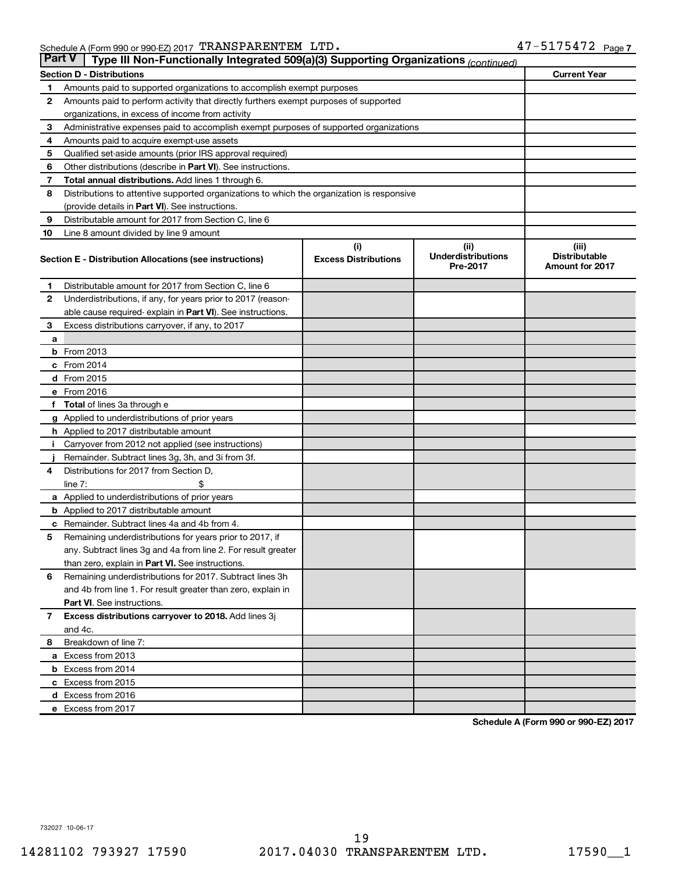|              | <b>Part V</b><br>Type III Non-Functionally Integrated 509(a)(3) Supporting Organizations (continued) |                                    |                                   |                               |  |  |  |  |
|--------------|------------------------------------------------------------------------------------------------------|------------------------------------|-----------------------------------|-------------------------------|--|--|--|--|
|              | <b>Section D - Distributions</b><br><b>Current Year</b>                                              |                                    |                                   |                               |  |  |  |  |
| 1            | Amounts paid to supported organizations to accomplish exempt purposes                                |                                    |                                   |                               |  |  |  |  |
| 2            | Amounts paid to perform activity that directly furthers exempt purposes of supported                 |                                    |                                   |                               |  |  |  |  |
|              | organizations, in excess of income from activity                                                     |                                    |                                   |                               |  |  |  |  |
| 3            | Administrative expenses paid to accomplish exempt purposes of supported organizations                |                                    |                                   |                               |  |  |  |  |
| 4            | Amounts paid to acquire exempt-use assets                                                            |                                    |                                   |                               |  |  |  |  |
| 5            | Qualified set-aside amounts (prior IRS approval required)                                            |                                    |                                   |                               |  |  |  |  |
| 6            | Other distributions (describe in Part VI). See instructions.                                         |                                    |                                   |                               |  |  |  |  |
| 7            | Total annual distributions. Add lines 1 through 6.                                                   |                                    |                                   |                               |  |  |  |  |
| 8            | Distributions to attentive supported organizations to which the organization is responsive           |                                    |                                   |                               |  |  |  |  |
|              | (provide details in Part VI). See instructions.                                                      |                                    |                                   |                               |  |  |  |  |
| 9            | Distributable amount for 2017 from Section C, line 6                                                 |                                    |                                   |                               |  |  |  |  |
| 10           | Line 8 amount divided by line 9 amount                                                               |                                    |                                   |                               |  |  |  |  |
|              | Section E - Distribution Allocations (see instructions)                                              | (i)<br><b>Excess Distributions</b> | (ii)<br><b>Underdistributions</b> | (iii)<br><b>Distributable</b> |  |  |  |  |
|              |                                                                                                      |                                    | Pre-2017                          | <b>Amount for 2017</b>        |  |  |  |  |
| 1            | Distributable amount for 2017 from Section C, line 6                                                 |                                    |                                   |                               |  |  |  |  |
| 2            | Underdistributions, if any, for years prior to 2017 (reason-                                         |                                    |                                   |                               |  |  |  |  |
|              | able cause required- explain in Part VI). See instructions.                                          |                                    |                                   |                               |  |  |  |  |
| 3            | Excess distributions carryover, if any, to 2017                                                      |                                    |                                   |                               |  |  |  |  |
| a            |                                                                                                      |                                    |                                   |                               |  |  |  |  |
|              | $b$ From 2013                                                                                        |                                    |                                   |                               |  |  |  |  |
|              | c From 2014                                                                                          |                                    |                                   |                               |  |  |  |  |
|              | d From 2015                                                                                          |                                    |                                   |                               |  |  |  |  |
|              | e From 2016                                                                                          |                                    |                                   |                               |  |  |  |  |
| f            | <b>Total</b> of lines 3a through e                                                                   |                                    |                                   |                               |  |  |  |  |
|              | <b>g</b> Applied to underdistributions of prior years                                                |                                    |                                   |                               |  |  |  |  |
|              | <b>h</b> Applied to 2017 distributable amount                                                        |                                    |                                   |                               |  |  |  |  |
|              | Carryover from 2012 not applied (see instructions)                                                   |                                    |                                   |                               |  |  |  |  |
|              | Remainder. Subtract lines 3g, 3h, and 3i from 3f.                                                    |                                    |                                   |                               |  |  |  |  |
| 4            | Distributions for 2017 from Section D,                                                               |                                    |                                   |                               |  |  |  |  |
|              | line $7:$                                                                                            |                                    |                                   |                               |  |  |  |  |
|              | a Applied to underdistributions of prior years                                                       |                                    |                                   |                               |  |  |  |  |
|              | <b>b</b> Applied to 2017 distributable amount                                                        |                                    |                                   |                               |  |  |  |  |
| с            | Remainder. Subtract lines 4a and 4b from 4.                                                          |                                    |                                   |                               |  |  |  |  |
| 5            | Remaining underdistributions for years prior to 2017, if                                             |                                    |                                   |                               |  |  |  |  |
|              | any. Subtract lines 3g and 4a from line 2. For result greater                                        |                                    |                                   |                               |  |  |  |  |
|              | than zero, explain in Part VI. See instructions.                                                     |                                    |                                   |                               |  |  |  |  |
| 6            | Remaining underdistributions for 2017. Subtract lines 3h                                             |                                    |                                   |                               |  |  |  |  |
|              | and 4b from line 1. For result greater than zero, explain in                                         |                                    |                                   |                               |  |  |  |  |
|              | <b>Part VI.</b> See instructions.                                                                    |                                    |                                   |                               |  |  |  |  |
| $\mathbf{7}$ | Excess distributions carryover to 2018. Add lines 3j                                                 |                                    |                                   |                               |  |  |  |  |
|              | and 4c.                                                                                              |                                    |                                   |                               |  |  |  |  |
| 8            | Breakdown of line 7:                                                                                 |                                    |                                   |                               |  |  |  |  |
|              | a Excess from 2013                                                                                   |                                    |                                   |                               |  |  |  |  |
|              | <b>b</b> Excess from 2014                                                                            |                                    |                                   |                               |  |  |  |  |
|              | c Excess from 2015                                                                                   |                                    |                                   |                               |  |  |  |  |
|              | d Excess from 2016                                                                                   |                                    |                                   |                               |  |  |  |  |
|              | e Excess from 2017                                                                                   |                                    |                                   |                               |  |  |  |  |

**Schedule A (Form 990 or 990-EZ) 2017**

732027 10-06-17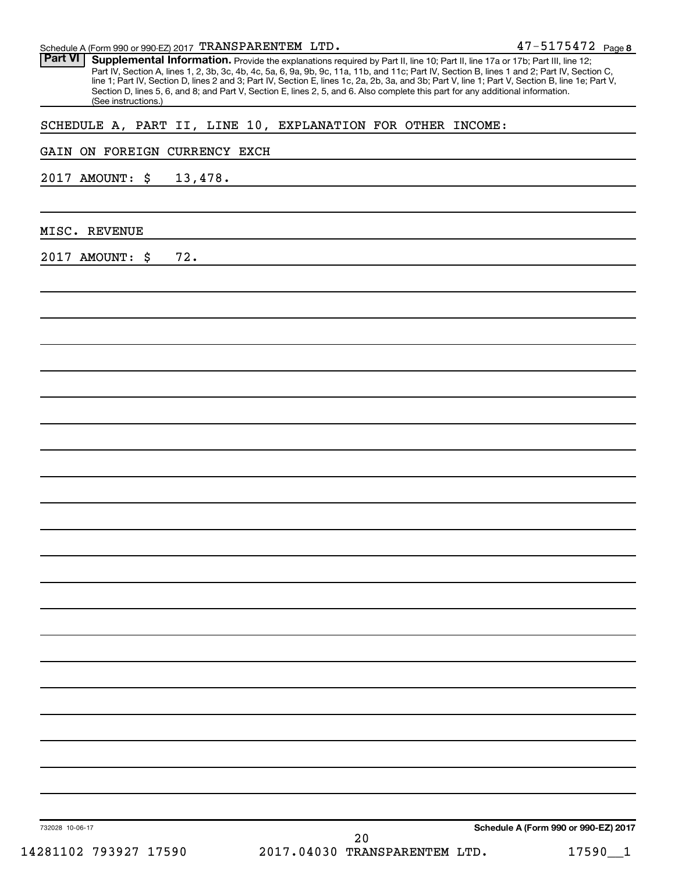732028 10-06-17 47-5175472 Page 8 **Schedule A (Form 990 or 990-EZ) 2017** Schedule A (Form 990 or 990-EZ) 2017  $\texttt{TRANSPARENTEM}$  LTD .  $47\texttt{-}5175472$  Page Part VI | Supplemental Information. Provide the explanations required by Part II, line 10; Part II, line 17a or 17b; Part III, line 12; Part IV, Section A, lines 1, 2, 3b, 3c, 4b, 4c, 5a, 6, 9a, 9b, 9c, 11a, 11b, and 11c; Part IV, Section B, lines 1 and 2; Part IV, Section C, line 1; Part IV, Section D, lines 2 and 3; Part IV, Section E, lines 1c, 2a, 2b, 3a, and 3b; Part V, line 1; Part V, Section B, line 1e; Part V, Section D, lines 5, 6, and 8; and Part V, Section E, lines 2, 5, and 6. Also complete this part for any additional information. (See instructions.) SCHEDULE A, PART II, LINE 10, EXPLANATION FOR OTHER INCOME: GAIN ON FOREIGN CURRENCY EXCH 2017 AMOUNT: \$ 13,478. MISC. REVENUE 2017 AMOUNT: \$ 72. 14281102 793927 17590 2017.04030 TRANSPARENTEM LTD. 17590\_\_1 20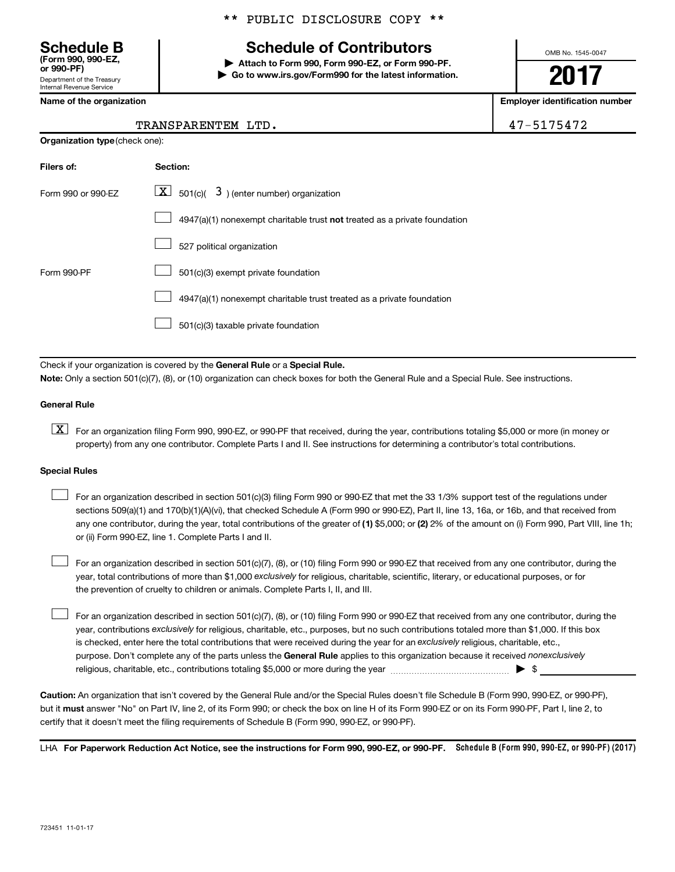Department of the Treasury Internal Revenue Service **(Form 990, 990-EZ,**

## **Schedule B Schedule of Contributors**

**or 990-PF) | Attach to Form 990, Form 990-EZ, or Form 990-PF. | Go to www.irs.gov/Form990 for the latest information.** OMB No. 1545-0047

## **2017**

**Name of the organization Employer identification number**

|  | 54<br>フト | г. |  |
|--|----------|----|--|
|  |          |    |  |

| TRANSPARENTEM LTD. | 47-5175472 |
|--------------------|------------|
|--------------------|------------|

| <b>Organization type (check one):</b> |                                                                                    |  |  |  |  |  |  |
|---------------------------------------|------------------------------------------------------------------------------------|--|--|--|--|--|--|
| Filers of:                            | Section:                                                                           |  |  |  |  |  |  |
| Form 990 or 990-EZ                    | $\underline{\mathbf{X}}$ 501(c)( 3) (enter number) organization                    |  |  |  |  |  |  |
|                                       | $4947(a)(1)$ nonexempt charitable trust <b>not</b> treated as a private foundation |  |  |  |  |  |  |
|                                       | 527 political organization                                                         |  |  |  |  |  |  |
| Form 990-PF                           | 501(c)(3) exempt private foundation                                                |  |  |  |  |  |  |
|                                       | 4947(a)(1) nonexempt charitable trust treated as a private foundation              |  |  |  |  |  |  |
|                                       | 501(c)(3) taxable private foundation                                               |  |  |  |  |  |  |

Check if your organization is covered by the General Rule or a Special Rule.

**Note:**  Only a section 501(c)(7), (8), or (10) organization can check boxes for both the General Rule and a Special Rule. See instructions.

#### **General Rule**

**K** For an organization filing Form 990, 990-EZ, or 990-PF that received, during the year, contributions totaling \$5,000 or more (in money or property) from any one contributor. Complete Parts I and II. See instructions for determining a contributor's total contributions.

#### **Special Rules**

 $\Box$ 

any one contributor, during the year, total contributions of the greater of (1) \$5,000; or (2) 2% of the amount on (i) Form 990, Part VIII, line 1h; For an organization described in section 501(c)(3) filing Form 990 or 990-EZ that met the 33 1/3% support test of the regulations under sections 509(a)(1) and 170(b)(1)(A)(vi), that checked Schedule A (Form 990 or 990-EZ), Part II, line 13, 16a, or 16b, and that received from or (ii) Form 990-EZ, line 1. Complete Parts I and II.  $\Box$ 

year, total contributions of more than \$1,000 *exclusively* for religious, charitable, scientific, literary, or educational purposes, or for For an organization described in section 501(c)(7), (8), or (10) filing Form 990 or 990-EZ that received from any one contributor, during the the prevention of cruelty to children or animals. Complete Parts I, II, and III.  $\Box$ 

purpose. Don't complete any of the parts unless the General Rule applies to this organization because it received nonexclusively year, contributions exclusively for religious, charitable, etc., purposes, but no such contributions totaled more than \$1,000. If this box is checked, enter here the total contributions that were received during the year for an exclusively religious, charitable, etc., For an organization described in section 501(c)(7), (8), or (10) filing Form 990 or 990-EZ that received from any one contributor, during the religious, charitable, etc., contributions totaling \$5,000 or more during the year  $\ldots$  $\ldots$  $\ldots$  $\ldots$  $\ldots$  $\ldots$ 

**Caution:**  An organization that isn't covered by the General Rule and/or the Special Rules doesn't file Schedule B (Form 990, 990-EZ, or 990-PF),  **must** but it answer "No" on Part IV, line 2, of its Form 990; or check the box on line H of its Form 990-EZ or on its Form 990-PF, Part I, line 2, to certify that it doesn't meet the filing requirements of Schedule B (Form 990, 990-EZ, or 990-PF).

LHA For Paperwork Reduction Act Notice, see the instructions for Form 990, 990-EZ, or 990-PF. Schedule B (Form 990, 990-EZ, or 990-PF) (2017)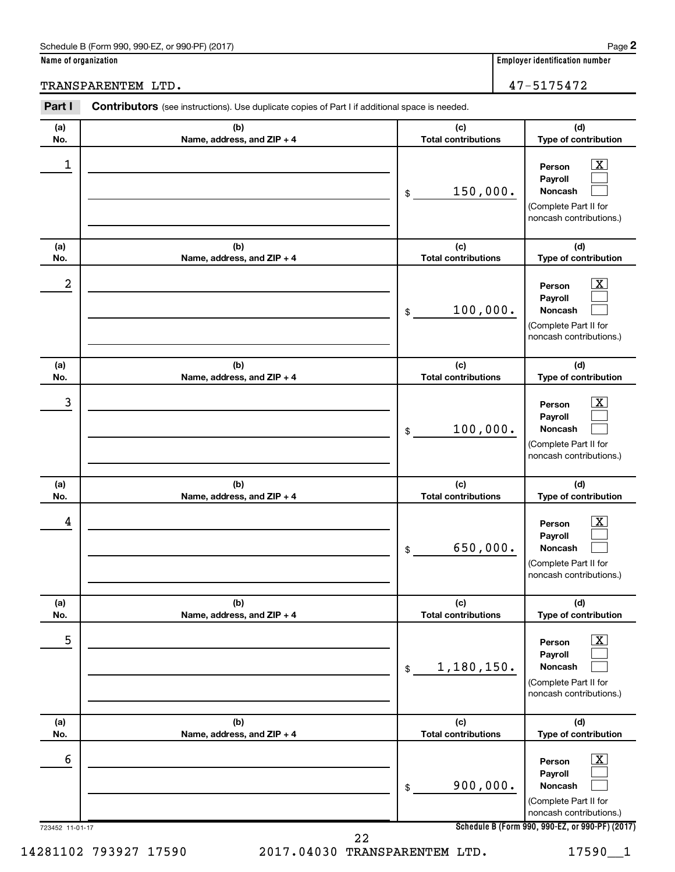#### Schedule B (Form 990, 990-EZ, or 990-PF) (2017)

**Name of organization Employer identification number**

TRANSPARENTEM LTD. 47-5175472

| (a)              | (b)                               | (c)                               | (d)                                                                                                         |
|------------------|-----------------------------------|-----------------------------------|-------------------------------------------------------------------------------------------------------------|
| No.              | Name, address, and ZIP + 4        | <b>Total contributions</b>        | Type of contribution                                                                                        |
| 1                |                                   | 150,000.<br>\$                    | $\overline{\mathbf{X}}$<br>Person<br>Payroll<br>Noncash<br>(Complete Part II for<br>noncash contributions.) |
| (a)<br>No.       | (b)<br>Name, address, and ZIP + 4 | (c)<br><b>Total contributions</b> | (d)<br>Type of contribution                                                                                 |
| $\boldsymbol{2}$ |                                   | 100,000.<br>\$                    | $\overline{\mathbf{X}}$<br>Person<br>Payroll<br>Noncash<br>(Complete Part II for<br>noncash contributions.) |
| (a)<br>No.       | (b)<br>Name, address, and ZIP + 4 | (c)<br><b>Total contributions</b> | (d)<br>Type of contribution                                                                                 |
| 3                |                                   | 100,000.<br>\$                    | $\overline{\textbf{X}}$<br>Person<br>Payroll<br>Noncash<br>(Complete Part II for<br>noncash contributions.) |
| (a)<br>No.       | (b)<br>Name, address, and ZIP + 4 | (c)<br><b>Total contributions</b> | (d)<br>Type of contribution                                                                                 |
| 4                |                                   | 650,000.<br>\$                    | $\overline{\mathbf{X}}$<br>Person<br>Payroll<br>Noncash<br>(Complete Part II for<br>noncash contributions.) |
| (a)<br>No.       | (b)<br>Name, address, and ZIP + 4 | (c)<br><b>Total contributions</b> | (d)<br>Type of contribution                                                                                 |
| 5                |                                   | 1,180,150.<br>\$                  | $\overline{\textbf{X}}$<br>Person<br>Payroll<br>Noncash<br>(Complete Part II for<br>noncash contributions.) |
| (a)<br>No.       | (b)<br>Name, address, and ZIP + 4 | (c)<br><b>Total contributions</b> | (d)<br>Type of contribution                                                                                 |
| 6                |                                   | 900,000.<br>\$                    | $\overline{\textbf{X}}$<br>Person<br>Payroll<br>Noncash<br>(Complete Part II for<br>noncash contributions.) |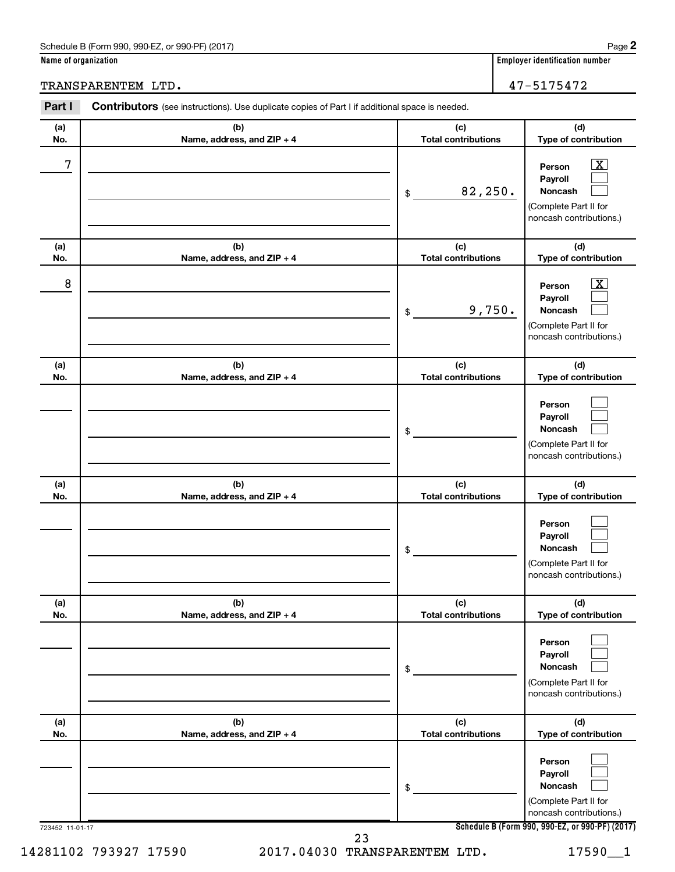#### Schedule B (Form 990, 990-EZ, or 990-PF) (2017)

**Name of organization Employer identification number**

TRANSPARENTEM LTD. 47-5175472

| (a)        | (b)                               | (c)                               | (d)                                                                                                         |
|------------|-----------------------------------|-----------------------------------|-------------------------------------------------------------------------------------------------------------|
| No.        | Name, address, and ZIP + 4        | <b>Total contributions</b>        | Type of contribution                                                                                        |
| 7          |                                   | 82,250.<br>\$                     | $\overline{\mathbf{X}}$<br>Person<br>Payroll<br>Noncash<br>(Complete Part II for<br>noncash contributions.) |
| (a)<br>No. | (b)<br>Name, address, and ZIP + 4 | (c)<br><b>Total contributions</b> | (d)<br>Type of contribution                                                                                 |
| 8          |                                   | 9,750.<br>\$                      | $\overline{\text{X}}$<br>Person<br>Payroll<br>Noncash<br>(Complete Part II for<br>noncash contributions.)   |
| (a)<br>No. | (b)<br>Name, address, and ZIP + 4 | (c)<br><b>Total contributions</b> | (d)<br>Type of contribution                                                                                 |
|            |                                   | \$                                | Person<br>Payroll<br>Noncash<br>(Complete Part II for<br>noncash contributions.)                            |
| (a)<br>No. | (b)<br>Name, address, and ZIP + 4 | (c)<br><b>Total contributions</b> | (d)<br>Type of contribution                                                                                 |
|            |                                   | \$                                | Person<br>Payroll<br>Noncash<br>(Complete Part II for<br>noncash contributions.)                            |
| (a)<br>No. | (b)<br>Name, address, and ZIP + 4 | (c)<br><b>Total contributions</b> | (d)<br>Type of contribution                                                                                 |
|            |                                   | \$                                | Person<br>Payroll<br>Noncash<br>(Complete Part II for<br>noncash contributions.)                            |
| (a)<br>No. | (b)<br>Name, address, and ZIP + 4 | (c)<br><b>Total contributions</b> | (d)<br>Type of contribution                                                                                 |
|            |                                   | \$                                | Person<br>Payroll<br>Noncash<br>(Complete Part II for<br>noncash contributions.)                            |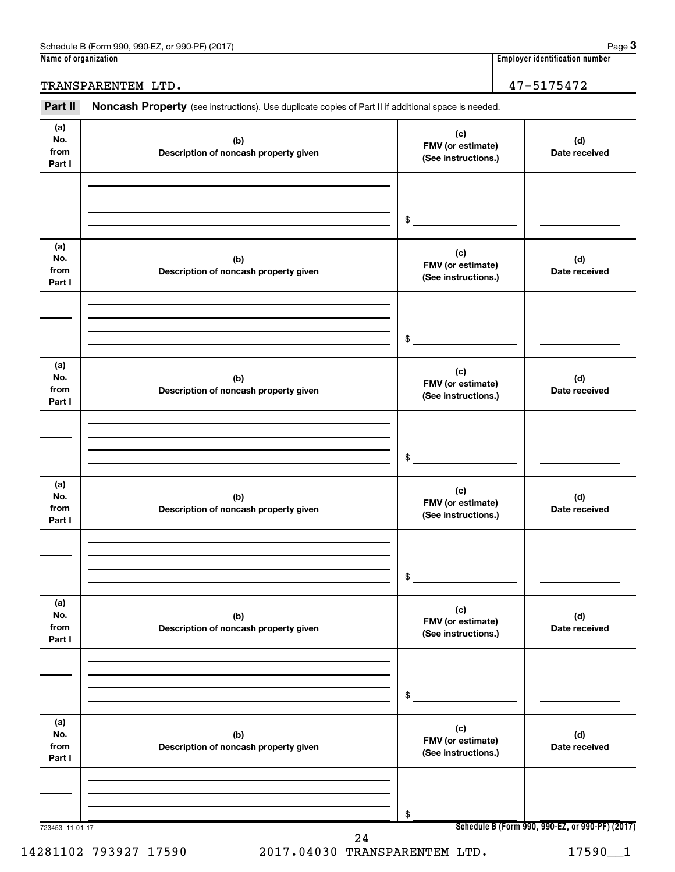| Schedule B (Form 990,<br>) (2017<br>990-EZ<br>or 990-PF` | Paɑe                               |
|----------------------------------------------------------|------------------------------------|
| Name of organization                                     | <br>Emplover identification number |

**Employer identification number** 

TRANSPARENTEM LTD. 47-5175472

Part II Noncash Property (see instructions). Use duplicate copies of Part II if additional space is needed.

| (a)<br>No.<br>from<br>Part I | (b)<br>Description of noncash property given | (c)<br>FMV (or estimate)<br>(See instructions.) | (d)<br>Date received                            |
|------------------------------|----------------------------------------------|-------------------------------------------------|-------------------------------------------------|
|                              |                                              |                                                 |                                                 |
|                              |                                              | \$                                              |                                                 |
| (a)<br>No.<br>from<br>Part I | (b)<br>Description of noncash property given | (c)<br>FMV (or estimate)<br>(See instructions.) | (d)<br>Date received                            |
|                              |                                              | \$                                              |                                                 |
| (a)<br>No.<br>from<br>Part I | (b)<br>Description of noncash property given | (c)<br>FMV (or estimate)<br>(See instructions.) | (d)<br>Date received                            |
|                              |                                              | \$                                              |                                                 |
| (a)<br>No.<br>from<br>Part I | (b)<br>Description of noncash property given | (c)<br>FMV (or estimate)<br>(See instructions.) | (d)<br>Date received                            |
|                              |                                              | \$                                              |                                                 |
| (a)<br>No.<br>from<br>Part I | (b)<br>Description of noncash property given | (c)<br>FMV (or estimate)<br>(See instructions.) | (d)<br>Date received                            |
|                              |                                              | \$                                              |                                                 |
| (a)<br>No.<br>from<br>Part I | (b)<br>Description of noncash property given | (c)<br>FMV (or estimate)<br>(See instructions.) | (d)<br>Date received                            |
|                              |                                              | \$                                              |                                                 |
| 723453 11-01-17              |                                              |                                                 | Schedule B (Form 990, 990-EZ, or 990-PF) (2017) |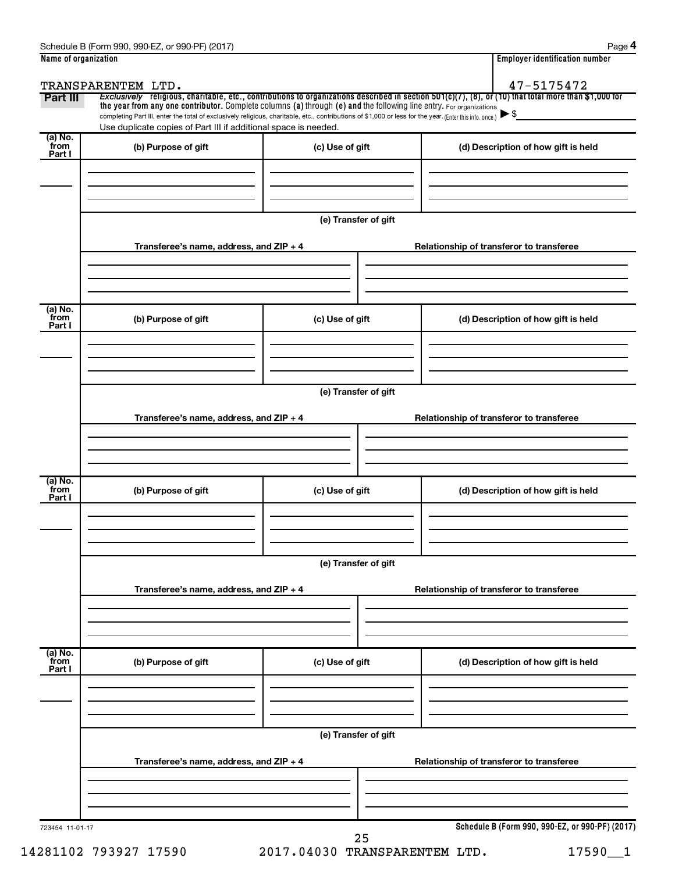| Part III                  | TRANSPARENTEM LTD.                                                                                                                                                                                                                                                              |                      | 47-5175472<br>Exclusively religious, charitable, etc., contributions to organizations described in section 501(c)(7), (8), or (10) that total more than \$1,000 for |
|---------------------------|---------------------------------------------------------------------------------------------------------------------------------------------------------------------------------------------------------------------------------------------------------------------------------|----------------------|---------------------------------------------------------------------------------------------------------------------------------------------------------------------|
|                           | the year from any one contributor. Complete columns (a) through (e) and the following line entry. For organizations<br>completing Part III, enter the total of exclusively religious, charitable, etc., contributions of \$1,000 or less for the year. (Enter this info. once.) |                      |                                                                                                                                                                     |
|                           | Use duplicate copies of Part III if additional space is needed.                                                                                                                                                                                                                 |                      |                                                                                                                                                                     |
| (a) No.<br>from<br>Part I | (b) Purpose of gift                                                                                                                                                                                                                                                             | (c) Use of gift      | (d) Description of how gift is held                                                                                                                                 |
|                           |                                                                                                                                                                                                                                                                                 | (e) Transfer of gift |                                                                                                                                                                     |
|                           | Transferee's name, address, and ZIP + 4                                                                                                                                                                                                                                         |                      | Relationship of transferor to transferee                                                                                                                            |
| (a) No.<br>from<br>Part I | (b) Purpose of gift                                                                                                                                                                                                                                                             | (c) Use of gift      | (d) Description of how gift is held                                                                                                                                 |
|                           |                                                                                                                                                                                                                                                                                 | (e) Transfer of gift |                                                                                                                                                                     |
|                           | Transferee's name, address, and ZIP + 4                                                                                                                                                                                                                                         |                      | Relationship of transferor to transferee                                                                                                                            |
| (a) No.<br>from<br>Part I | (b) Purpose of gift                                                                                                                                                                                                                                                             | (c) Use of gift      | (d) Description of how gift is held                                                                                                                                 |
|                           | Transferee's name, address, and ZIP + 4                                                                                                                                                                                                                                         | (e) Transfer of gift | Relationship of transferor to transferee                                                                                                                            |
| (a) No.<br>from<br>Part I | (b) Purpose of gift                                                                                                                                                                                                                                                             | (c) Use of gift      | (d) Description of how gift is held                                                                                                                                 |
|                           |                                                                                                                                                                                                                                                                                 | (e) Transfer of gift |                                                                                                                                                                     |
|                           | Transferee's name, address, and ZIP + 4                                                                                                                                                                                                                                         |                      | Relationship of transferor to transferee                                                                                                                            |
|                           |                                                                                                                                                                                                                                                                                 |                      |                                                                                                                                                                     |

14281102 793927 17590 2017.04030 TRANSPARENTEM LTD. 17590\_\_1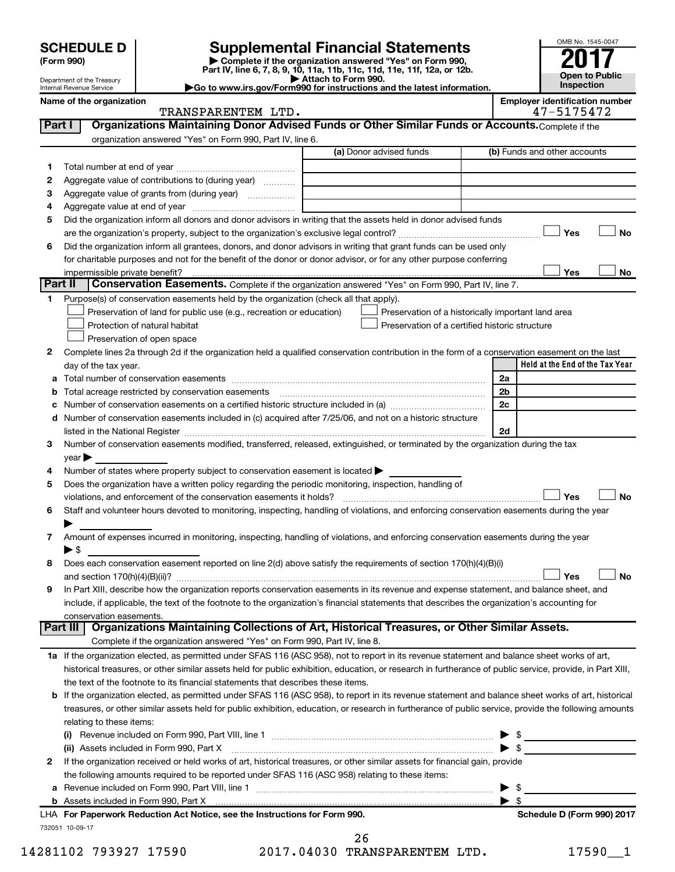| (Form 990) |  |
|------------|--|
|------------|--|

# **SCHEDULE D Supplemental Financial Statements**<br> **Form 990 2017**<br> **Part IV** line 6.7.8.9.10, 11a, 11b, 11d, 11d, 11d, 11d, 11d, 12a, 0r, 12b

**(Form 990) | Complete if the organization answered "Yes" on Form 990, Part IV, line 6, 7, 8, 9, 10, 11a, 11b, 11c, 11d, 11e, 11f, 12a, or 12b.**

**| Attach to Form 990. |Go to www.irs.gov/Form990 for instructions and the latest information.**



Department of the Treasury Internal Revenue Service

| <b>TRANSPARENTEM</b>   | LTD |  |  |  | _____________________________<br>$\overline{ }$ |
|------------------------|-----|--|--|--|-------------------------------------------------|
| service and control of |     |  |  |  |                                                 |

**Name of the organization Employer identification number**

| Part I  |          | Organizations Maintaining Donor Advised Funds or Other Similar Funds or Accounts. Complete if the                                                         |                                                    |                          |                                 |    |
|---------|----------|-----------------------------------------------------------------------------------------------------------------------------------------------------------|----------------------------------------------------|--------------------------|---------------------------------|----|
|         |          | organization answered "Yes" on Form 990, Part IV, line 6.                                                                                                 |                                                    |                          |                                 |    |
|         |          |                                                                                                                                                           | (a) Donor advised funds                            |                          | (b) Funds and other accounts    |    |
| 1       |          |                                                                                                                                                           |                                                    |                          |                                 |    |
| 2       |          | Aggregate value of contributions to (during year)                                                                                                         |                                                    |                          |                                 |    |
| 3       |          |                                                                                                                                                           |                                                    |                          |                                 |    |
| 4       |          |                                                                                                                                                           |                                                    |                          |                                 |    |
| 5       |          | Did the organization inform all donors and donor advisors in writing that the assets held in donor advised funds                                          |                                                    |                          |                                 |    |
|         |          |                                                                                                                                                           |                                                    |                          | Yes                             | No |
| 6       |          | Did the organization inform all grantees, donors, and donor advisors in writing that grant funds can be used only                                         |                                                    |                          |                                 |    |
|         |          | for charitable purposes and not for the benefit of the donor or donor advisor, or for any other purpose conferring                                        |                                                    |                          |                                 |    |
|         |          | impermissible private benefit?                                                                                                                            |                                                    |                          | Yes                             | No |
| Part II |          | <b>Conservation Easements.</b> Complete if the organization answered "Yes" on Form 990, Part IV, line 7.                                                  |                                                    |                          |                                 |    |
| 1       |          | Purpose(s) of conservation easements held by the organization (check all that apply).                                                                     |                                                    |                          |                                 |    |
|         |          | Preservation of land for public use (e.g., recreation or education)                                                                                       | Preservation of a historically important land area |                          |                                 |    |
|         |          | Protection of natural habitat                                                                                                                             | Preservation of a certified historic structure     |                          |                                 |    |
|         |          | Preservation of open space                                                                                                                                |                                                    |                          |                                 |    |
| 2       |          | Complete lines 2a through 2d if the organization held a qualified conservation contribution in the form of a conservation easement on the last            |                                                    |                          |                                 |    |
|         |          | day of the tax year.                                                                                                                                      |                                                    |                          | Held at the End of the Tax Year |    |
| а       |          |                                                                                                                                                           |                                                    | 2a                       |                                 |    |
| b       |          | Total acreage restricted by conservation easements                                                                                                        |                                                    | 2 <sub>b</sub>           |                                 |    |
|         |          | Number of conservation easements on a certified historic structure included in (a) manufacture included in (a)                                            |                                                    | 2c                       |                                 |    |
| d       |          | Number of conservation easements included in (c) acquired after 7/25/06, and not on a historic structure                                                  |                                                    |                          |                                 |    |
|         |          |                                                                                                                                                           |                                                    | 2d                       |                                 |    |
| 3       |          | Number of conservation easements modified, transferred, released, extinguished, or terminated by the organization during the tax                          |                                                    |                          |                                 |    |
|         | year     |                                                                                                                                                           |                                                    |                          |                                 |    |
| 4       |          | Number of states where property subject to conservation easement is located >                                                                             |                                                    |                          |                                 |    |
| 5       |          | Does the organization have a written policy regarding the periodic monitoring, inspection, handling of                                                    |                                                    |                          |                                 |    |
|         |          | violations, and enforcement of the conservation easements it holds?                                                                                       |                                                    |                          | Yes                             | No |
| 6       |          | Staff and volunteer hours devoted to monitoring, inspecting, handling of violations, and enforcing conservation easements during the year                 |                                                    |                          |                                 |    |
|         |          |                                                                                                                                                           |                                                    |                          |                                 |    |
| 7       |          | Amount of expenses incurred in monitoring, inspecting, handling of violations, and enforcing conservation easements during the year                       |                                                    |                          |                                 |    |
|         | ▶ \$     |                                                                                                                                                           |                                                    |                          |                                 |    |
| 8       |          | Does each conservation easement reported on line 2(d) above satisfy the requirements of section 170(h)(4)(B)(i)                                           |                                                    |                          |                                 |    |
|         |          |                                                                                                                                                           |                                                    |                          | Yes                             | No |
| 9       |          | In Part XIII, describe how the organization reports conservation easements in its revenue and expense statement, and balance sheet, and                   |                                                    |                          |                                 |    |
|         |          | include, if applicable, the text of the footnote to the organization's financial statements that describes the organization's accounting for              |                                                    |                          |                                 |    |
|         | Part III | conservation easements.<br>Organizations Maintaining Collections of Art, Historical Treasures, or Other Similar Assets.                                   |                                                    |                          |                                 |    |
|         |          | Complete if the organization answered "Yes" on Form 990, Part IV, line 8.                                                                                 |                                                    |                          |                                 |    |
|         |          | 1a If the organization elected, as permitted under SFAS 116 (ASC 958), not to report in its revenue statement and balance sheet works of art,             |                                                    |                          |                                 |    |
|         |          | historical treasures, or other similar assets held for public exhibition, education, or research in furtherance of public service, provide, in Part XIII, |                                                    |                          |                                 |    |
|         |          | the text of the footnote to its financial statements that describes these items.                                                                          |                                                    |                          |                                 |    |
| b       |          | If the organization elected, as permitted under SFAS 116 (ASC 958), to report in its revenue statement and balance sheet works of art, historical         |                                                    |                          |                                 |    |
|         |          | treasures, or other similar assets held for public exhibition, education, or research in furtherance of public service, provide the following amounts     |                                                    |                          |                                 |    |
|         |          | relating to these items:                                                                                                                                  |                                                    |                          |                                 |    |
|         |          |                                                                                                                                                           |                                                    | \$                       |                                 |    |
|         |          | (ii) Assets included in Form 990, Part X                                                                                                                  |                                                    |                          | $\blacktriangleright$ \$        |    |
| 2       |          | If the organization received or held works of art, historical treasures, or other similar assets for financial gain, provide                              |                                                    |                          |                                 |    |
|         |          | the following amounts required to be reported under SFAS 116 (ASC 958) relating to these items:                                                           |                                                    |                          |                                 |    |
|         |          | Revenue included on Form 990, Part VIII, line 1 [2000] [2000] [2000] [2000] [3000] [3000] [3000] [3000] [3000                                             |                                                    | \$                       |                                 |    |
|         |          | <b>b</b> Assets included in Form 990, Part X                                                                                                              |                                                    | $\blacktriangleright$ \$ |                                 |    |
|         |          | LHA For Paperwork Reduction Act Notice, see the Instructions for Form 990.                                                                                |                                                    |                          | Schedule D (Form 990) 2017      |    |

732051 10-09-17

14281102 793927 17590 2017.04030 TRANSPARENTEM LTD. 17590\_\_1 26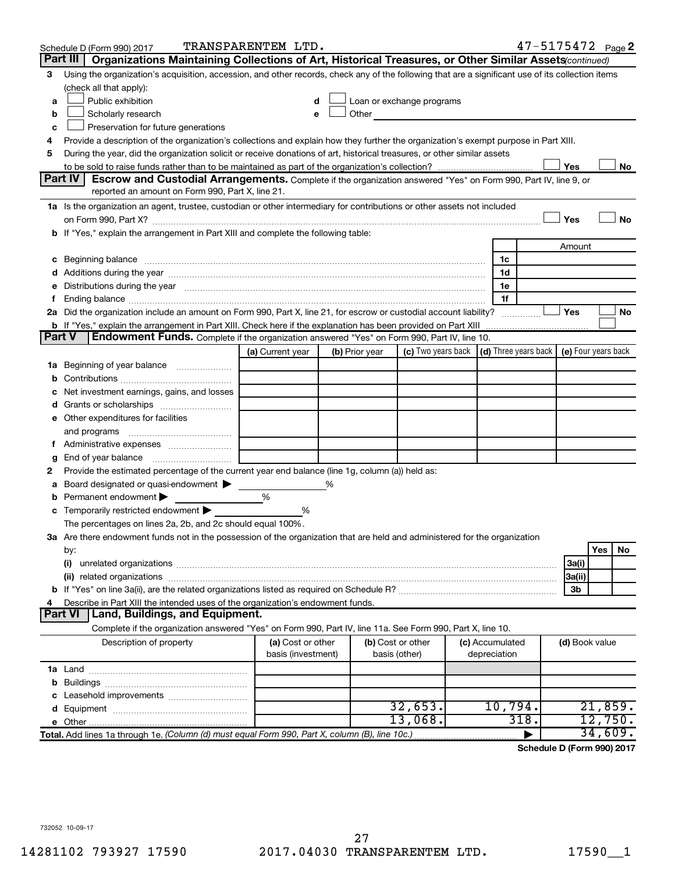|   | Schedule D (Form 990) 2017                                                                                                                                                                                                                       | TRANSPARENTEM LTD.                      |   |                |                                                                                                                                                                                                                                |                                 | 47-5175472 Page 2 |                |     |         |
|---|--------------------------------------------------------------------------------------------------------------------------------------------------------------------------------------------------------------------------------------------------|-----------------------------------------|---|----------------|--------------------------------------------------------------------------------------------------------------------------------------------------------------------------------------------------------------------------------|---------------------------------|-------------------|----------------|-----|---------|
|   | Part III<br>Organizations Maintaining Collections of Art, Historical Treasures, or Other Similar Assets (continued)                                                                                                                              |                                         |   |                |                                                                                                                                                                                                                                |                                 |                   |                |     |         |
| 3 | Using the organization's acquisition, accession, and other records, check any of the following that are a significant use of its collection items                                                                                                |                                         |   |                |                                                                                                                                                                                                                                |                                 |                   |                |     |         |
|   | (check all that apply):                                                                                                                                                                                                                          |                                         |   |                |                                                                                                                                                                                                                                |                                 |                   |                |     |         |
| a | Public exhibition                                                                                                                                                                                                                                |                                         |   |                | Loan or exchange programs                                                                                                                                                                                                      |                                 |                   |                |     |         |
| b | Scholarly research                                                                                                                                                                                                                               |                                         |   |                | Other and the control of the control of the control of the control of the control of the control of the control of the control of the control of the control of the control of the control of the control of the control of th |                                 |                   |                |     |         |
| с | Preservation for future generations                                                                                                                                                                                                              |                                         |   |                |                                                                                                                                                                                                                                |                                 |                   |                |     |         |
| 4 | Provide a description of the organization's collections and explain how they further the organization's exempt purpose in Part XIII.                                                                                                             |                                         |   |                |                                                                                                                                                                                                                                |                                 |                   |                |     |         |
| 5 | During the year, did the organization solicit or receive donations of art, historical treasures, or other similar assets                                                                                                                         |                                         |   |                |                                                                                                                                                                                                                                |                                 |                   |                |     |         |
|   |                                                                                                                                                                                                                                                  |                                         |   |                |                                                                                                                                                                                                                                |                                 |                   | Yes            |     | No      |
|   | Part IV<br><b>Escrow and Custodial Arrangements.</b> Complete if the organization answered "Yes" on Form 990, Part IV, line 9, or                                                                                                                |                                         |   |                |                                                                                                                                                                                                                                |                                 |                   |                |     |         |
|   | reported an amount on Form 990, Part X, line 21.                                                                                                                                                                                                 |                                         |   |                |                                                                                                                                                                                                                                |                                 |                   |                |     |         |
|   | 1a Is the organization an agent, trustee, custodian or other intermediary for contributions or other assets not included                                                                                                                         |                                         |   |                |                                                                                                                                                                                                                                |                                 |                   |                |     |         |
|   | on Form 990, Part X? [11] matter continuum matter contract the contract of the contract of the contract of the                                                                                                                                   |                                         |   |                |                                                                                                                                                                                                                                |                                 |                   | Yes            |     | No      |
|   | b If "Yes," explain the arrangement in Part XIII and complete the following table:                                                                                                                                                               |                                         |   |                |                                                                                                                                                                                                                                |                                 |                   |                |     |         |
|   |                                                                                                                                                                                                                                                  |                                         |   |                |                                                                                                                                                                                                                                |                                 |                   | Amount         |     |         |
|   | c Beginning balance <b>communications</b> and the contract of the contract of the contract of the contract of the contract of the contract of the contract of the contract of the contract of the contract of the contract of the c              |                                         |   |                |                                                                                                                                                                                                                                | 1c                              |                   |                |     |         |
|   | d Additions during the year manufactured and an account of a distribution of Additions during the year manufactured and account of Additions during the year manufactured and account of the state of Additional Additions of                    |                                         |   |                |                                                                                                                                                                                                                                | 1d                              |                   |                |     |         |
|   | e Distributions during the year measurement contained and all the control of the set of the set of the set of the set of the set of the set of the set of the set of the set of the set of the set of the set of the set of th                   |                                         |   |                |                                                                                                                                                                                                                                | 1e                              |                   |                |     |         |
|   |                                                                                                                                                                                                                                                  |                                         |   |                |                                                                                                                                                                                                                                | 1f                              |                   |                |     |         |
|   | 2a Did the organization include an amount on Form 990, Part X, line 21, for escrow or custodial account liability?                                                                                                                               |                                         |   |                |                                                                                                                                                                                                                                |                                 |                   | Yes            |     | No      |
|   | b If "Yes," explain the arrangement in Part XIII. Check here if the explanation has been provided on Part XIII <i>mummumumum</i><br>Endowment Funds. Complete if the organization answered "Yes" on Form 990, Part IV, line 10.<br><b>Part V</b> |                                         |   |                |                                                                                                                                                                                                                                |                                 |                   |                |     |         |
|   |                                                                                                                                                                                                                                                  | (a) Current year                        |   |                | (c) Two years back $\vert$ (d) Three years back $\vert$ (e) Four years back                                                                                                                                                    |                                 |                   |                |     |         |
|   | 1a Beginning of year balance                                                                                                                                                                                                                     |                                         |   | (b) Prior year |                                                                                                                                                                                                                                |                                 |                   |                |     |         |
| b |                                                                                                                                                                                                                                                  |                                         |   |                |                                                                                                                                                                                                                                |                                 |                   |                |     |         |
|   | Net investment earnings, gains, and losses                                                                                                                                                                                                       |                                         |   |                |                                                                                                                                                                                                                                |                                 |                   |                |     |         |
|   |                                                                                                                                                                                                                                                  |                                         |   |                |                                                                                                                                                                                                                                |                                 |                   |                |     |         |
|   | e Other expenditures for facilities                                                                                                                                                                                                              |                                         |   |                |                                                                                                                                                                                                                                |                                 |                   |                |     |         |
|   |                                                                                                                                                                                                                                                  |                                         |   |                |                                                                                                                                                                                                                                |                                 |                   |                |     |         |
|   | f Administrative expenses                                                                                                                                                                                                                        |                                         |   |                |                                                                                                                                                                                                                                |                                 |                   |                |     |         |
| g |                                                                                                                                                                                                                                                  |                                         |   |                |                                                                                                                                                                                                                                |                                 |                   |                |     |         |
| 2 | Provide the estimated percentage of the current year end balance (line 1g, column (a)) held as:                                                                                                                                                  |                                         |   |                |                                                                                                                                                                                                                                |                                 |                   |                |     |         |
| а | Board designated or quasi-endowment >                                                                                                                                                                                                            |                                         | % |                |                                                                                                                                                                                                                                |                                 |                   |                |     |         |
|   | <b>b</b> Permanent endowment $\blacktriangleright$                                                                                                                                                                                               | %                                       |   |                |                                                                                                                                                                                                                                |                                 |                   |                |     |         |
|   | <b>c</b> Temporarily restricted endowment $\blacktriangleright$                                                                                                                                                                                  | %                                       |   |                |                                                                                                                                                                                                                                |                                 |                   |                |     |         |
|   | The percentages on lines 2a, 2b, and 2c should equal 100%.                                                                                                                                                                                       |                                         |   |                |                                                                                                                                                                                                                                |                                 |                   |                |     |         |
|   | 3a Are there endowment funds not in the possession of the organization that are held and administered for the organization                                                                                                                       |                                         |   |                |                                                                                                                                                                                                                                |                                 |                   |                |     |         |
|   | by:                                                                                                                                                                                                                                              |                                         |   |                |                                                                                                                                                                                                                                |                                 |                   |                | Yes | No      |
|   | (i)                                                                                                                                                                                                                                              |                                         |   |                |                                                                                                                                                                                                                                |                                 |                   | 3a(i)          |     |         |
|   |                                                                                                                                                                                                                                                  |                                         |   |                |                                                                                                                                                                                                                                |                                 |                   | 3a(ii)         |     |         |
|   |                                                                                                                                                                                                                                                  |                                         |   |                |                                                                                                                                                                                                                                |                                 |                   | 3b             |     |         |
| 4 | Describe in Part XIII the intended uses of the organization's endowment funds.                                                                                                                                                                   |                                         |   |                |                                                                                                                                                                                                                                |                                 |                   |                |     |         |
|   | Land, Buildings, and Equipment.<br><b>Part VI</b>                                                                                                                                                                                                |                                         |   |                |                                                                                                                                                                                                                                |                                 |                   |                |     |         |
|   | Complete if the organization answered "Yes" on Form 990, Part IV, line 11a. See Form 990, Part X, line 10.                                                                                                                                       |                                         |   |                |                                                                                                                                                                                                                                |                                 |                   |                |     |         |
|   | Description of property                                                                                                                                                                                                                          | (a) Cost or other<br>basis (investment) |   |                | (b) Cost or other<br>basis (other)                                                                                                                                                                                             | (c) Accumulated<br>depreciation |                   | (d) Book value |     |         |
|   |                                                                                                                                                                                                                                                  |                                         |   |                |                                                                                                                                                                                                                                |                                 |                   |                |     |         |
|   |                                                                                                                                                                                                                                                  |                                         |   |                |                                                                                                                                                                                                                                |                                 |                   |                |     |         |
|   |                                                                                                                                                                                                                                                  |                                         |   |                |                                                                                                                                                                                                                                |                                 |                   |                |     |         |
|   |                                                                                                                                                                                                                                                  |                                         |   |                | 32,653.                                                                                                                                                                                                                        | 10,794.                         |                   |                |     | 21,859. |
|   |                                                                                                                                                                                                                                                  |                                         |   |                | 13,068.                                                                                                                                                                                                                        |                                 | 318.              |                |     | 12,750. |
|   | Total. Add lines 1a through 1e. (Column (d) must equal Form 990, Part X, column (B), line 10c.)                                                                                                                                                  |                                         |   |                |                                                                                                                                                                                                                                |                                 |                   |                |     | 34,609. |

**Schedule D (Form 990) 2017**

732052 10-09-17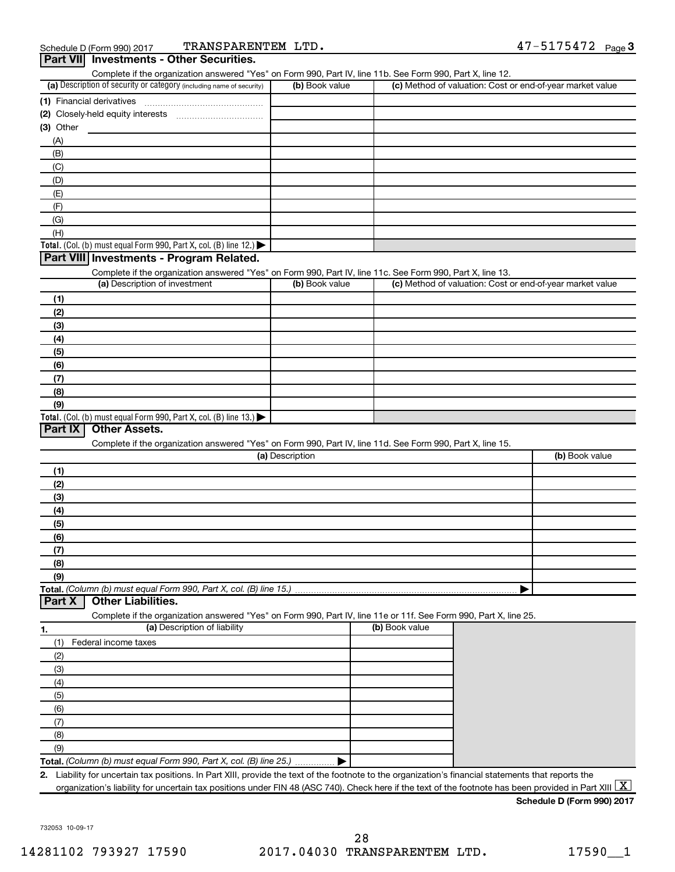|                                                                                                                   |                 | Complete if the organization answered "Yes" on Form 990, Part IV, line 11b. See Form 990, Part X, line 12. |                                                           |
|-------------------------------------------------------------------------------------------------------------------|-----------------|------------------------------------------------------------------------------------------------------------|-----------------------------------------------------------|
| (a) Description of security or category (including name of security)                                              | (b) Book value  |                                                                                                            | (c) Method of valuation: Cost or end-of-year market value |
|                                                                                                                   |                 |                                                                                                            |                                                           |
|                                                                                                                   |                 |                                                                                                            |                                                           |
| $(3)$ Other                                                                                                       |                 |                                                                                                            |                                                           |
| (A)                                                                                                               |                 |                                                                                                            |                                                           |
| (B)                                                                                                               |                 |                                                                                                            |                                                           |
| (C)                                                                                                               |                 |                                                                                                            |                                                           |
|                                                                                                                   |                 |                                                                                                            |                                                           |
| (D)                                                                                                               |                 |                                                                                                            |                                                           |
| (E)                                                                                                               |                 |                                                                                                            |                                                           |
| (F)                                                                                                               |                 |                                                                                                            |                                                           |
| (G)                                                                                                               |                 |                                                                                                            |                                                           |
| (H)                                                                                                               |                 |                                                                                                            |                                                           |
| Total. (Col. (b) must equal Form 990, Part X, col. (B) line 12.) $\blacktriangleright$                            |                 |                                                                                                            |                                                           |
| Part VIII Investments - Program Related.                                                                          |                 |                                                                                                            |                                                           |
| Complete if the organization answered "Yes" on Form 990, Part IV, line 11c. See Form 990, Part X, line 13.        |                 |                                                                                                            |                                                           |
| (a) Description of investment                                                                                     | (b) Book value  |                                                                                                            | (c) Method of valuation: Cost or end-of-year market value |
| (1)                                                                                                               |                 |                                                                                                            |                                                           |
| (2)                                                                                                               |                 |                                                                                                            |                                                           |
| (3)                                                                                                               |                 |                                                                                                            |                                                           |
| (4)                                                                                                               |                 |                                                                                                            |                                                           |
| (5)                                                                                                               |                 |                                                                                                            |                                                           |
| (6)                                                                                                               |                 |                                                                                                            |                                                           |
|                                                                                                                   |                 |                                                                                                            |                                                           |
| (7)                                                                                                               |                 |                                                                                                            |                                                           |
| (8)                                                                                                               |                 |                                                                                                            |                                                           |
| (9)<br>Total. (Col. (b) must equal Form 990, Part X, col. (B) line 13.) $\blacktriangleright$                     |                 |                                                                                                            |                                                           |
|                                                                                                                   |                 |                                                                                                            |                                                           |
|                                                                                                                   | (a) Description | Complete if the organization answered "Yes" on Form 990, Part IV, line 11d. See Form 990, Part X, line 15. |                                                           |
| (1)                                                                                                               |                 |                                                                                                            |                                                           |
| (2)                                                                                                               |                 |                                                                                                            | (b) Book value                                            |
| (3)                                                                                                               |                 |                                                                                                            |                                                           |
| (4)                                                                                                               |                 |                                                                                                            |                                                           |
| (5)                                                                                                               |                 |                                                                                                            |                                                           |
| (6)                                                                                                               |                 |                                                                                                            |                                                           |
| (7)                                                                                                               |                 |                                                                                                            |                                                           |
| (8)                                                                                                               |                 |                                                                                                            |                                                           |
| (9)                                                                                                               |                 |                                                                                                            |                                                           |
|                                                                                                                   |                 |                                                                                                            |                                                           |
| <b>Other Liabilities.</b>                                                                                         |                 |                                                                                                            |                                                           |
|                                                                                                                   |                 |                                                                                                            |                                                           |
| Complete if the organization answered "Yes" on Form 990, Part IV, line 11e or 11f. See Form 990, Part X, line 25. |                 | (b) Book value                                                                                             |                                                           |
| (a) Description of liability                                                                                      |                 |                                                                                                            |                                                           |
| Federal income taxes<br>(1)                                                                                       |                 |                                                                                                            |                                                           |
| (2)                                                                                                               |                 |                                                                                                            |                                                           |
| (3)                                                                                                               |                 |                                                                                                            |                                                           |
| (4)                                                                                                               |                 |                                                                                                            |                                                           |
| (5)                                                                                                               |                 |                                                                                                            |                                                           |
| (6)                                                                                                               |                 |                                                                                                            |                                                           |
| (7)                                                                                                               |                 |                                                                                                            |                                                           |
| Total. (Column (b) must equal Form 990, Part X, col. (B) line 15.)<br>Part X<br>1.<br>(8)                         |                 |                                                                                                            |                                                           |
| (9)                                                                                                               |                 |                                                                                                            |                                                           |

**Schedule D (Form 990) 2017**

732053 10-09-17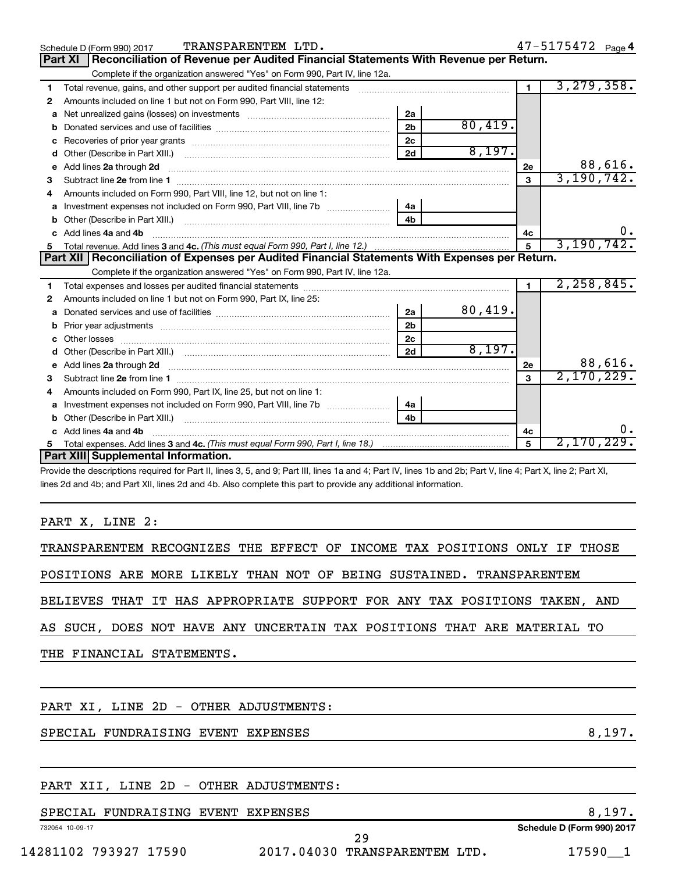|              | TRANSPARENTEM LTD.<br>Schedule D (Form 990) 2017                                                                                                                                                                                                                                                                                                                                                                         |                |         |              | 47-5175472 Page 4 |
|--------------|--------------------------------------------------------------------------------------------------------------------------------------------------------------------------------------------------------------------------------------------------------------------------------------------------------------------------------------------------------------------------------------------------------------------------|----------------|---------|--------------|-------------------|
|              | Reconciliation of Revenue per Audited Financial Statements With Revenue per Return.<br><b>Part XI</b>                                                                                                                                                                                                                                                                                                                    |                |         |              |                   |
|              | Complete if the organization answered "Yes" on Form 990, Part IV, line 12a.                                                                                                                                                                                                                                                                                                                                              |                |         |              |                   |
| 1.           | Total revenue, gains, and other support per audited financial statements [[[[[[[[[[[[[[[[[[[[[[]]]]]]]]]]]]]]                                                                                                                                                                                                                                                                                                            |                |         |              | 3, 279, 358.      |
| 2            | Amounts included on line 1 but not on Form 990, Part VIII, line 12:                                                                                                                                                                                                                                                                                                                                                      |                |         |              |                   |
| a            |                                                                                                                                                                                                                                                                                                                                                                                                                          | 2a             |         |              |                   |
|              |                                                                                                                                                                                                                                                                                                                                                                                                                          | 2 <sub>b</sub> | 80,419. |              |                   |
| c            |                                                                                                                                                                                                                                                                                                                                                                                                                          | 2 <sub>c</sub> |         |              |                   |
|              |                                                                                                                                                                                                                                                                                                                                                                                                                          | 2d             | 8,197.  |              |                   |
| $\mathbf{e}$ | Add lines 2a through 2d                                                                                                                                                                                                                                                                                                                                                                                                  |                |         | 2e           | 88,616.           |
| 3            |                                                                                                                                                                                                                                                                                                                                                                                                                          |                |         | 3            | 3,190,742.        |
| 4            | Amounts included on Form 990, Part VIII, line 12, but not on line 1:                                                                                                                                                                                                                                                                                                                                                     |                |         |              |                   |
|              |                                                                                                                                                                                                                                                                                                                                                                                                                          |                |         |              |                   |
|              |                                                                                                                                                                                                                                                                                                                                                                                                                          | 4 <sub>h</sub> |         |              |                   |
| C.           | Add lines 4a and 4b                                                                                                                                                                                                                                                                                                                                                                                                      |                |         | 4c           |                   |
|              |                                                                                                                                                                                                                                                                                                                                                                                                                          |                |         | 5            | 3, 190, 742.      |
|              | Part XII   Reconciliation of Expenses per Audited Financial Statements With Expenses per Return.                                                                                                                                                                                                                                                                                                                         |                |         |              |                   |
|              | Complete if the organization answered "Yes" on Form 990, Part IV, line 12a.                                                                                                                                                                                                                                                                                                                                              |                |         |              |                   |
| 1.           |                                                                                                                                                                                                                                                                                                                                                                                                                          |                |         |              | 2, 258, 845.      |
| 2            | Amounts included on line 1 but not on Form 990, Part IX, line 25:                                                                                                                                                                                                                                                                                                                                                        |                |         |              |                   |
| a            |                                                                                                                                                                                                                                                                                                                                                                                                                          | 2a             | 80,419. |              |                   |
|              |                                                                                                                                                                                                                                                                                                                                                                                                                          | 2 <sub>b</sub> |         |              |                   |
|              |                                                                                                                                                                                                                                                                                                                                                                                                                          | 2c             |         |              |                   |
|              |                                                                                                                                                                                                                                                                                                                                                                                                                          |                | 8,197.  |              |                   |
|              | e Add lines 2a through 2d <b>contained a control and a control and a</b> control and a control and a control and a control and a control and a control and a control and a control and a control and a control and a control and a                                                                                                                                                                                       |                |         | 2e           | 88,616.           |
| 3            |                                                                                                                                                                                                                                                                                                                                                                                                                          |                |         | $\mathbf{a}$ | 2,170,229.        |
|              | Amounts included on Form 990, Part IX, line 25, but not on line 1:                                                                                                                                                                                                                                                                                                                                                       |                |         |              |                   |
| a            |                                                                                                                                                                                                                                                                                                                                                                                                                          | 4a             |         |              |                   |
| b            |                                                                                                                                                                                                                                                                                                                                                                                                                          | 4 <sub>b</sub> |         |              |                   |
|              | c Add lines 4a and 4b                                                                                                                                                                                                                                                                                                                                                                                                    |                |         | 4с           | Ο.                |
| 5            |                                                                                                                                                                                                                                                                                                                                                                                                                          |                |         | 5            | 2,170,229.        |
|              | Part XIII Supplemental Information.                                                                                                                                                                                                                                                                                                                                                                                      |                |         |              |                   |
|              | $\mathbf{a} = \mathbf{a} \mathbf{a} + \mathbf{a} \mathbf{a} + \mathbf{a} \mathbf{a} + \mathbf{a} \mathbf{a} + \mathbf{a} \mathbf{a} + \mathbf{a} \mathbf{a} + \mathbf{a} \mathbf{a} + \mathbf{a} \mathbf{a} + \mathbf{a} \mathbf{a} + \mathbf{a} \mathbf{a} + \mathbf{a} \mathbf{a} + \mathbf{a} \mathbf{a} + \mathbf{a} \mathbf{a} + \mathbf{a} \mathbf{a} + \mathbf{a} \mathbf{a} + \mathbf{a} \mathbf{a} + \mathbf{a$ |                |         |              |                   |

Provide the descriptions required for Part II, lines 3, 5, and 9; Part III, lines 1a and 4; Part IV, lines 1b and 2b; Part V, line 4; Part X, line 2; Part XI, lines 2d and 4b; and Part XII, lines 2d and 4b. Also complete this part to provide any additional information.

#### PART X, LINE 2:

TRANSPARENTEM RECOGNIZES THE EFFECT OF INCOME TAX POSITIONS ONLY IF THOSE

POSITIONS ARE MORE LIKELY THAN NOT OF BEING SUSTAINED. TRANSPARENTEM

BELIEVES THAT IT HAS APPROPRIATE SUPPORT FOR ANY TAX POSITIONS TAKEN, AND

AS SUCH, DOES NOT HAVE ANY UNCERTAIN TAX POSITIONS THAT ARE MATERIAL TO

THE FINANCIAL STATEMENTS.

#### PART XI, LINE 2D - OTHER ADJUSTMENTS:

SPECIAL FUNDRAISING EVENT EXPENSES **8,197.** 8,197.

#### PART XII, LINE 2D - OTHER ADJUSTMENTS:

#### SPECIAL FUNDRAISING EVENT EXPENSES 8,197.

732054 10-09-17

**Schedule D (Form 990) 2017**

29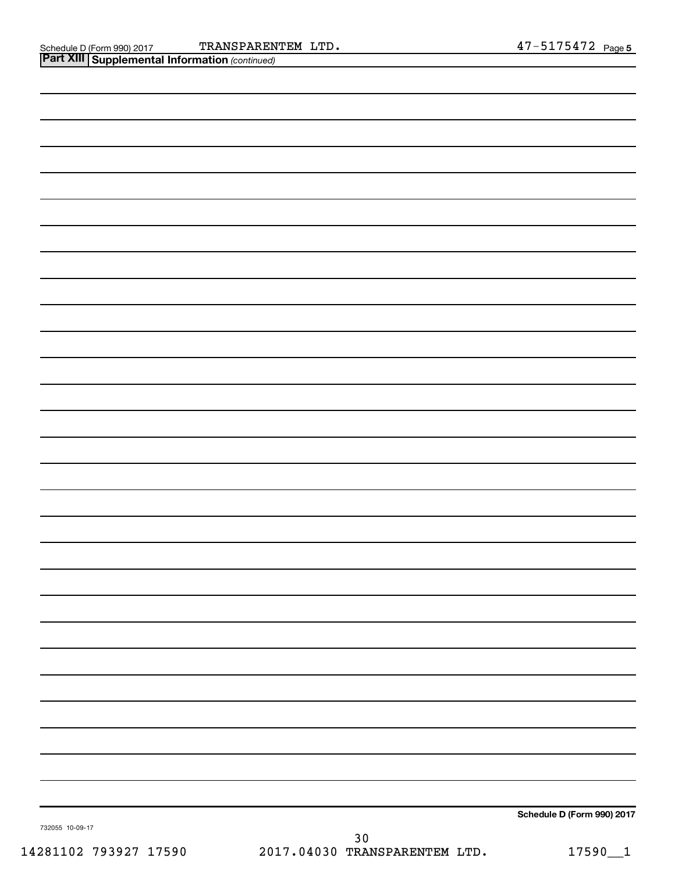| Schedule D (Form 990) 2017 |
|----------------------------|

732055 10-09-17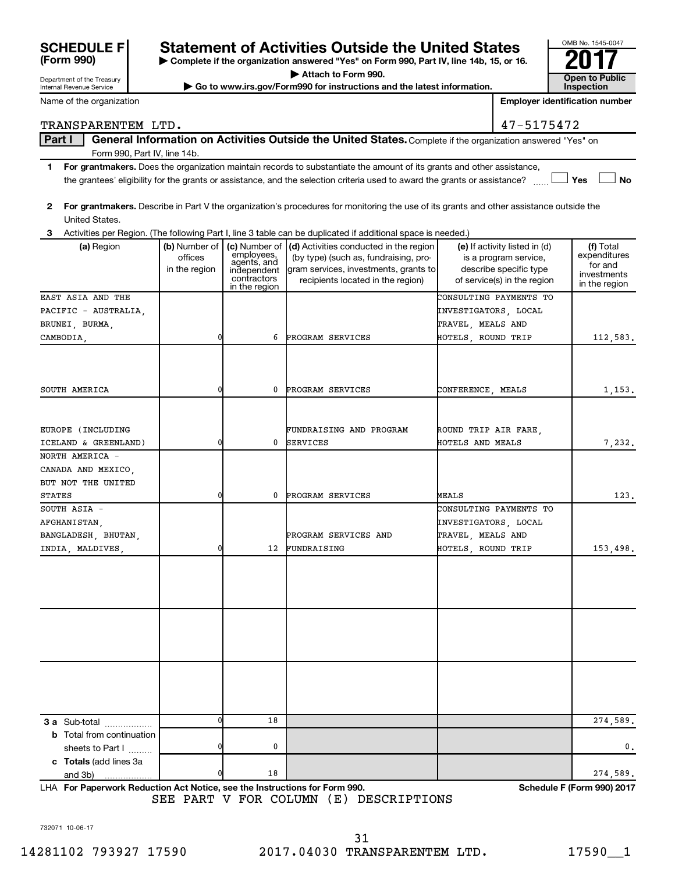| <b>SCHEDULE F</b> |  |
|-------------------|--|
| (Form 990)        |  |

Department of the Treasury Internal Revenue Service

### **Statement of Activities Outside the United States**

**| Complete if the organization answered "Yes" on Form 990, Part IV, line 14b, 15, or 16. | Attach to Form 990.**

▶ Go to www.irs.gov/Form990 for instructions and the latest information.

| OMB No. 1545-0047                          |
|--------------------------------------------|
|                                            |
| <b>Open to Public</b><br><b>Inspection</b> |

Name of the organization

**Employer identification number**

#### TRANSPARENTEM LTD. 47-5175472

Part I | General Information on Activities Outside the United States. Complete if the organization answered "Yes" on Form 990, Part IV, line 14b.

- **1 For grantmakers.**  Does the organization maintain records to substantiate the amount of its grants and other assistance,  $\Box$  Yes  $\Box$  No the grantees' eligibility for the grants or assistance, and the selection criteria used to award the grants or assistance? ......
- **2 For grantmakers.**  Describe in Part V the organization's procedures for monitoring the use of its grants and other assistance outside the United States.

**3** Activities per Region. (The following Part I, line 3 table can be duplicated if additional space is needed.)

| (a) Region                                                  | (b) Number of<br>offices<br>in the region | (c) Number of<br>employees,<br>agents, and<br>independent<br>contractors<br>in the region | (d) Activities conducted in the region<br>(by type) (such as, fundraising, pro-<br>gram services, investments, grants to<br>recipients located in the region) | (e) If activity listed in (d)<br>is a program service,<br>describe specific type<br>of service(s) in the region | (f) Total<br>expenditures<br>for and<br>investments<br>in the region |
|-------------------------------------------------------------|-------------------------------------------|-------------------------------------------------------------------------------------------|---------------------------------------------------------------------------------------------------------------------------------------------------------------|-----------------------------------------------------------------------------------------------------------------|----------------------------------------------------------------------|
| EAST ASIA AND THE                                           |                                           |                                                                                           |                                                                                                                                                               | CONSULTING PAYMENTS TO                                                                                          |                                                                      |
| PACIFIC - AUSTRALIA,                                        |                                           |                                                                                           |                                                                                                                                                               | INVESTIGATORS, LOCAL                                                                                            |                                                                      |
| BRUNEI, BURMA,                                              |                                           |                                                                                           |                                                                                                                                                               | TRAVEL, MEALS AND                                                                                               |                                                                      |
| CAMBODIA,                                                   | 0                                         | 6                                                                                         | PROGRAM SERVICES                                                                                                                                              | HOTELS, ROUND TRIP                                                                                              | 112,583.                                                             |
|                                                             |                                           |                                                                                           |                                                                                                                                                               |                                                                                                                 |                                                                      |
| SOUTH AMERICA                                               | 0                                         | 0                                                                                         | PROGRAM SERVICES                                                                                                                                              | CONFERENCE, MEALS                                                                                               | 1,153.                                                               |
|                                                             |                                           |                                                                                           |                                                                                                                                                               |                                                                                                                 |                                                                      |
| EUROPE (INCLUDING                                           |                                           |                                                                                           | FUNDRAISING AND PROGRAM                                                                                                                                       | ROUND TRIP AIR FARE,                                                                                            |                                                                      |
| ICELAND & GREENLAND)                                        | $\overline{0}$                            | 0                                                                                         | <b>SERVICES</b>                                                                                                                                               | HOTELS AND MEALS                                                                                                | 7,232.                                                               |
| NORTH AMERICA -<br>CANADA AND MEXICO,<br>BUT NOT THE UNITED |                                           |                                                                                           |                                                                                                                                                               |                                                                                                                 |                                                                      |
| <b>STATES</b>                                               | $\overline{0}$                            | 0                                                                                         | PROGRAM SERVICES                                                                                                                                              | MEALS                                                                                                           | 123.                                                                 |
| SOUTH ASIA -                                                |                                           |                                                                                           |                                                                                                                                                               | CONSULTING PAYMENTS TO                                                                                          |                                                                      |
| AFGHANISTAN,                                                |                                           |                                                                                           |                                                                                                                                                               | INVESTIGATORS, LOCAL                                                                                            |                                                                      |
| BANGLADESH, BHUTAN,                                         |                                           |                                                                                           | PROGRAM SERVICES AND                                                                                                                                          | TRAVEL, MEALS AND                                                                                               |                                                                      |
| INDIA, MALDIVES,                                            | $\overline{0}$                            | 12                                                                                        | FUNDRAISING                                                                                                                                                   | HOTELS, ROUND TRIP                                                                                              | 153,498.                                                             |
|                                                             |                                           |                                                                                           |                                                                                                                                                               |                                                                                                                 |                                                                      |
|                                                             |                                           |                                                                                           |                                                                                                                                                               |                                                                                                                 |                                                                      |
|                                                             |                                           |                                                                                           |                                                                                                                                                               |                                                                                                                 |                                                                      |
|                                                             |                                           |                                                                                           |                                                                                                                                                               |                                                                                                                 |                                                                      |
|                                                             |                                           |                                                                                           |                                                                                                                                                               |                                                                                                                 |                                                                      |
|                                                             |                                           |                                                                                           |                                                                                                                                                               |                                                                                                                 |                                                                      |
|                                                             |                                           |                                                                                           |                                                                                                                                                               |                                                                                                                 |                                                                      |
|                                                             |                                           |                                                                                           |                                                                                                                                                               |                                                                                                                 |                                                                      |
|                                                             |                                           |                                                                                           |                                                                                                                                                               |                                                                                                                 |                                                                      |
|                                                             |                                           |                                                                                           |                                                                                                                                                               |                                                                                                                 |                                                                      |
|                                                             |                                           |                                                                                           |                                                                                                                                                               |                                                                                                                 |                                                                      |
| <b>3 a</b> Sub-total                                        | 0                                         | 18                                                                                        |                                                                                                                                                               |                                                                                                                 | 274,589.                                                             |
| <b>b</b> Total from continuation                            |                                           |                                                                                           |                                                                                                                                                               |                                                                                                                 |                                                                      |
| sheets to Part I                                            | $\overline{0}$                            | 0                                                                                         |                                                                                                                                                               |                                                                                                                 | 0.                                                                   |
| c Totals (add lines 3a<br>and 3b)<br>.                      | 0                                         | 18                                                                                        |                                                                                                                                                               |                                                                                                                 | 274,589.                                                             |
|                                                             |                                           |                                                                                           |                                                                                                                                                               |                                                                                                                 |                                                                      |

**For Paperwork Reduction Act Notice, see the Instructions for Form 990. Schedule F (Form 990) 2017** LHA SEE PART V FOR COLUMN (E) DESCRIPTIONS

732071 10-06-17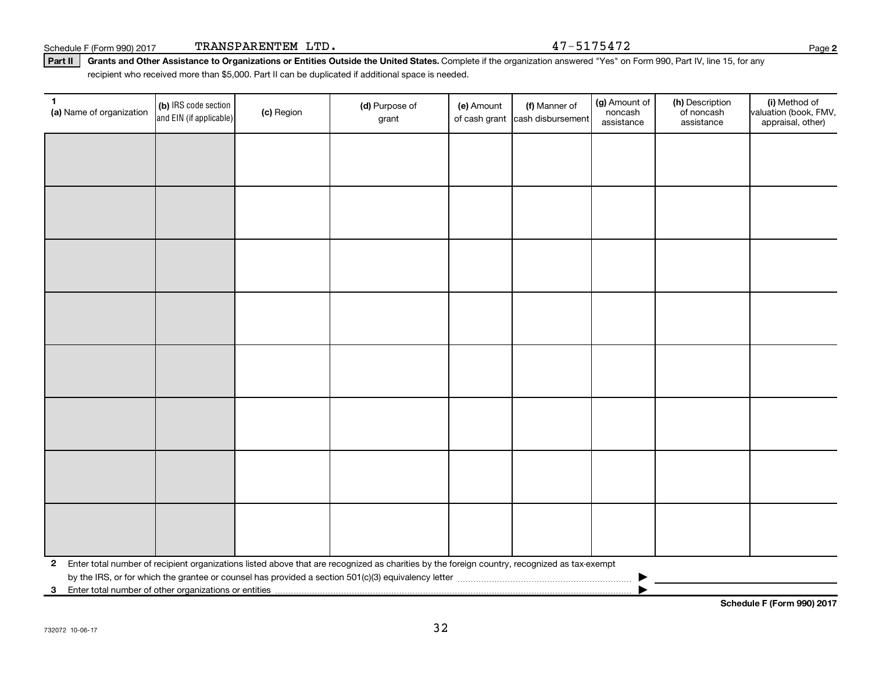Schedule F (Form 990) 2017  $\qquad$   $\qquad$   $\qquad$   $\qquad$   $\qquad$   $\qquad$   $\qquad$   $\qquad$   $\qquad$   $\qquad$   $\qquad$   $\qquad$   $\qquad$   $\qquad$   $\qquad$   $\qquad$   $\qquad$   $\qquad$   $\qquad$   $\qquad$   $\qquad$   $\qquad$   $\qquad$   $\qquad$   $\qquad$   $\qquad$   $\qquad$   $\qquad$   $\qquad$   $\qquad$   $\qquad$   $\qquad$   $\$ 

Part II | Grants and Other Assistance to Organizations or Entities Outside the United States. Complete if the organization answered "Yes" on Form 990, Part IV, line 15, for any recipient who received more than \$5,000. Part II can be duplicated if additional space is needed.

| $\mathbf{1}$<br>(a) Name of organization                              | (b) IRS code section<br>and EIN (if applicable) | (c) Region | (d) Purpose of<br>grant                                                                                                                      | (e) Amount | (f) Manner of<br>of cash grant cash disbursement | (g) Amount of<br>noncash<br>assistance | (h) Description<br>of noncash<br>assistance | (i) Method of<br>valuation (book, FMV,<br>appraisal, other) |
|-----------------------------------------------------------------------|-------------------------------------------------|------------|----------------------------------------------------------------------------------------------------------------------------------------------|------------|--------------------------------------------------|----------------------------------------|---------------------------------------------|-------------------------------------------------------------|
|                                                                       |                                                 |            |                                                                                                                                              |            |                                                  |                                        |                                             |                                                             |
|                                                                       |                                                 |            |                                                                                                                                              |            |                                                  |                                        |                                             |                                                             |
|                                                                       |                                                 |            |                                                                                                                                              |            |                                                  |                                        |                                             |                                                             |
|                                                                       |                                                 |            |                                                                                                                                              |            |                                                  |                                        |                                             |                                                             |
|                                                                       |                                                 |            |                                                                                                                                              |            |                                                  |                                        |                                             |                                                             |
|                                                                       |                                                 |            |                                                                                                                                              |            |                                                  |                                        |                                             |                                                             |
|                                                                       |                                                 |            |                                                                                                                                              |            |                                                  |                                        |                                             |                                                             |
|                                                                       |                                                 |            |                                                                                                                                              |            |                                                  |                                        |                                             |                                                             |
|                                                                       |                                                 |            |                                                                                                                                              |            |                                                  |                                        |                                             |                                                             |
|                                                                       |                                                 |            |                                                                                                                                              |            |                                                  |                                        |                                             |                                                             |
|                                                                       |                                                 |            |                                                                                                                                              |            |                                                  |                                        |                                             |                                                             |
|                                                                       |                                                 |            |                                                                                                                                              |            |                                                  |                                        |                                             |                                                             |
|                                                                       |                                                 |            |                                                                                                                                              |            |                                                  |                                        |                                             |                                                             |
|                                                                       |                                                 |            |                                                                                                                                              |            |                                                  |                                        |                                             |                                                             |
|                                                                       |                                                 |            |                                                                                                                                              |            |                                                  |                                        |                                             |                                                             |
|                                                                       |                                                 |            |                                                                                                                                              |            |                                                  |                                        |                                             |                                                             |
| $\mathbf{2}$                                                          |                                                 |            | Enter total number of recipient organizations listed above that are recognized as charities by the foreign country, recognized as tax-exempt |            |                                                  |                                        |                                             |                                                             |
|                                                                       |                                                 |            |                                                                                                                                              |            |                                                  |                                        |                                             |                                                             |
| Enter total number of other organizations or entities<br>$\mathbf{3}$ |                                                 |            |                                                                                                                                              |            |                                                  |                                        |                                             |                                                             |

**Schedule F (Form 990) 2017**

**2**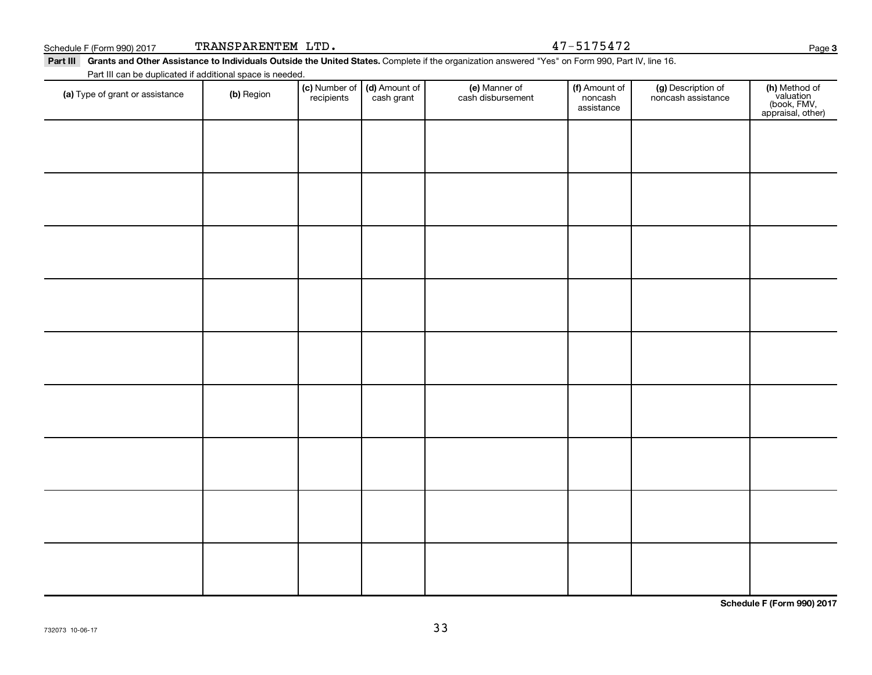#### Schedule F (Form 990) 2017  $\qquad$   $\qquad$   $\qquad$   $\qquad$   $\qquad$   $\qquad$   $\qquad$   $\qquad$   $\qquad$   $\qquad$   $\qquad$   $\qquad$   $\qquad$   $\qquad$   $\qquad$   $\qquad$   $\qquad$   $\qquad$   $\qquad$   $\qquad$   $\qquad$   $\qquad$   $\qquad$   $\qquad$   $\qquad$   $\qquad$   $\qquad$   $\qquad$   $\qquad$   $\qquad$   $\qquad$   $\qquad$   $\$

Part III Grants and Other Assistance to Individuals Outside the United States. Complete if the organization answered "Yes" on Form 990, Part IV, line 16. Part III can be duplicated if additional space is needed.

| a caco adproated  additional<br>(a) Type of grant or assistance | (b) Region | recipients | (c) Number of (d) Amount of<br>cash grant | (e) Manner of<br>cash disbursement | (f) Amount of<br>noncash<br>assistance | (g) Description of<br>noncash assistance | (h) Method of<br>valuation<br>(book, FMV,<br>appraisal, other) |
|-----------------------------------------------------------------|------------|------------|-------------------------------------------|------------------------------------|----------------------------------------|------------------------------------------|----------------------------------------------------------------|
|                                                                 |            |            |                                           |                                    |                                        |                                          |                                                                |
|                                                                 |            |            |                                           |                                    |                                        |                                          |                                                                |
|                                                                 |            |            |                                           |                                    |                                        |                                          |                                                                |
|                                                                 |            |            |                                           |                                    |                                        |                                          |                                                                |
|                                                                 |            |            |                                           |                                    |                                        |                                          |                                                                |
|                                                                 |            |            |                                           |                                    |                                        |                                          |                                                                |
|                                                                 |            |            |                                           |                                    |                                        |                                          |                                                                |
|                                                                 |            |            |                                           |                                    |                                        |                                          |                                                                |
|                                                                 |            |            |                                           |                                    |                                        |                                          |                                                                |
|                                                                 |            |            |                                           |                                    |                                        |                                          |                                                                |
|                                                                 |            |            |                                           |                                    |                                        |                                          |                                                                |
|                                                                 |            |            |                                           |                                    |                                        |                                          |                                                                |
|                                                                 |            |            |                                           |                                    |                                        |                                          |                                                                |
|                                                                 |            |            |                                           |                                    |                                        |                                          |                                                                |
|                                                                 |            |            |                                           |                                    |                                        |                                          |                                                                |

33

**Schedule F (Form 990) 2017**

**3**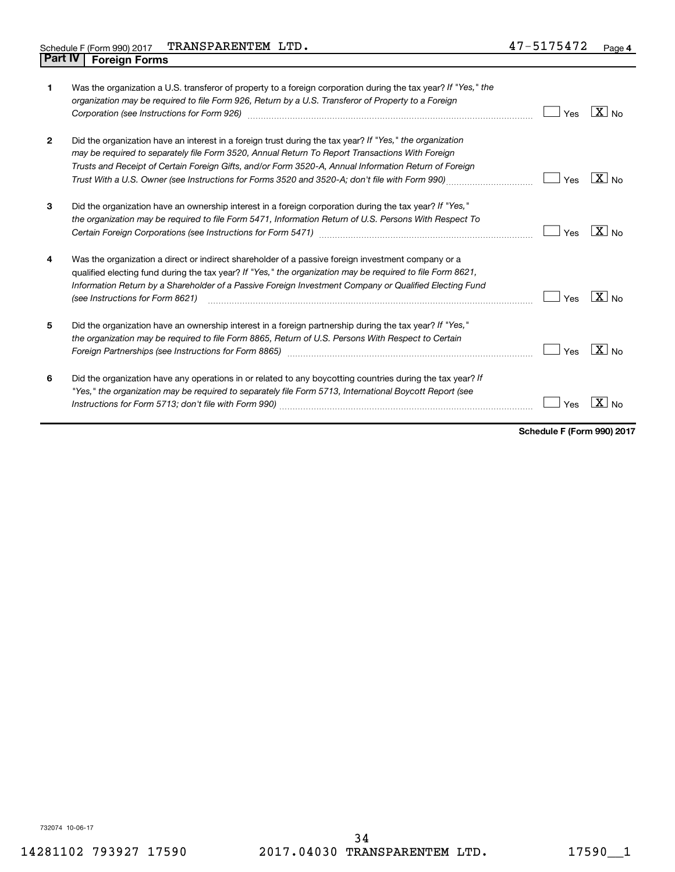| 1              | Was the organization a U.S. transferor of property to a foreign corporation during the tax year? If "Yes," the<br>organization may be required to file Form 926, Return by a U.S. Transferor of Property to a Foreign<br>Corporation (see Instructions for Form 926)                                                                                                                                                                            | Yes | $ X $ No                |
|----------------|-------------------------------------------------------------------------------------------------------------------------------------------------------------------------------------------------------------------------------------------------------------------------------------------------------------------------------------------------------------------------------------------------------------------------------------------------|-----|-------------------------|
| $\overline{2}$ | Did the organization have an interest in a foreign trust during the tax year? If "Yes," the organization<br>may be required to separately file Form 3520, Annual Return To Report Transactions With Foreign<br>Trusts and Receipt of Certain Foreign Gifts, and/or Form 3520-A, Annual Information Return of Foreign<br>Trust With a U.S. Owner (see Instructions for Forms 3520 and 3520-A; don't file with Form 990)                          | Yes | $ X _{\text{No}}$       |
| 3              | Did the organization have an ownership interest in a foreign corporation during the tax year? If "Yes,"<br>the organization may be required to file Form 5471, Information Return of U.S. Persons With Respect To                                                                                                                                                                                                                               | Yes | $X \mid N_{0}$          |
| 4              | Was the organization a direct or indirect shareholder of a passive foreign investment company or a<br>qualified electing fund during the tax year? If "Yes," the organization may be required to file Form 8621,<br>Information Return by a Shareholder of a Passive Foreign Investment Company or Qualified Electing Fund<br>(see Instructions for Form 8621)                                                                                  | Yes | $\boxed{\mathbf{X}}$ No |
| 5              | Did the organization have an ownership interest in a foreign partnership during the tax year? If "Yes,"<br>the organization may be required to file Form 8865, Return of U.S. Persons With Respect to Certain<br>Foreign Partnerships (see Instructions for Form 8865) manufactured content content and the content of the state of the state of the state of the state of the state of the state of the state of the state of the state of the | Yes | $X _{N0}$               |
| 6              | Did the organization have any operations in or related to any boycotting countries during the tax year? If<br>"Yes," the organization may be required to separately file Form 5713, International Boycott Report (see                                                                                                                                                                                                                           | Yes |                         |

**Schedule F (Form 990) 2017**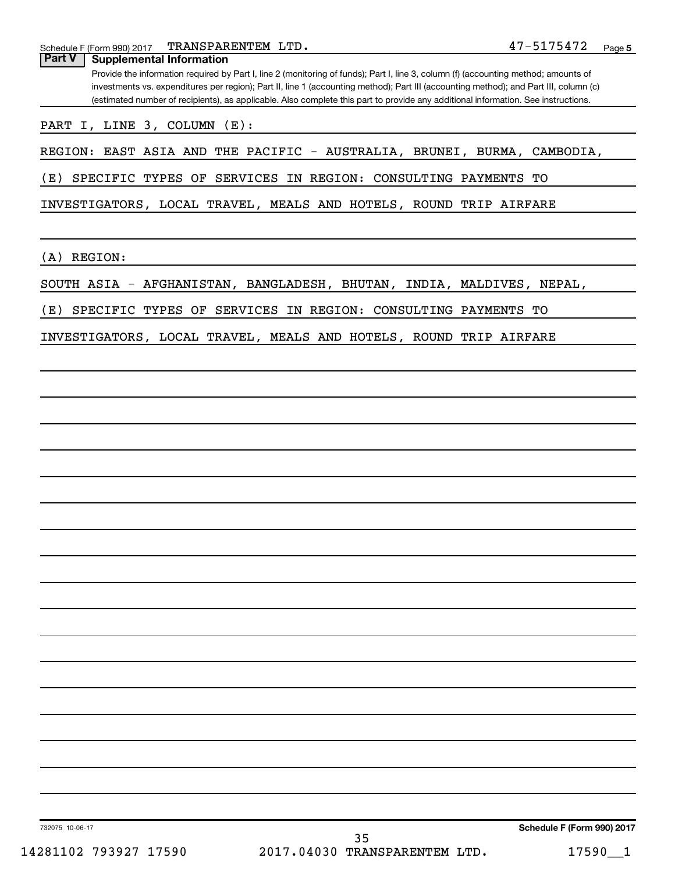Schedule F (Form 990) 2017 TRANSPARENTEM LTD • 4 7 - 5 1 7 5 4 7 Z Page TRANSPARENTEM LTD. 47-5175472

| <b>Part V</b><br><b>Supplemental Information</b> | Provide the information required by Part I, line 2 (monitoring of funds); Part I, line 3, column (f) (accounting method; amounts of                                                                                                                                        |                            |
|--------------------------------------------------|----------------------------------------------------------------------------------------------------------------------------------------------------------------------------------------------------------------------------------------------------------------------------|----------------------------|
|                                                  | investments vs. expenditures per region); Part II, line 1 (accounting method); Part III (accounting method); and Part III, column (c)<br>(estimated number of recipients), as applicable. Also complete this part to provide any additional information. See instructions. |                            |
| PART I, LINE 3, COLUMN (E):                      |                                                                                                                                                                                                                                                                            |                            |
|                                                  | REGION: EAST ASIA AND THE PACIFIC - AUSTRALIA, BRUNEI, BURMA, CAMBODIA,                                                                                                                                                                                                    |                            |
| (E)                                              | SPECIFIC TYPES OF SERVICES IN REGION: CONSULTING PAYMENTS TO                                                                                                                                                                                                               |                            |
|                                                  | INVESTIGATORS, LOCAL TRAVEL, MEALS AND HOTELS, ROUND TRIP AIRFARE                                                                                                                                                                                                          |                            |
| REGION:<br>(A)                                   |                                                                                                                                                                                                                                                                            |                            |
|                                                  | SOUTH ASIA - AFGHANISTAN, BANGLADESH, BHUTAN, INDIA, MALDIVES, NEPAL,                                                                                                                                                                                                      |                            |
| (E)                                              | SPECIFIC TYPES OF SERVICES IN REGION: CONSULTING PAYMENTS TO                                                                                                                                                                                                               |                            |
|                                                  | INVESTIGATORS, LOCAL TRAVEL, MEALS AND HOTELS, ROUND TRIP AIRFARE                                                                                                                                                                                                          |                            |
|                                                  |                                                                                                                                                                                                                                                                            |                            |
|                                                  |                                                                                                                                                                                                                                                                            |                            |
|                                                  |                                                                                                                                                                                                                                                                            |                            |
|                                                  |                                                                                                                                                                                                                                                                            |                            |
|                                                  |                                                                                                                                                                                                                                                                            |                            |
|                                                  |                                                                                                                                                                                                                                                                            |                            |
|                                                  |                                                                                                                                                                                                                                                                            |                            |
|                                                  |                                                                                                                                                                                                                                                                            |                            |
|                                                  |                                                                                                                                                                                                                                                                            |                            |
|                                                  |                                                                                                                                                                                                                                                                            |                            |
|                                                  |                                                                                                                                                                                                                                                                            |                            |
|                                                  |                                                                                                                                                                                                                                                                            |                            |
|                                                  |                                                                                                                                                                                                                                                                            |                            |
|                                                  |                                                                                                                                                                                                                                                                            |                            |
|                                                  |                                                                                                                                                                                                                                                                            |                            |
|                                                  |                                                                                                                                                                                                                                                                            |                            |
|                                                  |                                                                                                                                                                                                                                                                            |                            |
|                                                  |                                                                                                                                                                                                                                                                            |                            |
|                                                  |                                                                                                                                                                                                                                                                            |                            |
| 732075 10-06-17                                  | 35                                                                                                                                                                                                                                                                         | Schedule F (Form 990) 2017 |
| 14281102 793927 17590                            | 2017.04030 TRANSPARENTEM LTD.                                                                                                                                                                                                                                              | 17590_1                    |
|                                                  |                                                                                                                                                                                                                                                                            |                            |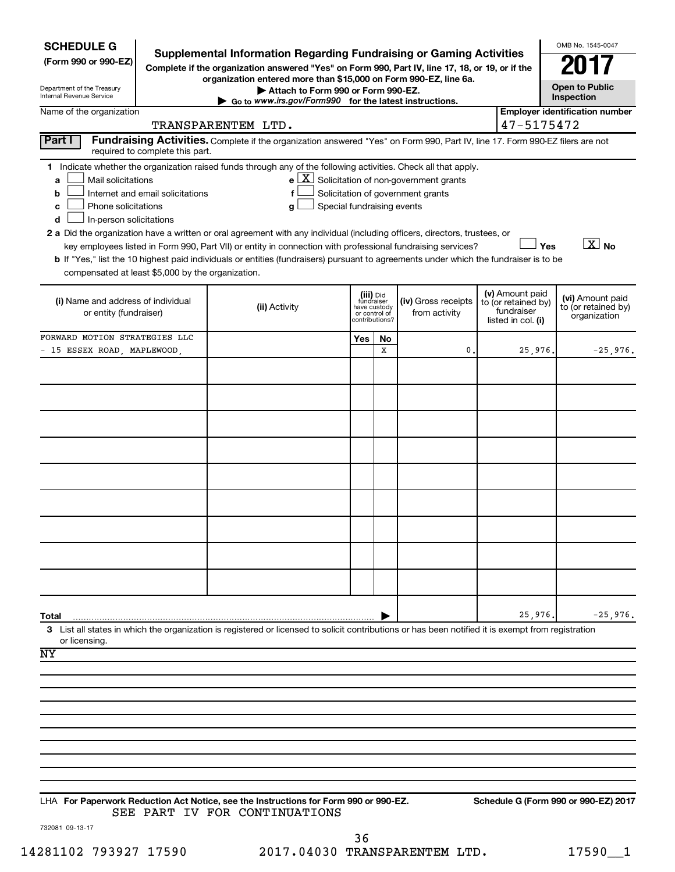| <b>SCHEDULE G</b>                                                                                                                                                                                     |                                  |                                                                                                                                                                                                                                                      |                                         |                                 |                                                       |                    |                                   | OMB No. 1545-0047                       |  |
|-------------------------------------------------------------------------------------------------------------------------------------------------------------------------------------------------------|----------------------------------|------------------------------------------------------------------------------------------------------------------------------------------------------------------------------------------------------------------------------------------------------|-----------------------------------------|---------------------------------|-------------------------------------------------------|--------------------|-----------------------------------|-----------------------------------------|--|
| <b>Supplemental Information Regarding Fundraising or Gaming Activities</b><br>(Form 990 or 990-EZ)<br>Complete if the organization answered "Yes" on Form 990, Part IV, line 17, 18, or 19, or if the |                                  |                                                                                                                                                                                                                                                      |                                         |                                 |                                                       |                    |                                   | 201                                     |  |
| organization entered more than \$15,000 on Form 990-EZ, line 6a.<br>Attach to Form 990 or Form 990-EZ.                                                                                                |                                  |                                                                                                                                                                                                                                                      |                                         |                                 |                                                       |                    |                                   |                                         |  |
| Department of the Treasury<br><b>Internal Revenue Service</b>                                                                                                                                         |                                  | <b>Open to Public</b><br>Inspection                                                                                                                                                                                                                  |                                         |                                 |                                                       |                    |                                   |                                         |  |
| Go to www.irs.gov/Form990 for the latest instructions.<br><b>Employer identification number</b><br>Name of the organization                                                                           |                                  |                                                                                                                                                                                                                                                      |                                         |                                 |                                                       |                    |                                   |                                         |  |
| 47-5175472<br>TRANSPARENTEM LTD.                                                                                                                                                                      |                                  |                                                                                                                                                                                                                                                      |                                         |                                 |                                                       |                    |                                   |                                         |  |
| Part I                                                                                                                                                                                                | required to complete this part.  | Fundraising Activities. Complete if the organization answered "Yes" on Form 990, Part IV, line 17. Form 990-EZ filers are not                                                                                                                        |                                         |                                 |                                                       |                    |                                   |                                         |  |
|                                                                                                                                                                                                       |                                  | 1 Indicate whether the organization raised funds through any of the following activities. Check all that apply.                                                                                                                                      |                                         |                                 |                                                       |                    |                                   |                                         |  |
| Mail solicitations<br>a<br>b                                                                                                                                                                          | Internet and email solicitations |                                                                                                                                                                                                                                                      |                                         |                                 | $e$ $\boxed{X}$ Solicitation of non-government grants |                    |                                   |                                         |  |
| Solicitation of government grants<br>Phone solicitations<br>Special fundraising events<br>с<br>q                                                                                                      |                                  |                                                                                                                                                                                                                                                      |                                         |                                 |                                                       |                    |                                   |                                         |  |
| In-person solicitations<br>d                                                                                                                                                                          |                                  |                                                                                                                                                                                                                                                      |                                         |                                 |                                                       |                    |                                   |                                         |  |
|                                                                                                                                                                                                       |                                  | 2 a Did the organization have a written or oral agreement with any individual (including officers, directors, trustees, or                                                                                                                           |                                         |                                 |                                                       |                    |                                   | $\overline{X}$ No<br>Yes                |  |
|                                                                                                                                                                                                       |                                  | key employees listed in Form 990, Part VII) or entity in connection with professional fundraising services?<br>b If "Yes," list the 10 highest paid individuals or entities (fundraisers) pursuant to agreements under which the fundraiser is to be |                                         |                                 |                                                       |                    |                                   |                                         |  |
| compensated at least \$5,000 by the organization.                                                                                                                                                     |                                  |                                                                                                                                                                                                                                                      |                                         |                                 |                                                       |                    |                                   |                                         |  |
|                                                                                                                                                                                                       |                                  |                                                                                                                                                                                                                                                      |                                         |                                 |                                                       |                    | (v) Amount paid                   |                                         |  |
| (i) Name and address of individual                                                                                                                                                                    |                                  | (ii) Activity                                                                                                                                                                                                                                        | (iii) Did<br>fundraiser<br>have custody |                                 | (iv) Gross receipts                                   |                    | to (or retained by)<br>fundraiser | (vi) Amount paid<br>to (or retained by) |  |
| or entity (fundraiser)                                                                                                                                                                                |                                  |                                                                                                                                                                                                                                                      |                                         | or control of<br>contributions? | from activity                                         | listed in col. (i) |                                   | organization                            |  |
| FORWARD MOTION STRATEGIES LLC                                                                                                                                                                         |                                  |                                                                                                                                                                                                                                                      | Yes                                     | No                              |                                                       |                    |                                   |                                         |  |
| - 15 ESSEX ROAD, MAPLEWOOD,                                                                                                                                                                           |                                  |                                                                                                                                                                                                                                                      |                                         | X                               | 0                                                     |                    | 25,976.                           | $-25,976.$                              |  |
|                                                                                                                                                                                                       |                                  |                                                                                                                                                                                                                                                      |                                         |                                 |                                                       |                    |                                   |                                         |  |
|                                                                                                                                                                                                       |                                  |                                                                                                                                                                                                                                                      |                                         |                                 |                                                       |                    |                                   |                                         |  |
|                                                                                                                                                                                                       |                                  |                                                                                                                                                                                                                                                      |                                         |                                 |                                                       |                    |                                   |                                         |  |
|                                                                                                                                                                                                       |                                  |                                                                                                                                                                                                                                                      |                                         |                                 |                                                       |                    |                                   |                                         |  |
|                                                                                                                                                                                                       |                                  |                                                                                                                                                                                                                                                      |                                         |                                 |                                                       |                    |                                   |                                         |  |
|                                                                                                                                                                                                       |                                  |                                                                                                                                                                                                                                                      |                                         |                                 |                                                       |                    |                                   |                                         |  |
|                                                                                                                                                                                                       |                                  |                                                                                                                                                                                                                                                      |                                         |                                 |                                                       |                    |                                   |                                         |  |
|                                                                                                                                                                                                       |                                  |                                                                                                                                                                                                                                                      |                                         |                                 |                                                       |                    |                                   |                                         |  |
|                                                                                                                                                                                                       |                                  |                                                                                                                                                                                                                                                      |                                         |                                 |                                                       |                    |                                   |                                         |  |
|                                                                                                                                                                                                       |                                  |                                                                                                                                                                                                                                                      |                                         |                                 |                                                       |                    |                                   |                                         |  |
|                                                                                                                                                                                                       |                                  |                                                                                                                                                                                                                                                      |                                         |                                 |                                                       |                    |                                   |                                         |  |
|                                                                                                                                                                                                       |                                  |                                                                                                                                                                                                                                                      |                                         |                                 |                                                       |                    |                                   |                                         |  |
|                                                                                                                                                                                                       |                                  |                                                                                                                                                                                                                                                      |                                         |                                 |                                                       |                    |                                   |                                         |  |
|                                                                                                                                                                                                       |                                  |                                                                                                                                                                                                                                                      |                                         |                                 |                                                       |                    |                                   |                                         |  |
|                                                                                                                                                                                                       |                                  |                                                                                                                                                                                                                                                      |                                         |                                 |                                                       |                    |                                   |                                         |  |
| Total                                                                                                                                                                                                 |                                  | 3 List all states in which the organization is registered or licensed to solicit contributions or has been notified it is exempt from registration                                                                                                   |                                         |                                 |                                                       |                    | 25,976.                           | $-25,976.$                              |  |
| or licensing.                                                                                                                                                                                         |                                  |                                                                                                                                                                                                                                                      |                                         |                                 |                                                       |                    |                                   |                                         |  |
| ΝY                                                                                                                                                                                                    |                                  |                                                                                                                                                                                                                                                      |                                         |                                 |                                                       |                    |                                   |                                         |  |
|                                                                                                                                                                                                       |                                  |                                                                                                                                                                                                                                                      |                                         |                                 |                                                       |                    |                                   |                                         |  |
|                                                                                                                                                                                                       |                                  |                                                                                                                                                                                                                                                      |                                         |                                 |                                                       |                    |                                   |                                         |  |
|                                                                                                                                                                                                       |                                  |                                                                                                                                                                                                                                                      |                                         |                                 |                                                       |                    |                                   |                                         |  |
|                                                                                                                                                                                                       |                                  |                                                                                                                                                                                                                                                      |                                         |                                 |                                                       |                    |                                   |                                         |  |
|                                                                                                                                                                                                       |                                  |                                                                                                                                                                                                                                                      |                                         |                                 |                                                       |                    |                                   |                                         |  |
|                                                                                                                                                                                                       |                                  |                                                                                                                                                                                                                                                      |                                         |                                 |                                                       |                    |                                   |                                         |  |
|                                                                                                                                                                                                       |                                  |                                                                                                                                                                                                                                                      |                                         |                                 |                                                       |                    |                                   |                                         |  |
|                                                                                                                                                                                                       |                                  |                                                                                                                                                                                                                                                      |                                         |                                 |                                                       |                    |                                   |                                         |  |
|                                                                                                                                                                                                       |                                  | LHA For Paperwork Reduction Act Notice, see the Instructions for Form 990 or 990-EZ.                                                                                                                                                                 |                                         |                                 |                                                       |                    |                                   | Schedule G (Form 990 or 990-EZ) 2017    |  |
|                                                                                                                                                                                                       |                                  | SEE PART IV FOR CONTINUATIONS                                                                                                                                                                                                                        |                                         |                                 |                                                       |                    |                                   |                                         |  |

732081 09-13-17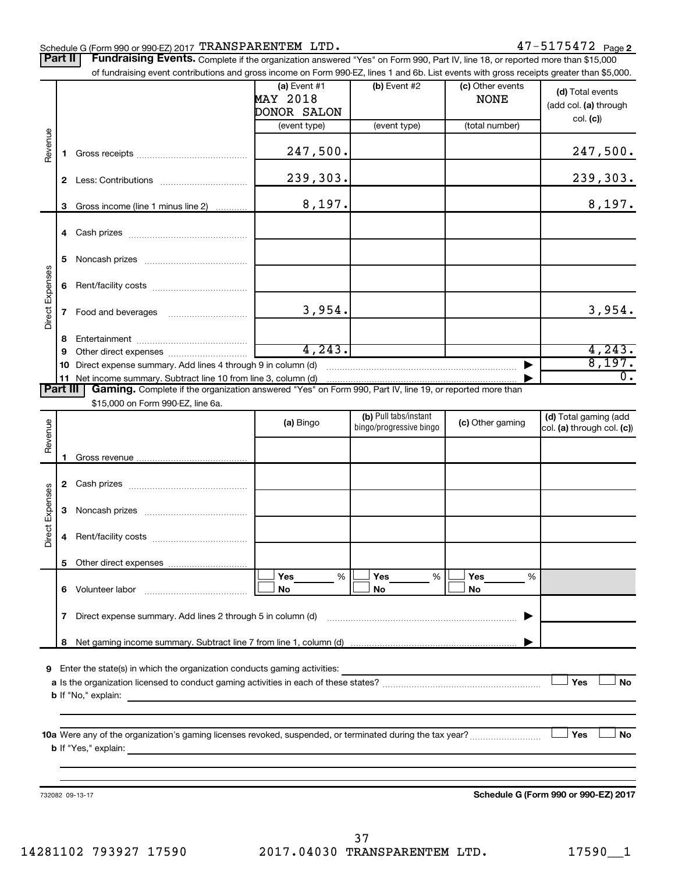#### Schedule G (Form 990 or 990-EZ) 2017  $\texttt{TRANSPARENTEM}$  LTD .  $47\texttt{-}5175472$  Page

Part II | Fundraising Events. Complete if the organization answered "Yes" on Form 990, Part IV, line 18, or reported more than \$15,000

|                 |    | of fundraising event contributions and gross income on Form 990-EZ, lines 1 and 6b. List events with gross receipts greater than \$5,000.            |                 |                         |                  |                                      |
|-----------------|----|------------------------------------------------------------------------------------------------------------------------------------------------------|-----------------|-------------------------|------------------|--------------------------------------|
|                 |    |                                                                                                                                                      | (a) Event $#1$  | $(b)$ Event #2          | (c) Other events | (d) Total events                     |
|                 |    |                                                                                                                                                      | <b>MAY 2018</b> |                         | <b>NONE</b>      | (add col. (a) through                |
|                 |    |                                                                                                                                                      | DONOR SALON     |                         |                  | col. (c)                             |
|                 |    |                                                                                                                                                      | (event type)    | (event type)            | (total number)   |                                      |
| Revenue         |    |                                                                                                                                                      |                 |                         |                  |                                      |
|                 | 1. |                                                                                                                                                      | 247,500.        |                         |                  | 247,500.                             |
|                 |    |                                                                                                                                                      | 239,303.        |                         |                  | 239,303.                             |
|                 |    |                                                                                                                                                      |                 |                         |                  |                                      |
|                 | 3  | Gross income (line 1 minus line 2)                                                                                                                   | 8,197.          |                         |                  | 8,197.                               |
|                 |    |                                                                                                                                                      |                 |                         |                  |                                      |
|                 |    |                                                                                                                                                      |                 |                         |                  |                                      |
|                 |    |                                                                                                                                                      |                 |                         |                  |                                      |
|                 | 5. |                                                                                                                                                      |                 |                         |                  |                                      |
| Direct Expenses |    |                                                                                                                                                      |                 |                         |                  |                                      |
|                 | 6  |                                                                                                                                                      |                 |                         |                  |                                      |
|                 | 7  |                                                                                                                                                      | 3,954.          |                         |                  | 3,954.                               |
|                 |    |                                                                                                                                                      |                 |                         |                  |                                      |
|                 | 8  |                                                                                                                                                      |                 |                         |                  |                                      |
|                 | 9  |                                                                                                                                                      | 4, 243.         |                         |                  | $\frac{4,243}{8,197}$                |
|                 | 10 | Direct expense summary. Add lines 4 through 9 in column (d)                                                                                          |                 |                         |                  |                                      |
|                 |    | 11 Net income summary. Subtract line 10 from line 3, column (d)                                                                                      |                 |                         |                  | $\overline{0}$ .                     |
| <b>Part III</b> |    | Gaming. Complete if the organization answered "Yes" on Form 990, Part IV, line 19, or reported more than                                             |                 |                         |                  |                                      |
|                 |    | \$15,000 on Form 990-EZ, line 6a.                                                                                                                    |                 | (b) Pull tabs/instant   |                  | (d) Total gaming (add                |
|                 |    |                                                                                                                                                      | (a) Bingo       | bingo/progressive bingo | (c) Other gaming | col. (a) through col. (c))           |
| Revenue         |    |                                                                                                                                                      |                 |                         |                  |                                      |
|                 | 1. |                                                                                                                                                      |                 |                         |                  |                                      |
|                 |    |                                                                                                                                                      |                 |                         |                  |                                      |
|                 |    |                                                                                                                                                      |                 |                         |                  |                                      |
|                 |    |                                                                                                                                                      |                 |                         |                  |                                      |
|                 | 3  |                                                                                                                                                      |                 |                         |                  |                                      |
| Direct Expenses |    |                                                                                                                                                      |                 |                         |                  |                                      |
|                 | 4  |                                                                                                                                                      |                 |                         |                  |                                      |
|                 |    |                                                                                                                                                      |                 |                         |                  |                                      |
|                 |    |                                                                                                                                                      | %<br>Yes        | Yes<br>%                | Yes<br>%         |                                      |
|                 |    |                                                                                                                                                      | No              | No                      | No               |                                      |
|                 |    |                                                                                                                                                      |                 |                         |                  |                                      |
|                 | 7  | Direct expense summary. Add lines 2 through 5 in column (d)                                                                                          |                 |                         |                  |                                      |
|                 |    |                                                                                                                                                      |                 |                         |                  |                                      |
|                 | 8  |                                                                                                                                                      |                 |                         |                  |                                      |
|                 |    | 9 Enter the state(s) in which the organization conducts gaming activities:                                                                           |                 |                         |                  |                                      |
|                 |    |                                                                                                                                                      |                 |                         |                  | Yes<br>No                            |
|                 |    |                                                                                                                                                      |                 |                         |                  |                                      |
|                 |    |                                                                                                                                                      |                 |                         |                  |                                      |
|                 |    |                                                                                                                                                      |                 |                         |                  |                                      |
|                 |    | 10a Were any of the organization's gaming licenses revoked, suspended, or terminated during the tax year?                                            |                 |                         |                  | Yes<br>No                            |
|                 |    | <b>b</b> If "Yes," explain:<br><u> 1989 - Johann Stein, marwolaethau a bhann an t-Amhain ann an t-Amhain an t-Amhain an t-Amhain an t-Amhain an </u> |                 |                         |                  |                                      |
|                 |    |                                                                                                                                                      |                 |                         |                  |                                      |
|                 |    |                                                                                                                                                      |                 |                         |                  |                                      |
|                 |    | 732082 09-13-17                                                                                                                                      |                 |                         |                  | Schedule G (Form 990 or 990-EZ) 2017 |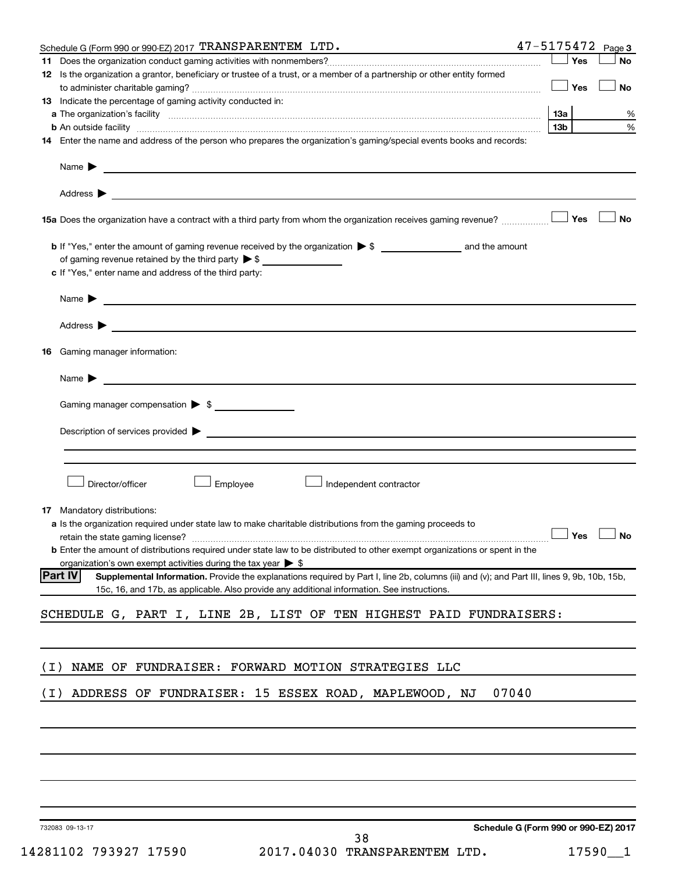|       | Schedule G (Form 990 or 990-EZ) 2017 TRANSPARENTEM LTD.                                                                                                                                                                                                                                         | $47 - 5175472$ Page 3 |           |
|-------|-------------------------------------------------------------------------------------------------------------------------------------------------------------------------------------------------------------------------------------------------------------------------------------------------|-----------------------|-----------|
|       |                                                                                                                                                                                                                                                                                                 | Yes                   | No        |
|       | 12 Is the organization a grantor, beneficiary or trustee of a trust, or a member of a partnership or other entity formed                                                                                                                                                                        | Yes                   | <b>No</b> |
|       | <b>13</b> Indicate the percentage of gaming activity conducted in:                                                                                                                                                                                                                              |                       |           |
|       |                                                                                                                                                                                                                                                                                                 | 13a                   | %         |
|       | <b>b</b> An outside facility <i>www.communicality.communicality.communicality www.communicality.communicality.communicality</i>                                                                                                                                                                 | 13 <sub>b</sub>       | %         |
|       | 14 Enter the name and address of the person who prepares the organization's gaming/special events books and records:                                                                                                                                                                            |                       |           |
|       | Name $\blacktriangleright$<br><u>and the state of the state of the state of the state of the state of the state of the state of the state of the state of the state of the state of the state of the state of the state of the state of the state of the state</u>                              |                       |           |
|       |                                                                                                                                                                                                                                                                                                 |                       |           |
|       |                                                                                                                                                                                                                                                                                                 | Yes                   | <b>No</b> |
|       | of gaming revenue retained by the third party $\triangleright$ \$                                                                                                                                                                                                                               |                       |           |
|       | c If "Yes," enter name and address of the third party:                                                                                                                                                                                                                                          |                       |           |
|       | <u> 1980 - Johann Barbara, martin amerikan basal dan berasal dan berasal dalam basal dan berasal dan berasal dan</u><br>Name $\blacktriangleright$                                                                                                                                              |                       |           |
| 16    | Gaming manager information:                                                                                                                                                                                                                                                                     |                       |           |
|       | <u> 1989 - Johann Harry Harry Harry Harry Harry Harry Harry Harry Harry Harry Harry Harry Harry Harry Harry Harry</u><br>Name $\blacktriangleright$                                                                                                                                             |                       |           |
|       | Gaming manager compensation > \$                                                                                                                                                                                                                                                                |                       |           |
|       |                                                                                                                                                                                                                                                                                                 |                       |           |
|       | Description of services provided > example and the contract of the contract of the contract of the contract of                                                                                                                                                                                  |                       |           |
|       |                                                                                                                                                                                                                                                                                                 |                       |           |
|       | Employee<br>Director/officer<br>Independent contractor                                                                                                                                                                                                                                          |                       |           |
|       | <b>17</b> Mandatory distributions:<br><b>a</b> Is the organization required under state law to make charitable distributions from the gaming proceeds to<br><b>b</b> Enter the amount of distributions required under state law to be distributed to other exempt organizations or spent in the | $\Box$ Yes $\Box$ No  |           |
|       | organization's own exempt activities during the tax year $\triangleright$ \$<br><b>Part IV</b><br>Supplemental Information. Provide the explanations required by Part I, line 2b, columns (iii) and (v); and Part III, lines 9, 9b, 10b, 15b,                                                   |                       |           |
|       | 15c, 16, and 17b, as applicable. Also provide any additional information. See instructions.                                                                                                                                                                                                     |                       |           |
|       | SCHEDULE G, PART I, LINE 2B, LIST OF TEN HIGHEST PAID FUNDRAISERS:                                                                                                                                                                                                                              |                       |           |
| ( I ) | NAME OF FUNDRAISER: FORWARD MOTION STRATEGIES LLC                                                                                                                                                                                                                                               |                       |           |
| ( I ) | 07040<br>ADDRESS OF FUNDRAISER: 15 ESSEX ROAD, MAPLEWOOD, NJ                                                                                                                                                                                                                                    |                       |           |
|       |                                                                                                                                                                                                                                                                                                 |                       |           |
|       |                                                                                                                                                                                                                                                                                                 |                       |           |
|       |                                                                                                                                                                                                                                                                                                 |                       |           |
|       |                                                                                                                                                                                                                                                                                                 |                       |           |
|       |                                                                                                                                                                                                                                                                                                 |                       |           |

732083 09-13-17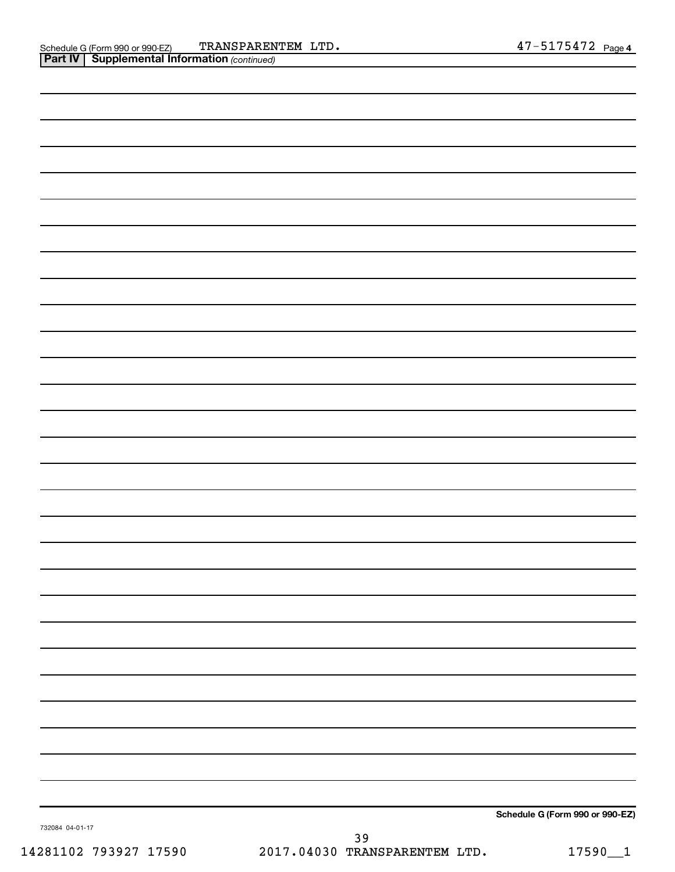| . .             |  |                                 |
|-----------------|--|---------------------------------|
|                 |  |                                 |
|                 |  |                                 |
|                 |  |                                 |
|                 |  |                                 |
|                 |  |                                 |
|                 |  |                                 |
|                 |  |                                 |
|                 |  |                                 |
|                 |  |                                 |
|                 |  |                                 |
|                 |  |                                 |
|                 |  |                                 |
|                 |  |                                 |
|                 |  |                                 |
|                 |  |                                 |
|                 |  |                                 |
|                 |  |                                 |
|                 |  |                                 |
|                 |  |                                 |
|                 |  |                                 |
|                 |  |                                 |
|                 |  |                                 |
|                 |  |                                 |
|                 |  |                                 |
|                 |  |                                 |
|                 |  |                                 |
|                 |  |                                 |
|                 |  |                                 |
|                 |  |                                 |
|                 |  |                                 |
|                 |  |                                 |
|                 |  |                                 |
|                 |  |                                 |
|                 |  |                                 |
|                 |  |                                 |
|                 |  |                                 |
|                 |  |                                 |
|                 |  |                                 |
|                 |  |                                 |
|                 |  |                                 |
|                 |  |                                 |
|                 |  |                                 |
|                 |  |                                 |
|                 |  |                                 |
|                 |  | Schedule G (Form 990 or 990-EZ) |
| 732084 04-01-17 |  |                                 |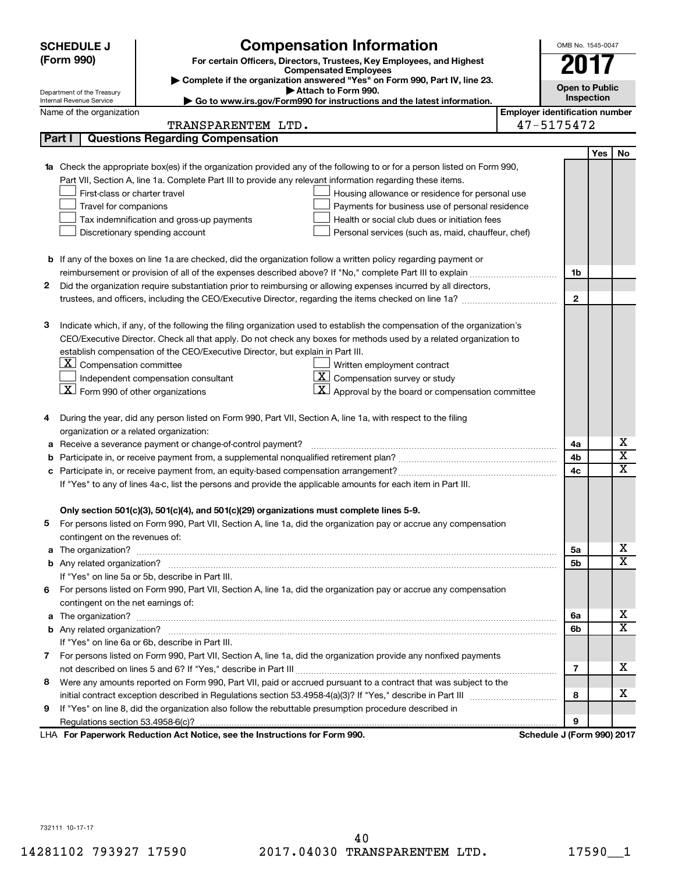|        | <b>SCHEDULE J</b>                                                                                             | <b>Compensation Information</b>                                                                                                                                                                                                    |                       | OMB No. 1545-0047                                   |     |                         |  |
|--------|---------------------------------------------------------------------------------------------------------------|------------------------------------------------------------------------------------------------------------------------------------------------------------------------------------------------------------------------------------|-----------------------|-----------------------------------------------------|-----|-------------------------|--|
|        | (Form 990)<br>For certain Officers, Directors, Trustees, Key Employees, and Highest                           |                                                                                                                                                                                                                                    |                       |                                                     |     |                         |  |
|        | <b>Compensated Employees</b><br>Complete if the organization answered "Yes" on Form 990, Part IV, line 23.    |                                                                                                                                                                                                                                    |                       |                                                     |     |                         |  |
|        | Department of the Treasury                                                                                    |                                                                                                                                                                                                                                    | <b>Open to Public</b> |                                                     |     |                         |  |
|        | Internal Revenue Service                                                                                      | Go to www.irs.gov/Form990 for instructions and the latest information.                                                                                                                                                             |                       | Inspection                                          |     |                         |  |
|        | Name of the organization                                                                                      |                                                                                                                                                                                                                                    |                       | <b>Employer identification number</b><br>47-5175472 |     |                         |  |
|        |                                                                                                               | TRANSPARENTEM LTD.                                                                                                                                                                                                                 |                       |                                                     |     |                         |  |
| Part I |                                                                                                               | <b>Questions Regarding Compensation</b>                                                                                                                                                                                            |                       |                                                     |     |                         |  |
|        |                                                                                                               |                                                                                                                                                                                                                                    |                       |                                                     | Yes | No                      |  |
|        |                                                                                                               | 1a Check the appropriate box(es) if the organization provided any of the following to or for a person listed on Form 990,                                                                                                          |                       |                                                     |     |                         |  |
|        |                                                                                                               | Part VII, Section A, line 1a. Complete Part III to provide any relevant information regarding these items.                                                                                                                         |                       |                                                     |     |                         |  |
|        | First-class or charter travel                                                                                 | Housing allowance or residence for personal use                                                                                                                                                                                    |                       |                                                     |     |                         |  |
|        | Travel for companions                                                                                         | Payments for business use of personal residence                                                                                                                                                                                    |                       |                                                     |     |                         |  |
|        |                                                                                                               | Tax indemnification and gross-up payments<br>Health or social club dues or initiation fees                                                                                                                                         |                       |                                                     |     |                         |  |
|        |                                                                                                               | Discretionary spending account<br>Personal services (such as, maid, chauffeur, chef)                                                                                                                                               |                       |                                                     |     |                         |  |
|        |                                                                                                               |                                                                                                                                                                                                                                    |                       |                                                     |     |                         |  |
|        |                                                                                                               | <b>b</b> If any of the boxes on line 1a are checked, did the organization follow a written policy regarding payment or<br>reimbursement or provision of all of the expenses described above? If "No," complete Part III to explain |                       | 1b                                                  |     |                         |  |
| 2      |                                                                                                               |                                                                                                                                                                                                                                    |                       |                                                     |     |                         |  |
|        |                                                                                                               | Did the organization require substantiation prior to reimbursing or allowing expenses incurred by all directors,                                                                                                                   |                       | $\mathbf{2}$                                        |     |                         |  |
|        |                                                                                                               |                                                                                                                                                                                                                                    |                       |                                                     |     |                         |  |
| 3      |                                                                                                               | Indicate which, if any, of the following the filing organization used to establish the compensation of the organization's                                                                                                          |                       |                                                     |     |                         |  |
|        |                                                                                                               | CEO/Executive Director. Check all that apply. Do not check any boxes for methods used by a related organization to                                                                                                                 |                       |                                                     |     |                         |  |
|        |                                                                                                               | establish compensation of the CEO/Executive Director, but explain in Part III.                                                                                                                                                     |                       |                                                     |     |                         |  |
|        | $\underline{\mathbf{X}}$ Compensation committee                                                               | Written employment contract                                                                                                                                                                                                        |                       |                                                     |     |                         |  |
|        |                                                                                                               | $ \mathbf{X} $ Compensation survey or study<br>Independent compensation consultant                                                                                                                                                 |                       |                                                     |     |                         |  |
|        | $ \mathbf{X} $ Form 990 of other organizations                                                                | $\mathbf{X}$ Approval by the board or compensation committee                                                                                                                                                                       |                       |                                                     |     |                         |  |
|        |                                                                                                               |                                                                                                                                                                                                                                    |                       |                                                     |     |                         |  |
| 4      |                                                                                                               | During the year, did any person listed on Form 990, Part VII, Section A, line 1a, with respect to the filing                                                                                                                       |                       |                                                     |     |                         |  |
|        | organization or a related organization:                                                                       |                                                                                                                                                                                                                                    |                       |                                                     |     |                         |  |
|        |                                                                                                               | Receive a severance payment or change-of-control payment?                                                                                                                                                                          |                       | 4a                                                  |     | х                       |  |
| b      |                                                                                                               |                                                                                                                                                                                                                                    |                       | 4b                                                  |     | $\overline{\mathbf{x}}$ |  |
| с      |                                                                                                               |                                                                                                                                                                                                                                    |                       | 4c                                                  |     | $\overline{\text{x}}$   |  |
|        | If "Yes" to any of lines 4a-c, list the persons and provide the applicable amounts for each item in Part III. |                                                                                                                                                                                                                                    |                       |                                                     |     |                         |  |
|        |                                                                                                               |                                                                                                                                                                                                                                    |                       |                                                     |     |                         |  |
|        |                                                                                                               | Only section 501(c)(3), 501(c)(4), and 501(c)(29) organizations must complete lines 5-9.                                                                                                                                           |                       |                                                     |     |                         |  |
|        |                                                                                                               | For persons listed on Form 990, Part VII, Section A, line 1a, did the organization pay or accrue any compensation                                                                                                                  |                       |                                                     |     |                         |  |
|        | contingent on the revenues of:                                                                                |                                                                                                                                                                                                                                    |                       |                                                     |     |                         |  |
|        |                                                                                                               |                                                                                                                                                                                                                                    |                       | 5а                                                  |     | X.                      |  |
|        |                                                                                                               |                                                                                                                                                                                                                                    |                       | 5b                                                  |     | $\overline{\mathbf{X}}$ |  |
|        |                                                                                                               | If "Yes" on line 5a or 5b, describe in Part III.                                                                                                                                                                                   |                       |                                                     |     |                         |  |
| 6      |                                                                                                               | For persons listed on Form 990, Part VII, Section A, line 1a, did the organization pay or accrue any compensation                                                                                                                  |                       |                                                     |     |                         |  |
|        | contingent on the net earnings of:                                                                            |                                                                                                                                                                                                                                    |                       |                                                     |     |                         |  |
|        |                                                                                                               |                                                                                                                                                                                                                                    |                       | 6a                                                  |     | х                       |  |
|        |                                                                                                               |                                                                                                                                                                                                                                    |                       | 6b                                                  |     | $\overline{\mathbf{X}}$ |  |
|        |                                                                                                               | If "Yes" on line 6a or 6b, describe in Part III.                                                                                                                                                                                   |                       |                                                     |     |                         |  |
|        |                                                                                                               | 7 For persons listed on Form 990, Part VII, Section A, line 1a, did the organization provide any nonfixed payments                                                                                                                 |                       |                                                     |     |                         |  |
|        |                                                                                                               |                                                                                                                                                                                                                                    |                       | 7                                                   |     | х                       |  |
| 8      |                                                                                                               | Were any amounts reported on Form 990, Part VII, paid or accrued pursuant to a contract that was subject to the                                                                                                                    |                       |                                                     |     |                         |  |
|        |                                                                                                               |                                                                                                                                                                                                                                    |                       | 8                                                   |     | х                       |  |
| 9      |                                                                                                               | If "Yes" on line 8, did the organization also follow the rebuttable presumption procedure described in                                                                                                                             |                       |                                                     |     |                         |  |
|        |                                                                                                               |                                                                                                                                                                                                                                    |                       | 9                                                   |     |                         |  |
|        |                                                                                                               | LHA For Paperwork Reduction Act Notice, see the Instructions for Form 990.                                                                                                                                                         |                       | Schedule J (Form 990) 2017                          |     |                         |  |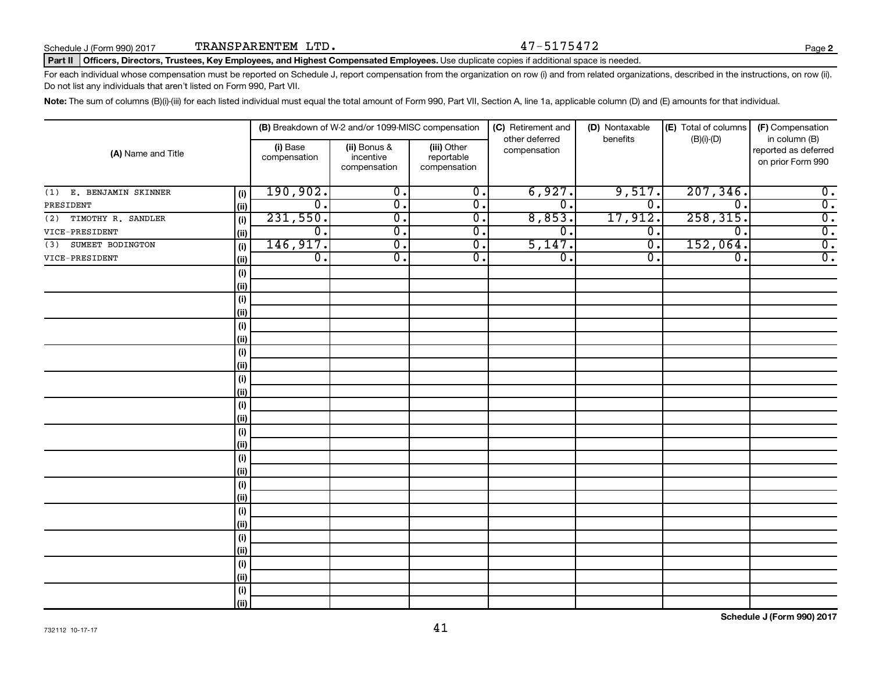#### Part II | Officers, Directors, Trustees, Key Employees, and Highest Compensated Employees. Use duplicate copies if additional space is needed.

For each individual whose compensation must be reported on Schedule J, report compensation from the organization on row (i) and from related organizations, described in the instructions, on row (ii). Do not list any individuals that aren't listed on Form 990, Part VII.

Note: The sum of columns (B)(i)-(iii) for each listed individual must equal the total amount of Form 990, Part VII, Section A, line 1a, applicable column (D) and (E) amounts for that individual.

| (A) Name and Title         |            | (B) Breakdown of W-2 and/or 1099-MISC compensation |                                           |                                           | (C) Retirement and<br>other deferred | (D) Nontaxable<br>benefits | (E) Total of columns        | (F) Compensation<br>in column (B)         |  |
|----------------------------|------------|----------------------------------------------------|-------------------------------------------|-------------------------------------------|--------------------------------------|----------------------------|-----------------------------|-------------------------------------------|--|
|                            |            | (i) Base<br>compensation                           | (ii) Bonus &<br>incentive<br>compensation | (iii) Other<br>reportable<br>compensation | compensation                         |                            | $(B)(i)-(D)$                | reported as deferred<br>on prior Form 990 |  |
| E. BENJAMIN SKINNER<br>(1) | (i)        | 190,902.                                           | $\overline{0}$ .                          | $\overline{0}$ .                          | 6,927.                               | 9,517.                     | 207, 346.                   | $\overline{0}$ .                          |  |
| PRESIDENT                  | (ii)       | σ.                                                 | $\overline{0}$ .                          | $\overline{0}$ .                          | σ.                                   | $\overline{0}$ .           | $\overline{\mathfrak{o}}$ . | $\overline{0}$ .                          |  |
| TIMOTHY R. SANDLER<br>(2)  | (i)        | 231,550.                                           | $\overline{0}$ .                          | $\overline{0}$ .                          | 8,853.                               | 17,912.                    | 258, 315.                   | $\overline{0}$ .                          |  |
| VICE-PRESIDENT             | (ii)       | $\overline{0}$ .                                   | $\overline{0}$ .                          | $\overline{0}$ .                          | $\overline{0}$ .                     | $\overline{0}$ .           | $\overline{\mathfrak{o}}$ . | $\overline{0}$ .                          |  |
| SUMEET BODINGTON<br>(3)    | (i)        | 146,917.                                           | $\overline{0}$ .                          | $\overline{0}$ .                          | 5,147.                               | $\overline{0}$ .           | 152,064.                    | $\overline{0}$ .                          |  |
| VICE-PRESIDENT             | (ii)       | $\overline{0}$ .                                   | $\overline{\mathfrak{o}}$ .               | $\overline{0}$ .                          | $\overline{\mathfrak{o}}$ .          | $\overline{0}$ .           | $\overline{\mathfrak{o}}$ . | $\overline{0}$ .                          |  |
|                            | (i)        |                                                    |                                           |                                           |                                      |                            |                             |                                           |  |
|                            | (ii)       |                                                    |                                           |                                           |                                      |                            |                             |                                           |  |
|                            | (i)        |                                                    |                                           |                                           |                                      |                            |                             |                                           |  |
|                            | (ii)       |                                                    |                                           |                                           |                                      |                            |                             |                                           |  |
|                            | (i)        |                                                    |                                           |                                           |                                      |                            |                             |                                           |  |
|                            | (ii)       |                                                    |                                           |                                           |                                      |                            |                             |                                           |  |
|                            | (i)        |                                                    |                                           |                                           |                                      |                            |                             |                                           |  |
|                            | (ii)       |                                                    |                                           |                                           |                                      |                            |                             |                                           |  |
|                            | (i)        |                                                    |                                           |                                           |                                      |                            |                             |                                           |  |
|                            | (ii)       |                                                    |                                           |                                           |                                      |                            |                             |                                           |  |
|                            | (i)        |                                                    |                                           |                                           |                                      |                            |                             |                                           |  |
|                            | (ii)       |                                                    |                                           |                                           |                                      |                            |                             |                                           |  |
|                            | (i)        |                                                    |                                           |                                           |                                      |                            |                             |                                           |  |
|                            | (ii)       |                                                    |                                           |                                           |                                      |                            |                             |                                           |  |
|                            | (i)        |                                                    |                                           |                                           |                                      |                            |                             |                                           |  |
|                            | (ii)       |                                                    |                                           |                                           |                                      |                            |                             |                                           |  |
|                            | (i)        |                                                    |                                           |                                           |                                      |                            |                             |                                           |  |
|                            | (ii)       |                                                    |                                           |                                           |                                      |                            |                             |                                           |  |
|                            | $(\sf{i})$ |                                                    |                                           |                                           |                                      |                            |                             |                                           |  |
|                            | (ii)       |                                                    |                                           |                                           |                                      |                            |                             |                                           |  |
|                            | $(\sf{i})$ |                                                    |                                           |                                           |                                      |                            |                             |                                           |  |
|                            | (ii)       |                                                    |                                           |                                           |                                      |                            |                             |                                           |  |
|                            | (i)        |                                                    |                                           |                                           |                                      |                            |                             |                                           |  |
|                            | (ii)       |                                                    |                                           |                                           |                                      |                            |                             |                                           |  |
|                            | (i)        |                                                    |                                           |                                           |                                      |                            |                             |                                           |  |
|                            | (ii)       |                                                    |                                           |                                           |                                      |                            |                             |                                           |  |

**Schedule J (Form 990) 2017**

**2**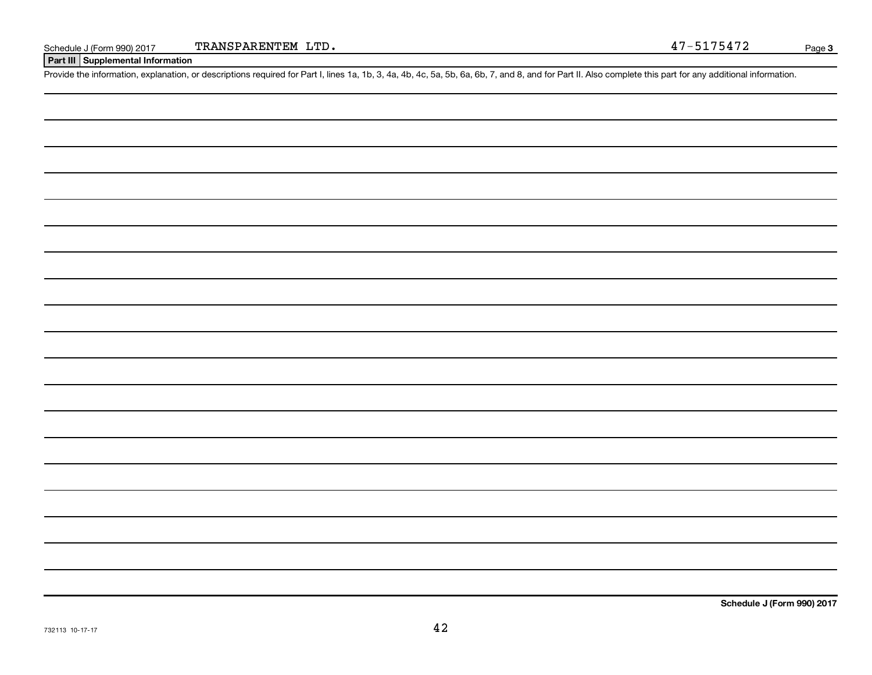**Part III Supplemental Information**

Provide the information, explanation, or descriptions required for Part I, lines 1a, 1b, 3, 4a, 4b, 4c, 5a, 5b, 6a, 6b, 7, and 8, and for Part II. Also complete this part for any additional information.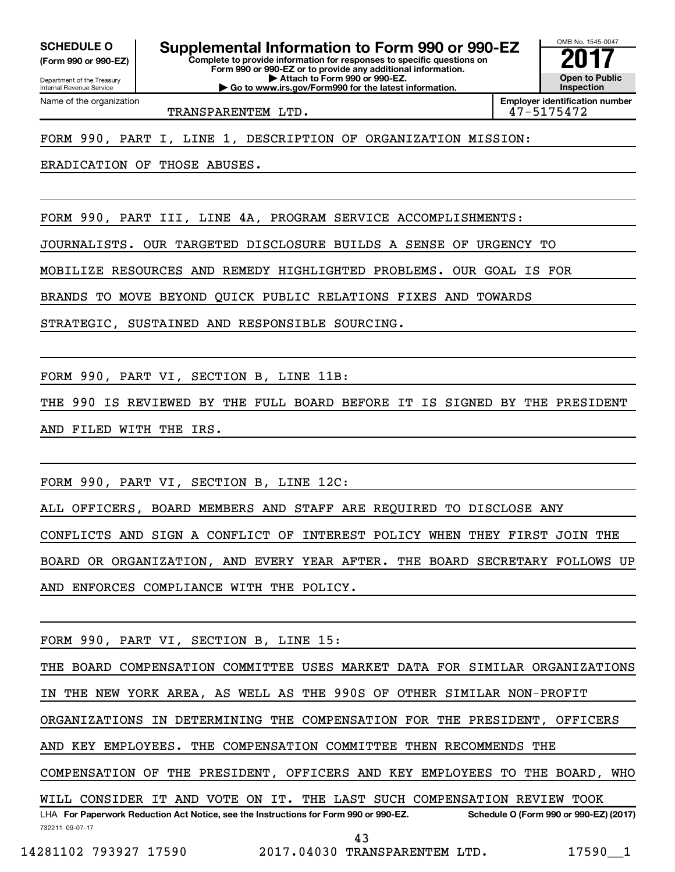**(Form 990 or 990-EZ)**

Department of the Treasury Internal Revenue Service

Name of the organization

**Complete to provide information for responses to specific questions on Form 990 or 990-EZ or to provide any additional information. | Attach to Form 990 or 990-EZ. SCHEDULE O Supplemental Information to Form 990 or 990-EZ 2017**<br>(Form 990 or 990-EZ) Complete to provide information for responses to specific questions on

**| Go to www.irs.gov/Form990 for the latest information.**

OMB No. 1545-0047 **Open to Public Inspection**

TRANSPARENTEM LTD. 47-5175472

**Employer identification number**

FORM 990, PART I, LINE 1, DESCRIPTION OF ORGANIZATION MISSION:

ERADICATION OF THOSE ABUSES.

FORM 990, PART III, LINE 4A, PROGRAM SERVICE ACCOMPLISHMENTS:

JOURNALISTS. OUR TARGETED DISCLOSURE BUILDS A SENSE OF URGENCY TO

MOBILIZE RESOURCES AND REMEDY HIGHLIGHTED PROBLEMS. OUR GOAL IS FOR

BRANDS TO MOVE BEYOND QUICK PUBLIC RELATIONS FIXES AND TOWARDS

STRATEGIC, SUSTAINED AND RESPONSIBLE SOURCING.

FORM 990, PART VI, SECTION B, LINE 11B:

THE 990 IS REVIEWED BY THE FULL BOARD BEFORE IT IS SIGNED BY THE PRESIDENT AND FILED WITH THE IRS.

FORM 990, PART VI, SECTION B, LINE 12C:

ALL OFFICERS, BOARD MEMBERS AND STAFF ARE REQUIRED TO DISCLOSE ANY

CONFLICTS AND SIGN A CONFLICT OF INTEREST POLICY WHEN THEY FIRST JOIN THE

BOARD OR ORGANIZATION, AND EVERY YEAR AFTER. THE BOARD SECRETARY FOLLOWS UP AND ENFORCES COMPLIANCE WITH THE POLICY.

FORM 990, PART VI, SECTION B, LINE 15:

732211 09-07-17 LHA For Paperwork Reduction Act Notice, see the Instructions for Form 990 or 990-EZ. Schedule O (Form 990 or 990-EZ) (2017) THE BOARD COMPENSATION COMMITTEE USES MARKET DATA FOR SIMILAR ORGANIZATIONS IN THE NEW YORK AREA, AS WELL AS THE 990S OF OTHER SIMILAR NON-PROFIT ORGANIZATIONS IN DETERMINING THE COMPENSATION FOR THE PRESIDENT, OFFICERS AND KEY EMPLOYEES. THE COMPENSATION COMMITTEE THEN RECOMMENDS THE COMPENSATION OF THE PRESIDENT, OFFICERS AND KEY EMPLOYEES TO THE BOARD, WHO WILL CONSIDER IT AND VOTE ON IT. THE LAST SUCH COMPENSATION REVIEW TOOK 43